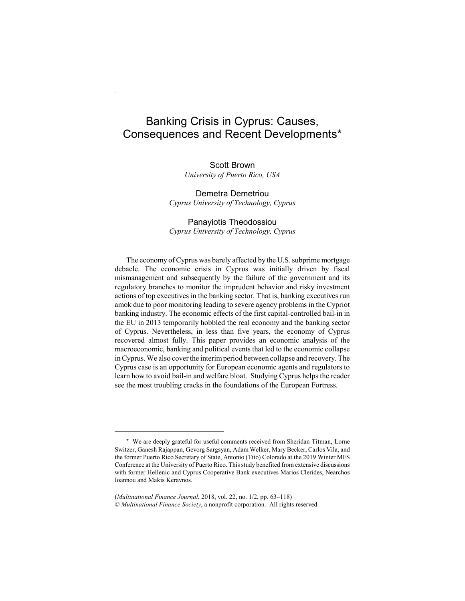# Banking Crisis in Cyprus: Causes, Consequences and Recent Developments\*

Scott Brown *University of Puerto Rico, USA*

Demetra Demetriou *Cyprus University of Technology, Cyprus*

# Panayiotis Theodossiou *Cyprus University of Technology, Cyprus*

The economy of Cyprus was barely affected by the U.S. subprime mortgage debacle. The economic crisis in Cyprus was initially driven by fiscal mismanagement and subsequently by the failure of the government and its regulatory branches to monitor the imprudent behavior and risky investment actions of top executives in the banking sector. That is, banking executives run amok due to poor monitoring leading to severe agency problems in the Cypriot banking industry. The economic effects of the first capital-controlled bail-in in the EU in 2013 temporarily hobbled the real economy and the banking sector of Cyprus. Nevertheless, in less than five years, the economy of Cyprus recovered almost fully. This paper provides an economic analysis of the macroeconomic, banking and political events that led to the economic collapse in Cyprus. We also cover the interim period between collapse and recovery. The Cyprus case is an opportunity for European economic agents and regulators to learn how to avoid bail-in and welfare bloat. Studying Cyprus helps the reader see the most troubling cracks in the foundations of the European Fortress.

<sup>\*</sup> We are deeply grateful for useful comments received from Sheridan Titman, Lorne Switzer, Ganesh Rajappan, Gevorg Sargsyan, Adam Welker, Mary Becker, Carlos Vila, and the former Puerto Rico Secretary of State, Antonio (Tito) Colorado at the 2019 Winter MFS Conference at the University of Puerto Rico. This study benefited from extensive discussions with former Hellenic and Cyprus Cooperative Bank executives Marios Clerides, Nearchos Ioannou and Makis Keravnos.

<sup>(</sup>*Multinational Finance Journal*, 2018, vol. 22, no. 1/2, pp. 63–118) © *Multinational Finance Society*, a nonprofit corporation. All rights reserved.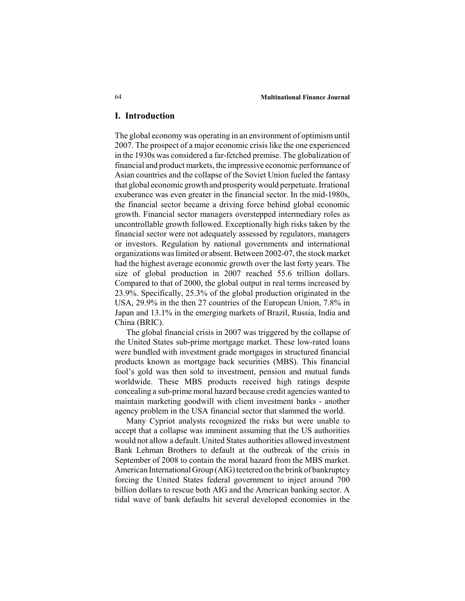#### 64 **Multinational Finance Journal**

#### **I. Introduction**

The global economy was operating in an environment of optimism until 2007. The prospect of a major economic crisis like the one experienced in the 1930s was considered a far-fetched premise. The globalization of financial and product markets, the impressive economic performance of Asian countries and the collapse of the Soviet Union fueled the fantasy that global economic growth and prosperity would perpetuate. Irrational exuberance was even greater in the financial sector. In the mid-1980s, the financial sector became a driving force behind global economic growth. Financial sector managers overstepped intermediary roles as uncontrollable growth followed. Exceptionally high risks taken by the financial sector were not adequately assessed by regulators, managers or investors. Regulation by national governments and international organizations was limited or absent. Between 2002-07, the stock market had the highest average economic growth over the last forty years. The size of global production in 2007 reached 55.6 trillion dollars. Compared to that of 2000, the global output in real terms increased by 23.9%. Specifically, 25.3% of the global production originated in the USA, 29.9% in the then 27 countries of the European Union, 7.8% in Japan and 13.1% in the emerging markets of Brazil, Russia, India and China (BRIC).

The global financial crisis in 2007 was triggered by the collapse of the United States sub-prime mortgage market. These low-rated loans were bundled with investment grade mortgages in structured financial products known as mortgage back securities (MBS). This financial fool's gold was then sold to investment, pension and mutual funds worldwide. These MBS products received high ratings despite concealing a sub-prime moral hazard because credit agencies wanted to maintain marketing goodwill with client investment banks - another agency problem in the USA financial sector that slammed the world.

Many Cypriot analysts recognized the risks but were unable to accept that a collapse was imminent assuming that the US authorities would not allow a default. United States authorities allowed investment Bank Lehman Brothers to default at the outbreak of the crisis in September of 2008 to contain the moral hazard from the MBS market. American International Group (AIG) teetered on the brink of bankruptcy forcing the United States federal government to inject around 700 billion dollars to rescue both AIG and the American banking sector. A tidal wave of bank defaults hit several developed economies in the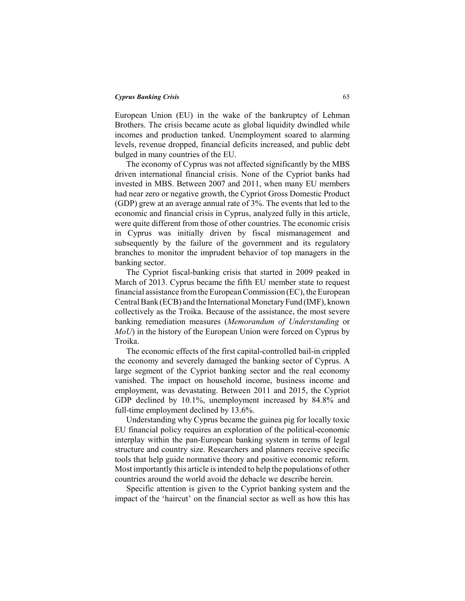European Union (EU) in the wake of the bankruptcy of Lehman Brothers. The crisis became acute as global liquidity dwindled while incomes and production tanked. Unemployment soared to alarming levels, revenue dropped, financial deficits increased, and public debt bulged in many countries of the EU.

The economy of Cyprus was not affected significantly by the MBS driven international financial crisis. None of the Cypriot banks had invested in MBS. Between 2007 and 2011, when many EU members had near zero or negative growth, the Cypriot Gross Domestic Product (GDP) grew at an average annual rate of 3%. The events that led to the economic and financial crisis in Cyprus, analyzed fully in this article, were quite different from those of other countries. The economic crisis in Cyprus was initially driven by fiscal mismanagement and subsequently by the failure of the government and its regulatory branches to monitor the imprudent behavior of top managers in the banking sector.

The Cypriot fiscal-banking crisis that started in 2009 peaked in March of 2013. Cyprus became the fifth EU member state to request financial assistance from the European Commission (EC), the European Central Bank (ECB) and the International Monetary Fund (IMF), known collectively as the Troika. Because of the assistance, the most severe banking remediation measures (*Memorandum of Understanding* or *MoU*) in the history of the European Union were forced on Cyprus by Troika.

The economic effects of the first capital-controlled bail-in crippled the economy and severely damaged the banking sector of Cyprus. A large segment of the Cypriot banking sector and the real economy vanished. The impact on household income, business income and employment, was devastating. Between 2011 and 2015, the Cypriot GDP declined by 10.1%, unemployment increased by 84.8% and full-time employment declined by 13.6%.

Understanding why Cyprus became the guinea pig for locally toxic EU financial policy requires an exploration of the political-economic interplay within the pan-European banking system in terms of legal structure and country size. Researchers and planners receive specific tools that help guide normative theory and positive economic reform. Most importantly this article is intended to help the populations of other countries around the world avoid the debacle we describe herein.

Specific attention is given to the Cypriot banking system and the impact of the 'haircut' on the financial sector as well as how this has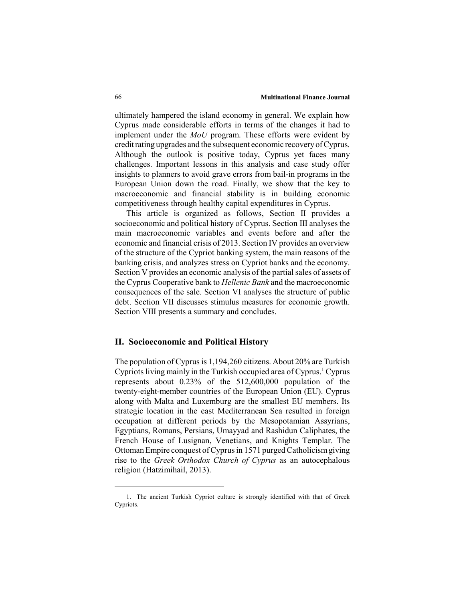ultimately hampered the island economy in general. We explain how Cyprus made considerable efforts in terms of the changes it had to implement under the *MoU* program. These efforts were evident by credit rating upgrades and the subsequent economic recovery of Cyprus. Although the outlook is positive today, Cyprus yet faces many challenges. Important lessons in this analysis and case study offer insights to planners to avoid grave errors from bail-in programs in the European Union down the road. Finally, we show that the key to macroeconomic and financial stability is in building economic competitiveness through healthy capital expenditures in Cyprus.

This article is organized as follows, Section II provides a socioeconomic and political history of Cyprus. Section III analyses the main macroeconomic variables and events before and after the economic and financial crisis of 2013. Section IV provides an overview of the structure of the Cypriot banking system, the main reasons of the banking crisis, and analyzes stress on Cypriot banks and the economy. Section V provides an economic analysis of the partial sales of assets of the Cyprus Cooperative bank to *Hellenic Bank* and the macroeconomic consequences of the sale. Section VI analyses the structure of public debt. Section VII discusses stimulus measures for economic growth. Section VIII presents a summary and concludes.

# **II. Socioeconomic and Political History**

The population of Cyprus is 1,194,260 citizens. About 20% are Turkish Cypriots living mainly in the Turkish occupied area of Cyprus.<sup>1</sup> Cyprus represents about 0.23% of the 512,600,000 population of the twenty-eight-member countries of the European Union (EU). Cyprus along with Malta and Luxemburg are the smallest EU members. Its strategic location in the east Mediterranean Sea resulted in foreign occupation at different periods by the Mesopotamian Assyrians, Egyptians, Romans, Persians, Umayyad and Rashidun Caliphates, the French House of Lusignan, Venetians, and Knights Templar. The Ottoman Empire conquest of Cyprus in 1571 purged Catholicism giving rise to the *Greek Orthodox Church of Cyprus* as an autocephalous religion (Hatzimihail, 2013).

<sup>1.</sup> The ancient Turkish Cypriot culture is strongly identified with that of Greek Cypriots.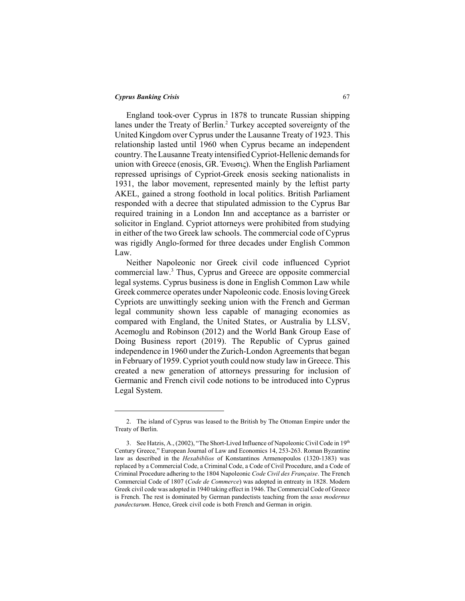England took-over Cyprus in 1878 to truncate Russian shipping lanes under the Treaty of Berlin.<sup>2</sup> Turkey accepted sovereignty of the United Kingdom over Cyprus under the Lausanne Treaty of 1923. This relationship lasted until 1960 when Cyprus became an independent country. The Lausanne Treaty intensified Cypriot-Hellenic demands for union with Greece (enosis, GR. Ένωσις). When the English Parliament repressed uprisings of Cypriot-Greek enosis seeking nationalists in 1931, the labor movement, represented mainly by the leftist party AKEL, gained a strong foothold in local politics. British Parliament responded with a decree that stipulated admission to the Cyprus Bar required training in a London Inn and acceptance as a barrister or solicitor in England. Cypriot attorneys were prohibited from studying in either of the two Greek law schools. The commercial code of Cyprus was rigidly Anglo-formed for three decades under English Common Law.

Neither Napoleonic nor Greek civil code influenced Cypriot commercial law.3 Thus, Cyprus and Greece are opposite commercial legal systems. Cyprus business is done in English Common Law while Greek commerce operates under Napoleonic code. Enosis loving Greek Cypriots are unwittingly seeking union with the French and German legal community shown less capable of managing economies as compared with England, the United States, or Australia by LLSV, Acemoglu and Robinson (2012) and the World Bank Group Ease of Doing Business report (2019). The Republic of Cyprus gained independence in 1960 under the Zurich-London Agreements that began in February of 1959. Cypriot youth could now study law in Greece. This created a new generation of attorneys pressuring for inclusion of Germanic and French civil code notions to be introduced into Cyprus Legal System.

<sup>2.</sup> The island of Cyprus was leased to the British by The Ottoman Empire under the Treaty of Berlin.

<sup>3.</sup> See Hatzis, A., (2002), "The Short-Lived Influence of Napoleonic Civil Code in 19<sup>th</sup> Century Greece," European Journal of Law and Economics 14, 253-263. Roman Byzantine law as described in the *Hexabiblios* of Konstantinos Armenopoulos (1320-1383) was replaced by a Commercial Code, a Criminal Code, a Code of Civil Procedure, and a Code of Criminal Procedure adhering to the 1804 Napoleonic *Code Civil des Française*. The French Commercial Code of 1807 (*Code de Commerce*) was adopted in entreaty in 1828. Modern Greek civil code was adopted in 1940 taking effect in 1946. The Commercial Code of Greece is French. The rest is dominated by German pandectists teaching from the *usus modernus pandectarum*. Hence, Greek civil code is both French and German in origin.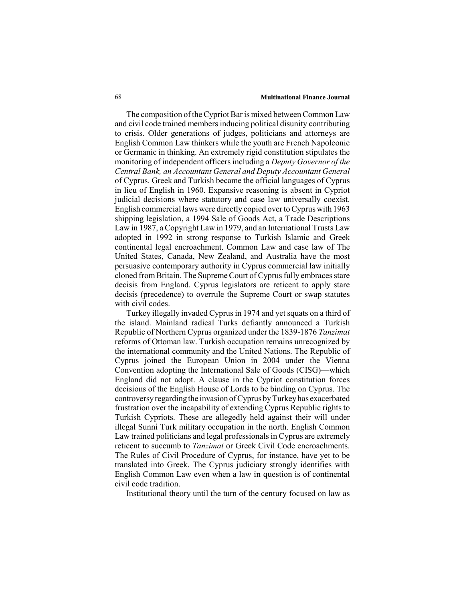#### 68 **Multinational Finance Journal**

The composition of the Cypriot Bar is mixed between Common Law and civil code trained members inducing political disunity contributing to crisis. Older generations of judges, politicians and attorneys are English Common Law thinkers while the youth are French Napoleonic or Germanic in thinking. An extremely rigid constitution stipulates the monitoring of independent officers including a *Deputy Governor of the Central Bank, an Accountant General and Deputy Accountant General* of Cyprus. Greek and Turkish became the official languages of Cyprus in lieu of English in 1960. Expansive reasoning is absent in Cypriot judicial decisions where statutory and case law universally coexist. English commercial laws were directly copied over to Cyprus with 1963 shipping legislation, a 1994 Sale of Goods Act, a Trade Descriptions Law in 1987, a Copyright Law in 1979, and an International Trusts Law adopted in 1992 in strong response to Turkish Islamic and Greek continental legal encroachment. Common Law and case law of The United States, Canada, New Zealand, and Australia have the most persuasive contemporary authority in Cyprus commercial law initially cloned from Britain. The Supreme Court of Cyprus fully embraces stare decisis from England. Cyprus legislators are reticent to apply stare decisis (precedence) to overrule the Supreme Court or swap statutes with civil codes.

Turkey illegally invaded Cyprus in 1974 and yet squats on a third of the island. Mainland radical Turks defiantly announced a Turkish Republic of Northern Cyprus organized under the 1839-1876 *Tanzimat* reforms of Ottoman law. Turkish occupation remains unrecognized by the international community and the United Nations. The Republic of Cyprus joined the European Union in 2004 under the Vienna Convention adopting the International Sale of Goods (CISG)—which England did not adopt. A clause in the Cypriot constitution forces decisions of the English House of Lords to be binding on Cyprus. The controversy regarding the invasion of Cyprus by Turkey has exacerbated frustration over the incapability of extending Cyprus Republic rights to Turkish Cypriots. These are allegedly held against their will under illegal Sunni Turk military occupation in the north. English Common Law trained politicians and legal professionals in Cyprus are extremely reticent to succumb to *Tanzimat* or Greek Civil Code encroachments. The Rules of Civil Procedure of Cyprus, for instance, have yet to be translated into Greek. The Cyprus judiciary strongly identifies with English Common Law even when a law in question is of continental civil code tradition.

Institutional theory until the turn of the century focused on law as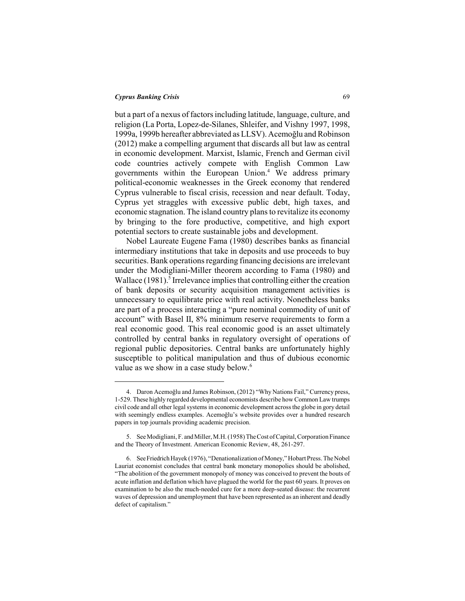but a part of a nexus of factors including latitude, language, culture, and religion (La Porta, Lopez-de-Silanes, Shleifer, and Vishny 1997, 1998, 1999a, 1999b hereafter abbreviated as LLSV). Acemoğlu and Robinson (2012) make a compelling argument that discards all but law as central in economic development. Marxist, Islamic, French and German civil code countries actively compete with English Common Law governments within the European Union.<sup>4</sup> We address primary political-economic weaknesses in the Greek economy that rendered Cyprus vulnerable to fiscal crisis, recession and near default. Today, Cyprus yet straggles with excessive public debt, high taxes, and economic stagnation. The island country plans to revitalize its economy by bringing to the fore productive, competitive, and high export potential sectors to create sustainable jobs and development.

Nobel Laureate Eugene Fama (1980) describes banks as financial intermediary institutions that take in deposits and use proceeds to buy securities. Bank operations regarding financing decisions are irrelevant under the Modigliani-Miller theorem according to Fama (1980) and Wallace (1981).<sup>5</sup> Irrelevance implies that controlling either the creation of bank deposits or security acquisition management activities is unnecessary to equilibrate price with real activity. Nonetheless banks are part of a process interacting a "pure nominal commodity of unit of account" with Basel II, 8% minimum reserve requirements to form a real economic good. This real economic good is an asset ultimately controlled by central banks in regulatory oversight of operations of regional public depositories. Central banks are unfortunately highly susceptible to political manipulation and thus of dubious economic value as we show in a case study below.<sup>6</sup>

<sup>4.</sup> Daron Acemoğlu and James Robinson, (2012) "Why Nations Fail," Currency press, 1-529. These highly regarded developmental economists describe how Common Law trumps civil code and all other legal systems in economic development across the globe in gory detail with seemingly endless examples. Acemoğlu's website provides over a hundred research papers in top journals providing academic precision.

<sup>5.</sup> See Modigliani, F. and Miller, M.H. (1958) The Cost of Capital, Corporation Finance and the Theory of Investment. American Economic Review, 48, 261-297.

<sup>6.</sup> See Friedrich Hayek (1976), "Denationalization of Money," Hobart Press. The Nobel Lauriat economist concludes that central bank monetary monopolies should be abolished, "The abolition of the government monopoly of money was conceived to prevent the bouts of acute inflation and deflation which have plagued the world for the past 60 years. It proves on examination to be also the much-needed cure for a more deep-seated disease: the recurrent waves of depression and unemployment that have been represented as an inherent and deadly defect of capitalism."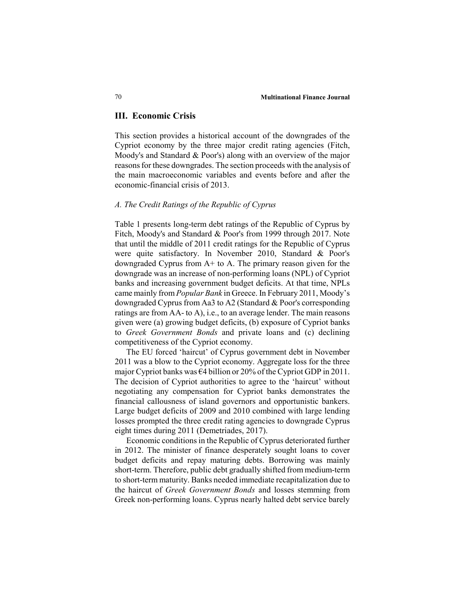#### **III. Economic Crisis**

This section provides a historical account of the downgrades of the Cypriot economy by the three major credit rating agencies (Fitch, Moody's and Standard & Poor's) along with an overview of the major reasons for these downgrades. The section proceeds with the analysis of the main macroeconomic variables and events before and after the economic-financial crisis of 2013.

# *A. The Credit Ratings of the Republic of Cyprus*

Table 1 presents long-term debt ratings of the Republic of Cyprus by Fitch, Moody's and Standard & Poor's from 1999 through 2017. Note that until the middle of 2011 credit ratings for the Republic of Cyprus were quite satisfactory. In November 2010, Standard & Poor's downgraded Cyprus from A+ to A. The primary reason given for the downgrade was an increase of non-performing loans (NPL) of Cypriot banks and increasing government budget deficits. At that time, NPLs came mainly from *Popular Bank* in Greece. In February 2011, Moody's downgraded Cyprus from Aa3 to A2 (Standard & Poor's corresponding ratings are from AA- to A), i.e., to an average lender. The main reasons given were (a) growing budget deficits, (b) exposure of Cypriot banks to *Greek Government Bonds* and private loans and (c) declining competitiveness of the Cypriot economy.

The EU forced 'haircut' of Cyprus government debt in November 2011 was a blow to the Cypriot economy. Aggregate loss for the three major Cypriot banks was €4 billion or 20% of the Cypriot GDP in 2011. The decision of Cypriot authorities to agree to the 'haircut' without negotiating any compensation for Cypriot banks demonstrates the financial callousness of island governors and opportunistic bankers. Large budget deficits of 2009 and 2010 combined with large lending losses prompted the three credit rating agencies to downgrade Cyprus eight times during 2011 (Demetriades, 2017).

Economic conditions in the Republic of Cyprus deteriorated further in 2012. The minister of finance desperately sought loans to cover budget deficits and repay maturing debts. Borrowing was mainly short-term. Therefore, public debt gradually shifted from medium-term to short-term maturity. Banks needed immediate recapitalization due to the haircut of *Greek Government Bonds* and losses stemming from Greek non-performing loans. Cyprus nearly halted debt service barely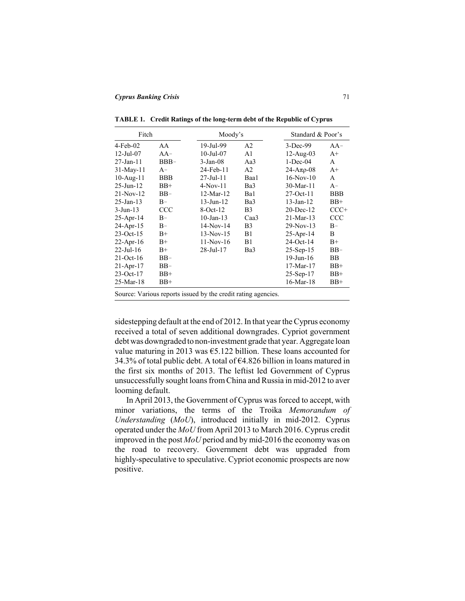| Fitch            |            | Moody's          |                  | Standard & Poor's |            |
|------------------|------------|------------------|------------------|-------------------|------------|
| $4-Feb-02$       | AA         | 19-Jul-99        | A <sub>2</sub>   | $3-Dec-99$        | $AA-$      |
| $12 -$ Jul $-07$ | $AA-$      | $10$ -Jul- $07$  | A <sub>1</sub>   | $12-Aug-03$       | $A+$       |
| 27-Jan-11        | $BBB-$     | $3-Jan-08$       | Aa3              | $1 - Dec-04$      | A          |
| $31$ -May-11     | $A-$       | 24-Feb-11        | A <sub>2</sub>   | $24 - Aπρ-08$     | $A+$       |
| $10$ -Aug- $11$  | <b>BBB</b> | $27 -$ Jul $-11$ | Baa1             | $16-Nov-10$       | A          |
| $25$ -Jun- $12$  | $BB+$      | $4-Nov-11$       | Ba3              | $30-Mar-11$       | $A-$       |
| $21-Nov-12$      | $BB-$      | $12-Mar-12$      | Ba1              | $27$ -Oct-11      | <b>BBB</b> |
| $25 - Jan - 13$  | $B-$       | 13-Jun-12        | Ba3              | $13 - Jan - 12$   | $BB+$      |
| $3-Jun-13$       | CCC        | $8-Oct-12$       | B <sub>3</sub>   | $20$ -Dec-12      | $CCC+$     |
| 25-Apr-14        | $B-$       | $10$ -Jan- $13$  | Caa <sub>3</sub> | $21-Mar-13$       | CCC        |
| $24$ -Apr-15     | $B-$       | $14-Nov-14$      | B <sub>3</sub>   | 29-Nov-13         | $B-$       |
| $23$ -Oct-15     | $B+$       | $13-Nov-15$      | B1               | $25-Apr-14$       | B          |
| 22-Apr-16        | $B+$       | $11-Nov-16$      | B1               | $24$ -Oct-14      | $B+$       |
| $22$ -Jul-16     | $B+$       | 28-Jul-17        | Ba3              | $25-Sep-15$       | $BB-$      |
| $21$ -Oct-16     | $BB-$      |                  |                  | 19-Jun-16         | ΒB         |
| $21-Apr-17$      | $BB-$      |                  |                  | $17-Mar-17$       | $BB+$      |
| $23-Oct-17$      | $BB+$      |                  |                  | $25-Sep-17$       | $BB+$      |
| $25-Mar-18$      | BB+        |                  |                  | $16$ -Mar- $18$   | BB+        |

**TABLE 1. Credit Ratings of the long-term debt of the Republic of Cyprus**

Source: Various reports issued by the credit rating agencies.

sidestepping default at the end of 2012. In that year the Cyprus economy received a total of seven additional downgrades. Cypriot government debt was downgraded to non-investment grade that year. Aggregate loan value maturing in 2013 was  $\epsilon$ 5.122 billion. These loans accounted for 34.3% of total public debt. A total of €4.826 billion in loans matured in the first six months of 2013. The leftist led Government of Cyprus unsuccessfully sought loans from China and Russia in mid-2012 to aver looming default.

In April 2013, the Government of Cyprus was forced to accept, with minor variations, the terms of the Troika *Memorandum of Understanding* (*MoU*), introduced initially in mid-2012. Cyprus operated under the *MoU* from April 2013 to March 2016. Cyprus credit improved in the post *MoU* period and by mid-2016 the economy was on the road to recovery. Government debt was upgraded from highly-speculative to speculative. Cypriot economic prospects are now positive.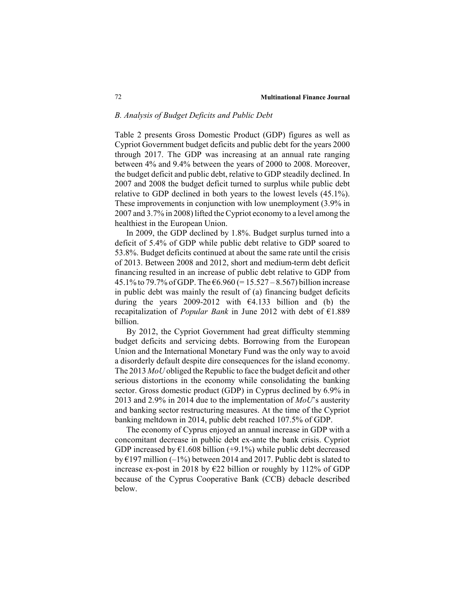## *B. Analysis of Budget Deficits and Public Debt*

Table 2 presents Gross Domestic Product (GDP) figures as well as Cypriot Government budget deficits and public debt for the years 2000 through 2017. The GDP was increasing at an annual rate ranging between 4% and 9.4% between the years of 2000 to 2008. Moreover, the budget deficit and public debt, relative to GDP steadily declined. In 2007 and 2008 the budget deficit turned to surplus while public debt relative to GDP declined in both years to the lowest levels (45.1%). These improvements in conjunction with low unemployment (3.9% in 2007 and 3.7% in 2008) lifted the Cypriot economy to a level among the healthiest in the European Union.

In 2009, the GDP declined by 1.8%. Budget surplus turned into a deficit of 5.4% of GDP while public debt relative to GDP soared to 53.8%. Budget deficits continued at about the same rate until the crisis of 2013. Between 2008 and 2012, short and medium-term debt deficit financing resulted in an increase of public debt relative to GDP from 45.1% to 79.7% of GDP. The  $6.960 (= 15.527 - 8.567)$  billion increase in public debt was mainly the result of (a) financing budget deficits during the years 2009-2012 with  $64.133$  billion and (b) the recapitalization of *Popular Bank* in June 2012 with debt of €1.889 billion.

By 2012, the Cypriot Government had great difficulty stemming budget deficits and servicing debts. Borrowing from the European Union and the International Monetary Fund was the only way to avoid a disorderly default despite dire consequences for the island economy. The 2013 *MoU* obliged the Republic to face the budget deficit and other serious distortions in the economy while consolidating the banking sector. Gross domestic product (GDP) in Cyprus declined by 6.9% in 2013 and 2.9% in 2014 due to the implementation of *MoU*'s austerity and banking sector restructuring measures. At the time of the Cypriot banking meltdown in 2014, public debt reached 107.5% of GDP.

The economy of Cyprus enjoyed an annual increase in GDP with a concomitant decrease in public debt ex-ante the bank crisis. Cypriot GDP increased by  $\epsilon$ 1.608 billion (+9.1%) while public debt decreased by  $E$ 197 million (-1%) between 2014 and 2017. Public debt is slated to increase ex-post in 2018 by  $E22$  billion or roughly by 112% of GDP because of the Cyprus Cooperative Bank (CCB) debacle described below.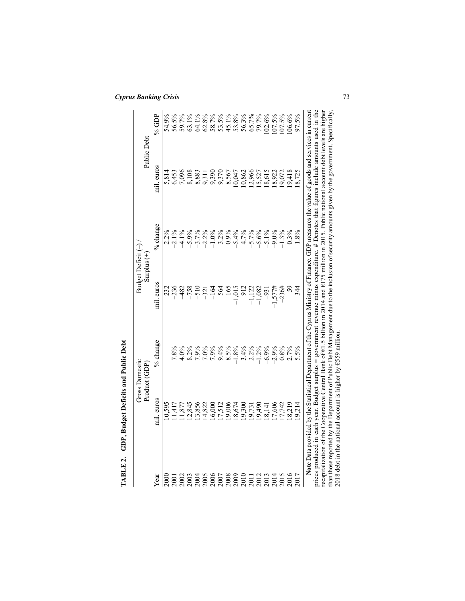|             | TABLE 2. GDP, Budget Deficits and Public Debt                                                                                                                                                                             |                                        |                                                |          |             |          |
|-------------|---------------------------------------------------------------------------------------------------------------------------------------------------------------------------------------------------------------------------|----------------------------------------|------------------------------------------------|----------|-------------|----------|
|             |                                                                                                                                                                                                                           | <b>Gross Domestic</b><br>Product (GDP) | Budget Deficit <sup>(-)</sup><br>Surplus $(+)$ |          | Public Debt |          |
| Year        | mil. euros                                                                                                                                                                                                                | % change                               | mil. euros                                     | % change | mil. euros  | % $GDP$  |
| 2000        | 0,595                                                                                                                                                                                                                     |                                        | $-232$                                         | $-2.2%$  | 5,814       | 54.9%    |
| <b>2001</b> | 1,417                                                                                                                                                                                                                     | 7.8%                                   | $-236$                                         | $-2.1%$  | 6,453       | 56.5%    |
| 2002        | 1,877                                                                                                                                                                                                                     | 4.0%                                   | 482                                            | $-4.1%$  | 7,096       | 59.7%    |
| 2003        | 2,845                                                                                                                                                                                                                     | 8.2%                                   | $-758$                                         | $-5.9%$  | 8,108       | 63.1%    |
| 2004        | 13,856                                                                                                                                                                                                                    | 7.9%                                   | $-510$                                         | $-3.7%$  | 8,883       | 64.1%    |
| 2005        | 14,822                                                                                                                                                                                                                    | $7.0\%$                                | $-321$                                         | $-2.2%$  | 9,31        | 62.8%    |
| <b>2006</b> | 16,000                                                                                                                                                                                                                    | 7.9%                                   | $-164$                                         | $-1.0%$  | 9,390       | 58.7%    |
| <b>2007</b> | 17,512                                                                                                                                                                                                                    | 9.4%                                   | 564                                            | 3.2%     | 9,370       | 53.5%    |
| 2008        | .9,006                                                                                                                                                                                                                    | 8.5%                                   | 165                                            | 0.9%     | 8,567       | $45.1\%$ |
| <b>2009</b> | .8,674                                                                                                                                                                                                                    | 1.8%                                   | $-1,015$                                       | $-5.4%$  | 10,047      | 53.8%    |
| 2010        | 005'6                                                                                                                                                                                                                     | 3.4%                                   | $-912$                                         | $-4.7%$  | 10,862      | 56.3%    |
| <b>2011</b> | 19,731                                                                                                                                                                                                                    | $2.2\%$                                | $-1,122$                                       | $-5.7%$  | 12,966      | 65.7%    |
| 2012        | 0.64, 6                                                                                                                                                                                                                   | $1.2\%$                                | $-1,082$                                       | $-5.6%$  | 15,527      | 79.7%    |
| 2013        | 8,141                                                                                                                                                                                                                     | $-6.9%$                                | $-93$                                          | $-5.1%$  | 18,615      | 102.6%   |
| 2014        | .7,606                                                                                                                                                                                                                    | $-2.9%$                                | $-1,577#$                                      | $-9.0%$  | 18,922      | 107.5%   |
| 2015        | 7,742                                                                                                                                                                                                                     | 0.8%                                   | $-236#$                                        | $-1.3%$  | 19,072      | 107.5%   |
| 2016        | 8,219                                                                                                                                                                                                                     | 2.7%                                   | $\mathcal{S}^{\mathcal{S}}$                    | $0.3\%$  | 19,418      | $06.6\%$ |
| 2017        | 0,214                                                                                                                                                                                                                     | 5.5%                                   | 344                                            | 1.8%     | 18,725      | 97.5%    |
|             | Note Data provided by the Statistical Department of the Cyprus Ministry of Finance. GDP measures the value of goods and services in current                                                                               |                                        |                                                |          |             |          |
|             | prices produced in each year. Budget surplus = government revenue minus expenditure. # Denotes that figures include amounts used in the                                                                                   |                                        |                                                |          |             |          |
|             | recapitalization of the Cooperative Central Bank of €1.5 billion in 2014 and €175 million in 2015. Public national account debt levels are higher                                                                         |                                        |                                                |          |             |          |
|             | than those reported by the Department of Public Debt Management due to the inclusion of security amounts given by the government. Specifically,<br>2018 debt in the national account is higher by $\epsilon$ 559 million. |                                        |                                                |          |             |          |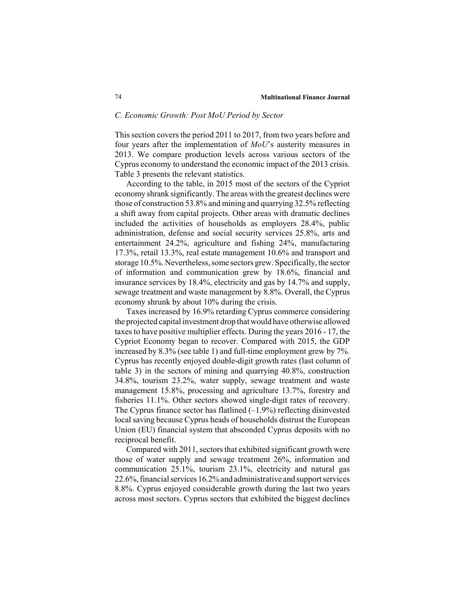#### *C. Economic Growth: Post MoU Period by Sector*

This section covers the period 2011 to 2017, from two years before and four years after the implementation of *MoU*'s austerity measures in 2013. We compare production levels across various sectors of the Cyprus economy to understand the economic impact of the 2013 crisis. Table 3 presents the relevant statistics.

According to the table, in 2015 most of the sectors of the Cypriot economy shrank significantly. The areas with the greatest declines were those of construction 53.8% and mining and quarrying 32.5% reflecting a shift away from capital projects. Other areas with dramatic declines included the activities of households as employers 28.4%, public administration, defense and social security services 25.8%, arts and entertainment 24.2%, agriculture and fishing 24%, manufacturing 17.3%, retail 13.3%, real estate management 10.6% and transport and storage 10.5%. Nevertheless, some sectors grew. Specifically, the sector of information and communication grew by 18.6%, financial and insurance services by 18.4%, electricity and gas by 14.7% and supply, sewage treatment and waste management by 8.8%. Overall, the Cyprus economy shrunk by about 10% during the crisis.

Taxes increased by 16.9% retarding Cyprus commerce considering the projected capital investment drop that would have otherwise allowed taxes to have positive multiplier effects. During the years 2016 - 17, the Cypriot Economy began to recover. Compared with 2015, the GDP increased by 8.3% (see table 1) and full-time employment grew by 7%. Cyprus has recently enjoyed double-digit growth rates (last column of table 3) in the sectors of mining and quarrying 40.8%, construction 34.8%, tourism 23.2%, water supply, sewage treatment and waste management 15.8%, processing and agriculture 13.7%, forestry and fisheries 11.1%. Other sectors showed single-digit rates of recovery. The Cyprus finance sector has flatlined  $(-1.9\%)$  reflecting disinvested local saving because Cyprus heads of households distrust the European Union (EU) financial system that absconded Cyprus deposits with no reciprocal benefit.

Compared with 2011, sectors that exhibited significant growth were those of water supply and sewage treatment 26%, information and communication 25.1%, tourism 23.1%, electricity and natural gas 22.6%, financial services 16.2% and administrative and support services 8.8%. Cyprus enjoyed considerable growth during the last two years across most sectors. Cyprus sectors that exhibited the biggest declines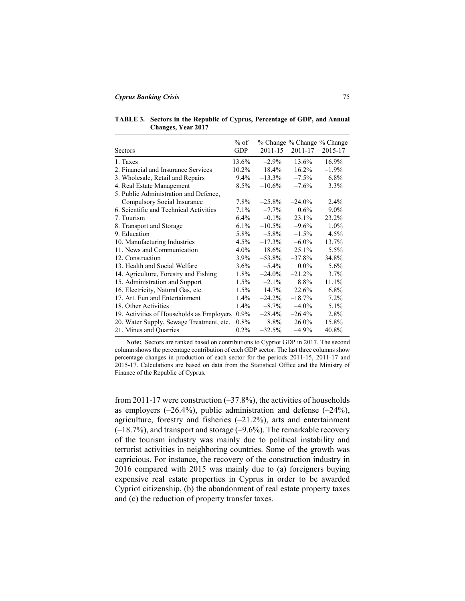**TABLE 3. Sectors in the Republic of Cyprus, Percentage of GDP, and Annual Changes, Year 2017**

|                                           | $%$ of     |           | % Change % Change % Change |         |
|-------------------------------------------|------------|-----------|----------------------------|---------|
| Sectors                                   | <b>GDP</b> | 2011-15   | 2011-17                    | 2015-17 |
| 1. Taxes                                  | 13.6%      | $-2.9\%$  | 13.6%                      | 16.9%   |
| 2. Financial and Insurance Services       | 10.2%      | 18.4%     | $16.2\%$                   | $-1.9%$ |
| 3. Wholesale, Retail and Repairs          | $9.4\%$    | $-13.3\%$ | $-7.5\%$                   | $6.8\%$ |
| 4. Real Estate Management                 | 8.5%       | $-10.6\%$ | $-7.6\%$                   | 3.3%    |
| 5. Public Administration and Defence,     |            |           |                            |         |
| Compulsory Social Insurance               | 7.8%       | $-25.8%$  | $-24.0\%$                  | 2.4%    |
| 6. Scientific and Technical Activities    | 7.1%       | $-7.7\%$  | $0.6\%$                    | $9.0\%$ |
| 7. Tourism                                | $6.4\%$    | $-0.1\%$  | 23.1%                      | 23.2%   |
| 8. Transport and Storage                  | $6.1\%$    | $-10.5\%$ | $-9.6\%$                   | $1.0\%$ |
| 9. Education                              | 5.8%       | $-5.8\%$  | $-1.5\%$                   | 4.5%    |
| 10. Manufacturing Industries              | $4.5\%$    | $-17.3\%$ | $-6.0\%$                   | 13.7%   |
| 11. News and Communication                | $4.0\%$    | 18.6%     | 25.1%                      | 5.5%    |
| 12. Construction                          | $3.9\%$    | $-53.8\%$ | $-37.8\%$                  | 34.8%   |
| 13. Health and Social Welfare             | $3.6\%$    | $-5.4\%$  | $0.0\%$                    | 5.6%    |
| 14. Agriculture, Forestry and Fishing     | $1.8\%$    | $-24.0\%$ | $-21.2\%$                  | 3.7%    |
| 15. Administration and Support            | $1.5\%$    | $-2.1\%$  | 8.8%                       | 11.1%   |
| 16. Electricity, Natural Gas, etc.        | $1.5\%$    | 14.7%     | 22.6%                      | $6.8\%$ |
| 17. Art. Fun and Entertainment            | $1.4\%$    | $-24.2%$  | $-18.7%$                   | $7.2\%$ |
| 18. Other Activities                      | $1.4\%$    | $-8.7\%$  | $-4.0\%$                   | 5.1%    |
| 19. Activities of Households as Employers | $0.9\%$    | $-28.4%$  | $-26.4\%$                  | 2.8%    |
| 20. Water Supply, Sewage Treatment, etc.  | $0.8\%$    | 8.8%      | 26.0%                      | 15.8%   |
| 21. Mines and Quarries                    | $0.2\%$    | $-32.5%$  | $-4.9%$                    | 40.8%   |

**Note:** Sectors are ranked based on contributions to Cypriot GDP in 2017. The second column shows the percentage contribution of each GDP sector. The last three columns show percentage changes in production of each sector for the periods 2011-15, 2011-17 and 2015-17. Calculations are based on data from the Statistical Office and the Ministry of Finance of the Republic of Cyprus.

from 2011-17 were construction  $(-37.8\%)$ , the activities of households as employers  $(-26.4\%)$ , public administration and defense  $(-24\%)$ . agriculture, forestry and fisheries (–21.2%), arts and entertainment (–18.7%), and transport and storage (–9.6%). The remarkable recovery of the tourism industry was mainly due to political instability and terrorist activities in neighboring countries. Some of the growth was capricious. For instance, the recovery of the construction industry in 2016 compared with 2015 was mainly due to (a) foreigners buying expensive real estate properties in Cyprus in order to be awarded Cypriot citizenship, (b) the abandonment of real estate property taxes and (c) the reduction of property transfer taxes.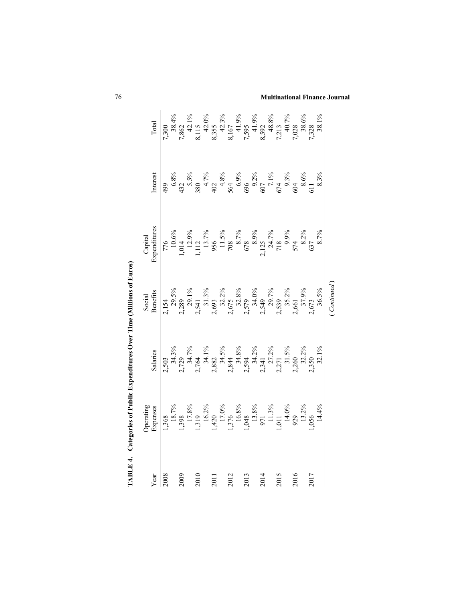| <b>LABLE 4</b> | $\Box$ ategories of Public Expend                                                                                          |                                                                                                        | lime (Millions of Euros)                                                                                                                                                                 |                                                                                                           |                                                                                                                |                                                                                                                                                                                      |
|----------------|----------------------------------------------------------------------------------------------------------------------------|--------------------------------------------------------------------------------------------------------|------------------------------------------------------------------------------------------------------------------------------------------------------------------------------------------|-----------------------------------------------------------------------------------------------------------|----------------------------------------------------------------------------------------------------------------|--------------------------------------------------------------------------------------------------------------------------------------------------------------------------------------|
|                | Operating<br>Expenses                                                                                                      |                                                                                                        | Social                                                                                                                                                                                   | Capital                                                                                                   |                                                                                                                |                                                                                                                                                                                      |
| Year           |                                                                                                                            | Salaries                                                                                               | Benefits                                                                                                                                                                                 | Expenditures                                                                                              | Interest                                                                                                       | Total                                                                                                                                                                                |
| 2008           |                                                                                                                            |                                                                                                        | $\begin{array}{r} 2,154 \\ 29,5\% \\ 2,289 \\ 2,541 \\ 2,693 \\ 2,693 \\ 2,675 \\ 2,579 \\ 2,579 \\ 34,0\% \\ 2,579 \\ 34,9\% \\ 2,539 \\ 35,2\% \\ 361 \\ 36,5\% \\ 36,5\% \end{array}$ | 776<br>1,014<br>1,112,9%<br>1,112,9%<br>1,113,7%<br>956<br>713,8,9%<br>712,8,9%<br>53,7%<br>53,7%<br>8.7% |                                                                                                                | $7,300\n7,862\n8,115\n8,115\n8,115\n8,152,0%\n8,167\n7,595\n8,592\n9,41.9%\n1,90%\n1,90%\n1,90%\n1,90%\n1,90%\n1,90%\n1,90%\n1,90%\n1,90%\n1,90%\n1,90%\n1,90%\n1,90%\n1,90%\n1,90%$ |
|                |                                                                                                                            |                                                                                                        |                                                                                                                                                                                          |                                                                                                           |                                                                                                                |                                                                                                                                                                                      |
| 2009           | 1,368<br>18.7%<br>17.8%<br>17.8%<br>1,398<br>1,398<br>1,376<br>16.8%<br>1,376<br>1,376<br>11.3%<br>929,1<br>1,44%<br>11.3% | 2,503<br>34.3%<br>2,729<br>2,734.7%<br>2,882.1%<br>2,34.1%<br>2,34.1%<br>2,350<br>2,350.2%<br>2,350.2% |                                                                                                                                                                                          |                                                                                                           | $499\n6.8%\n43.5%\n43.5%\n5.5%\n6.8%\n7.1%\n7.1%\n8.3%\n9.3%\n10.5%\n11.5%\n12.5%\n13.3%\n14.5%\n15.3%\n16.3%$ |                                                                                                                                                                                      |
|                |                                                                                                                            |                                                                                                        |                                                                                                                                                                                          |                                                                                                           |                                                                                                                |                                                                                                                                                                                      |
| 2010           |                                                                                                                            |                                                                                                        |                                                                                                                                                                                          |                                                                                                           |                                                                                                                |                                                                                                                                                                                      |
|                |                                                                                                                            |                                                                                                        |                                                                                                                                                                                          |                                                                                                           |                                                                                                                |                                                                                                                                                                                      |
| 2011           |                                                                                                                            |                                                                                                        |                                                                                                                                                                                          |                                                                                                           |                                                                                                                |                                                                                                                                                                                      |
|                |                                                                                                                            |                                                                                                        |                                                                                                                                                                                          |                                                                                                           |                                                                                                                |                                                                                                                                                                                      |
| 2012           |                                                                                                                            |                                                                                                        |                                                                                                                                                                                          |                                                                                                           |                                                                                                                |                                                                                                                                                                                      |
|                |                                                                                                                            |                                                                                                        |                                                                                                                                                                                          |                                                                                                           |                                                                                                                |                                                                                                                                                                                      |
| 2013           |                                                                                                                            |                                                                                                        |                                                                                                                                                                                          |                                                                                                           |                                                                                                                |                                                                                                                                                                                      |
|                |                                                                                                                            |                                                                                                        |                                                                                                                                                                                          |                                                                                                           |                                                                                                                |                                                                                                                                                                                      |
| 2014           |                                                                                                                            |                                                                                                        |                                                                                                                                                                                          |                                                                                                           |                                                                                                                |                                                                                                                                                                                      |
|                |                                                                                                                            |                                                                                                        |                                                                                                                                                                                          |                                                                                                           |                                                                                                                |                                                                                                                                                                                      |
| 2015           |                                                                                                                            |                                                                                                        |                                                                                                                                                                                          |                                                                                                           |                                                                                                                |                                                                                                                                                                                      |
|                |                                                                                                                            |                                                                                                        |                                                                                                                                                                                          |                                                                                                           |                                                                                                                |                                                                                                                                                                                      |
| 2016           |                                                                                                                            |                                                                                                        |                                                                                                                                                                                          |                                                                                                           |                                                                                                                |                                                                                                                                                                                      |
|                |                                                                                                                            |                                                                                                        |                                                                                                                                                                                          |                                                                                                           |                                                                                                                |                                                                                                                                                                                      |
| 2017           |                                                                                                                            |                                                                                                        |                                                                                                                                                                                          |                                                                                                           |                                                                                                                |                                                                                                                                                                                      |
|                |                                                                                                                            |                                                                                                        |                                                                                                                                                                                          |                                                                                                           |                                                                                                                |                                                                                                                                                                                      |
|                |                                                                                                                            |                                                                                                        | Continued                                                                                                                                                                                |                                                                                                           |                                                                                                                |                                                                                                                                                                                      |

76 **Multinational Finance Journal**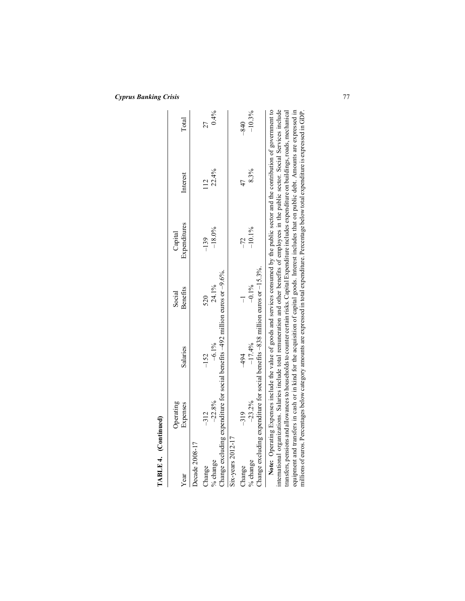| TABLE 4. (Continued) |                       |                                                                                     |                    |                                                                                                                                                                                                                                                                                                                                                                                                                                                                                                                                                                                                                                                                                                                                                        |          |          |
|----------------------|-----------------------|-------------------------------------------------------------------------------------|--------------------|--------------------------------------------------------------------------------------------------------------------------------------------------------------------------------------------------------------------------------------------------------------------------------------------------------------------------------------------------------------------------------------------------------------------------------------------------------------------------------------------------------------------------------------------------------------------------------------------------------------------------------------------------------------------------------------------------------------------------------------------------------|----------|----------|
| Year                 | Operating<br>Expenses | Salaries                                                                            | Benefits<br>Social | Expenditures<br>Capital                                                                                                                                                                                                                                                                                                                                                                                                                                                                                                                                                                                                                                                                                                                                | Interest | Total    |
| Decade 2008-17       |                       |                                                                                     |                    |                                                                                                                                                                                                                                                                                                                                                                                                                                                                                                                                                                                                                                                                                                                                                        |          |          |
| Change               | $-312$                | $-152$                                                                              |                    | $-139$                                                                                                                                                                                                                                                                                                                                                                                                                                                                                                                                                                                                                                                                                                                                                 | 112      | 27       |
| % change             | $-22.8%$              | $-6.1\%$                                                                            | 24.1%              | $-18.0%$                                                                                                                                                                                                                                                                                                                                                                                                                                                                                                                                                                                                                                                                                                                                               | 22.4%    | 0.4%     |
|                      |                       | Change excluding expenditure for social benefits $-492$ million euros or $-9.6\%$ . |                    |                                                                                                                                                                                                                                                                                                                                                                                                                                                                                                                                                                                                                                                                                                                                                        |          |          |
| $Six-years$ 2012-17  |                       |                                                                                     |                    |                                                                                                                                                                                                                                                                                                                                                                                                                                                                                                                                                                                                                                                                                                                                                        |          |          |
| Change               | $-319$                | 494                                                                                 | ī                  | $-72$                                                                                                                                                                                                                                                                                                                                                                                                                                                                                                                                                                                                                                                                                                                                                  | 47       | $-840$   |
| % change             | $-23.2%$              | $-17.4%$                                                                            | $-0.1\%$           | $-10.1%$                                                                                                                                                                                                                                                                                                                                                                                                                                                                                                                                                                                                                                                                                                                                               | 8.3%     | $-10.3%$ |
|                      |                       | Change excluding expenditure for social benefits $-838$ million euros or $-15.3\%$  |                    |                                                                                                                                                                                                                                                                                                                                                                                                                                                                                                                                                                                                                                                                                                                                                        |          |          |
|                      |                       |                                                                                     |                    | Note: Operating Expenses include the value of goods and services consumed by the public sector and the contribution of government to<br>international organizations. Salaries include total remuneration and other benefits of employees in the public sector. Social Services include<br>equipment and transfers in cash or in kind for the acquisition of capital goods. Interest includes that on public debt. Amounts are expressed in<br>millions of euros. Percentages below category amounts are expressed in total expenditure. Percentage below total expenditure is expressed in GDP.<br>transfers, pensions and allowances to households to counter certain risks. Capital Expenditure includes expenditure on buildings, roads, mechanical |          |          |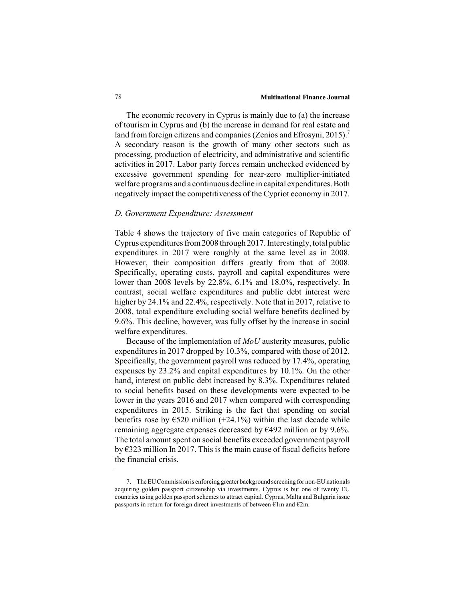#### 78 **Multinational Finance Journal**

The economic recovery in Cyprus is mainly due to (a) the increase of tourism in Cyprus and (b) the increase in demand for real estate and land from foreign citizens and companies (Zenios and Efrosyni, 2015).<sup>7</sup> A secondary reason is the growth of many other sectors such as processing, production of electricity, and administrative and scientific activities in 2017. Labor party forces remain unchecked evidenced by excessive government spending for near-zero multiplier-initiated welfare programs and a continuous decline in capital expenditures. Both negatively impact the competitiveness of the Cypriot economy in 2017.

## *D. Government Expenditure: Assessment*

Table 4 shows the trajectory of five main categories of Republic of Cyprus expenditures from 2008 through 2017. Interestingly, total public expenditures in 2017 were roughly at the same level as in 2008. However, their composition differs greatly from that of 2008. Specifically, operating costs, payroll and capital expenditures were lower than 2008 levels by 22.8%, 6.1% and 18.0%, respectively. In contrast, social welfare expenditures and public debt interest were higher by 24.1% and 22.4%, respectively. Note that in 2017, relative to 2008, total expenditure excluding social welfare benefits declined by 9.6%. This decline, however, was fully offset by the increase in social welfare expenditures.

Because of the implementation of *MoU* austerity measures, public expenditures in 2017 dropped by 10.3%, compared with those of 2012. Specifically, the government payroll was reduced by 17.4%, operating expenses by 23.2% and capital expenditures by 10.1%. On the other hand, interest on public debt increased by 8.3%. Expenditures related to social benefits based on these developments were expected to be lower in the years 2016 and 2017 when compared with corresponding expenditures in 2015. Striking is the fact that spending on social benefits rose by  $\epsilon$ 520 million (+24.1%) within the last decade while remaining aggregate expenses decreased by €492 million or by 9.6%. The total amount spent on social benefits exceeded government payroll by €323 million In 2017. This is the main cause of fiscal deficits before the financial crisis.

<sup>7.</sup> The EU Commission is enforcing greater background screening for non-EU nationals acquiring golden passport citizenship via investments. Cyprus is but one of twenty EU countries using golden passport schemes to attract capital. Cyprus, Malta and Bulgaria issue passports in return for foreign direct investments of between  $\epsilon$ 1m and  $\epsilon$ 2m.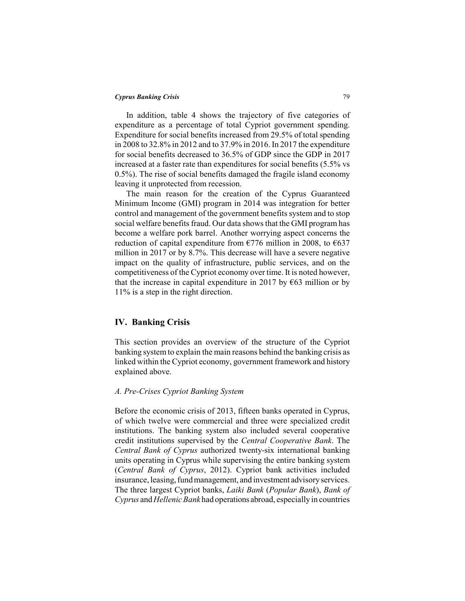In addition, table 4 shows the trajectory of five categories of expenditure as a percentage of total Cypriot government spending. Expenditure for social benefits increased from 29.5% of total spending in 2008 to 32.8% in 2012 and to 37.9% in 2016. In 2017 the expenditure for social benefits decreased to 36.5% of GDP since the GDP in 2017 increased at a faster rate than expenditures for social benefits (5.5% vs 0.5%). The rise of social benefits damaged the fragile island economy leaving it unprotected from recession.

The main reason for the creation of the Cyprus Guaranteed Minimum Income (GMI) program in 2014 was integration for better control and management of the government benefits system and to stop social welfare benefits fraud. Our data shows that the GMI program has become a welfare pork barrel. Another worrying aspect concerns the reduction of capital expenditure from  $\epsilon$ 776 million in 2008, to  $\epsilon$ 637 million in 2017 or by 8.7%. This decrease will have a severe negative impact on the quality of infrastructure, public services, and on the competitiveness of the Cypriot economy over time. It is noted however, that the increase in capital expenditure in 2017 by  $\epsilon$ 63 million or by 11% is a step in the right direction.

# **IV. Banking Crisis**

This section provides an overview of the structure of the Cypriot banking system to explain the main reasons behind the banking crisis as linked within the Cypriot economy, government framework and history explained above.

#### *A. Pre-Crises Cypriot Banking System*

Before the economic crisis of 2013, fifteen banks operated in Cyprus, of which twelve were commercial and three were specialized credit institutions. The banking system also included several cooperative credit institutions supervised by the *Central Cooperative Bank*. The *Central Bank of Cyprus* authorized twenty-six international banking units operating in Cyprus while supervising the entire banking system (*Central Bank of Cyprus*, 2012). Cypriot bank activities included insurance, leasing, fund management, and investment advisory services. The three largest Cypriot banks, *Laiki Bank* (*Popular Bank*), *Bank of Cyprus* and *Hellenic Bank* had operations abroad, especially in countries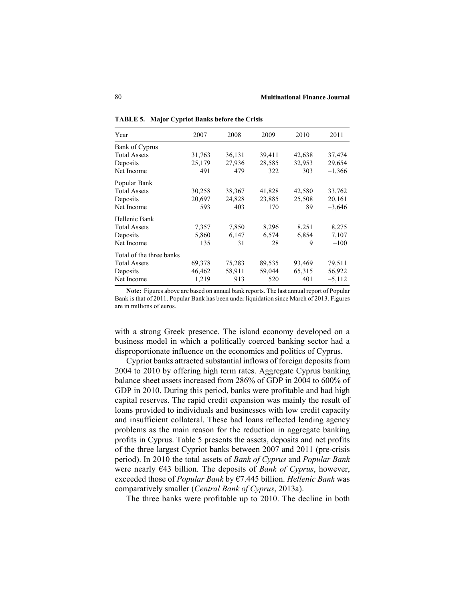| Year                     | 2007   | 2008   | 2009   | 2010   | 2011     |
|--------------------------|--------|--------|--------|--------|----------|
| Bank of Cyprus           |        |        |        |        |          |
| <b>Total Assets</b>      | 31,763 | 36,131 | 39,411 | 42,638 | 37,474   |
| Deposits                 | 25,179 | 27,936 | 28,585 | 32,953 | 29,654   |
| Net Income               | 491    | 479    | 322    | 303    | $-1,366$ |
| Popular Bank             |        |        |        |        |          |
| <b>Total Assets</b>      | 30,258 | 38,367 | 41,828 | 42,580 | 33,762   |
| Deposits                 | 20,697 | 24,828 | 23,885 | 25,508 | 20,161   |
| Net Income               | 593    | 403    | 170    | 89     | $-3,646$ |
| Hellenic Bank            |        |        |        |        |          |
| <b>Total Assets</b>      | 7,357  | 7,850  | 8,296  | 8,251  | 8,275    |
| Deposits                 | 5,860  | 6,147  | 6,574  | 6,854  | 7,107    |
| Net Income               | 135    | 31     | 28     | 9      | $-100$   |
| Total of the three banks |        |        |        |        |          |
| <b>Total Assets</b>      | 69,378 | 75,283 | 89,535 | 93,469 | 79,511   |
| Deposits                 | 46,462 | 58,911 | 59,044 | 65,315 | 56,922   |
| Net Income               | 1,219  | 913    | 520    | 401    | $-5,112$ |

**TABLE 5. Major Cypriot Banks before the Crisis**

**Note:** Figures above are based on annual bank reports. The last annual report of Popular Bank is that of 2011. Popular Bank has been under liquidation since March of 2013. Figures are in millions of euros.

with a strong Greek presence. The island economy developed on a business model in which a politically coerced banking sector had a disproportionate influence on the economics and politics of Cyprus.

Cypriot banks attracted substantial inflows of foreign deposits from 2004 to 2010 by offering high term rates. Aggregate Cyprus banking balance sheet assets increased from 286% of GDP in 2004 to 600% of GDP in 2010. During this period, banks were profitable and had high capital reserves. The rapid credit expansion was mainly the result of loans provided to individuals and businesses with low credit capacity and insufficient collateral. These bad loans reflected lending agency problems as the main reason for the reduction in aggregate banking profits in Cyprus. Table 5 presents the assets, deposits and net profits of the three largest Cypriot banks between 2007 and 2011 (pre-crisis period). In 2010 the total assets of *Bank of Cyprus* and *Popular Bank* were nearly €43 billion. The deposits of *Bank of Cyprus*, however, exceeded those of *Popular Bank* by €7.445 billion. *Hellenic Bank* was comparatively smaller (*Central Bank of Cyprus*, 2013a).

The three banks were profitable up to 2010. The decline in both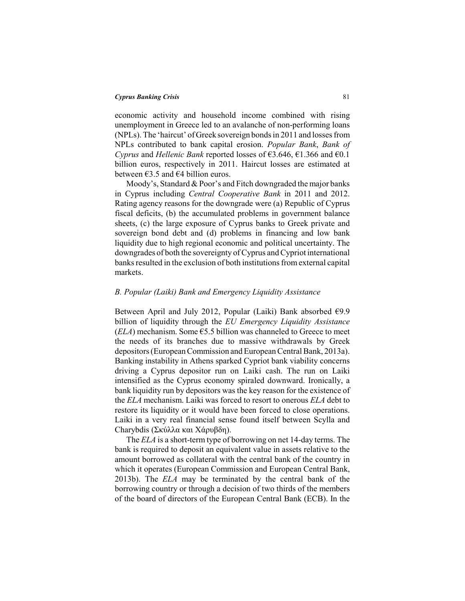economic activity and household income combined with rising unemployment in Greece led to an avalanche of non-performing loans (NPLs). The 'haircut' of Greek sovereign bonds in 2011 and losses from NPLs contributed to bank capital erosion. *Popular Bank*, *Bank of Cyprus* and *Hellenic Bank* reported losses of €3.646, €1.366 and €0.1 billion euros, respectively in 2011. Haircut losses are estimated at between  $\epsilon$ 3.5 and  $\epsilon$ 4 billion euros.

Moody's, Standard & Poor's and Fitch downgraded the major banks in Cyprus including *Central Cooperative Bank* in 2011 and 2012. Rating agency reasons for the downgrade were (a) Republic of Cyprus fiscal deficits, (b) the accumulated problems in government balance sheets, (c) the large exposure of Cyprus banks to Greek private and sovereign bond debt and (d) problems in financing and low bank liquidity due to high regional economic and political uncertainty. The downgrades of both the sovereignty of Cyprus and Cypriot international banks resulted in the exclusion of both institutions from external capital markets.

# *B. Popular (Laiki) Bank and Emergency Liquidity Assistance*

Between April and July 2012, Popular (Laiki) Bank absorbed €9.9 billion of liquidity through the *EU Emergency Liquidity Assistance*  $(ELA)$  mechanism. Some  $\epsilon$ 5.5 billion was channeled to Greece to meet the needs of its branches due to massive withdrawals by Greek depositors (European Commission and European Central Bank, 2013a). Banking instability in Athens sparked Cypriot bank viability concerns driving a Cyprus depositor run on Laiki cash. The run on Laiki intensified as the Cyprus economy spiraled downward. Ironically, a bank liquidity run by depositors was the key reason for the existence of the *ELA* mechanism. Laiki was forced to resort to onerous *ELA* debt to restore its liquidity or it would have been forced to close operations. Laiki in a very real financial sense found itself between Scylla and Charybdis (Σκύλλα και Χάρυβδη).

The *ELA* is a short-term type of borrowing on net 14-day terms. The bank is required to deposit an equivalent value in assets relative to the amount borrowed as collateral with the central bank of the country in which it operates (European Commission and European Central Bank, 2013b). The *ELA* may be terminated by the central bank of the borrowing country or through a decision of two thirds of the members of the board of directors of the European Central Bank (ECB). In the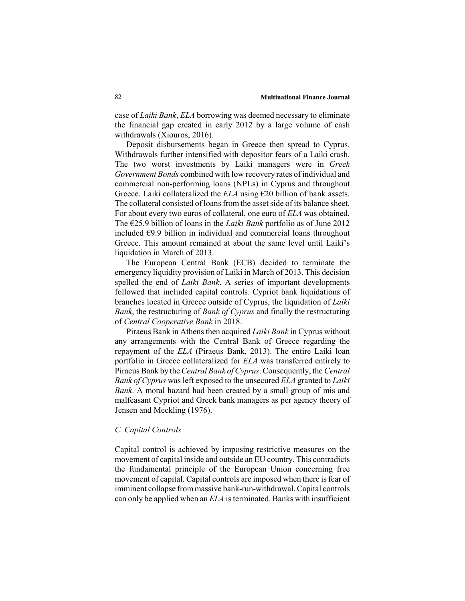case of *Laiki Bank*, *ELA* borrowing was deemed necessary to eliminate the financial gap created in early 2012 by a large volume of cash withdrawals (Xiouros, 2016).

Deposit disbursements began in Greece then spread to Cyprus. Withdrawals further intensified with depositor fears of a Laiki crash. The two worst investments by Laiki managers were in *Greek Government Bonds* combined with low recovery rates of individual and commercial non-performing loans (NPLs) in Cyprus and throughout Greece. Laiki collateralized the  $ELA$  using  $\epsilon$ 20 billion of bank assets. The collateral consisted of loans from the asset side of its balance sheet. For about every two euros of collateral, one euro of *ELA* was obtained. The €25.9 billion of loans in the *Laiki Bank* portfolio as of June 2012 included €9.9 billion in individual and commercial loans throughout Greece. This amount remained at about the same level until Laiki's liquidation in March of 2013.

The European Central Bank (ECB) decided to terminate the emergency liquidity provision of Laiki in March of 2013. This decision spelled the end of *Laiki Bank*. A series of important developments followed that included capital controls. Cypriot bank liquidations of branches located in Greece outside of Cyprus, the liquidation of *Laiki Bank*, the restructuring of *Bank of Cyprus* and finally the restructuring of *Central Cooperative Bank* in 2018.

Piraeus Bank in Athens then acquired *Laiki Bank* in Cyprus without any arrangements with the Central Bank of Greece regarding the repayment of the *ELA* (Piraeus Bank, 2013). The entire Laiki loan portfolio in Greece collateralized for *ELA* was transferred entirely to Piraeus Bank by the *Central Bank of Cyprus*. Consequently, the *Central Bank of Cyprus* was left exposed to the unsecured *ELA* granted to *Laiki Bank*. A moral hazard had been created by a small group of mis and malfeasant Cypriot and Greek bank managers as per agency theory of Jensen and Meckling (1976).

#### *C. Capital Controls*

Capital control is achieved by imposing restrictive measures on the movement of capital inside and outside an EU country. This contradicts the fundamental principle of the European Union concerning free movement of capital. Capital controls are imposed when there is fear of imminent collapse from massive bank-run-withdrawal. Capital controls can only be applied when an *ELA* is terminated. Banks with insufficient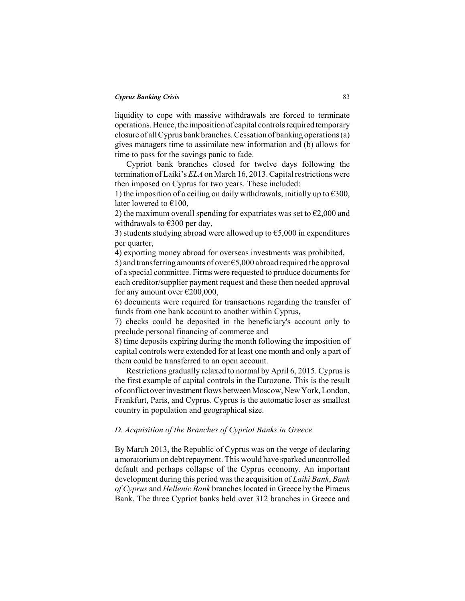liquidity to cope with massive withdrawals are forced to terminate operations. Hence, the imposition of capital controls required temporary closure of all Cyprus bank branches. Cessation of banking operations (a) gives managers time to assimilate new information and (b) allows for time to pass for the savings panic to fade.

Cypriot bank branches closed for twelve days following the termination of Laiki's *ELA* on March 16, 2013. Capital restrictions were then imposed on Cyprus for two years. These included:

1) the imposition of a ceiling on daily withdrawals, initially up to  $\epsilon$ 300, later lowered to  $€100$ ,

2) the maximum overall spending for expatriates was set to  $\epsilon$ 2,000 and withdrawals to  $\epsilon$ 300 per day,

3) students studying abroad were allowed up to  $\epsilon$ 5,000 in expenditures per quarter,

4) exporting money abroad for overseas investments was prohibited,

5) and transferring amounts of over €5,000 abroad required the approval of a special committee. Firms were requested to produce documents for each creditor/supplier payment request and these then needed approval for any amount over  $\epsilon$ 200,000,

6) documents were required for transactions regarding the transfer of funds from one bank account to another within Cyprus,

7) checks could be deposited in the beneficiary's account only to preclude personal financing of commerce and

8) time deposits expiring during the month following the imposition of capital controls were extended for at least one month and only a part of them could be transferred to an open account.

Restrictions gradually relaxed to normal by April 6, 2015. Cyprus is the first example of capital controls in the Eurozone. This is the result of conflict over investment flows between Moscow, New York, London, Frankfurt, Paris, and Cyprus. Cyprus is the automatic loser as smallest country in population and geographical size.

# *D. Acquisition of the Branches of Cypriot Banks in Greece*

By March 2013, the Republic of Cyprus was on the verge of declaring a moratorium on debt repayment. This would have sparked uncontrolled default and perhaps collapse of the Cyprus economy. An important development during this period was the acquisition of *Laiki Bank*, *Bank of Cyprus* and *Hellenic Bank* branches located in Greece by the Piraeus Bank. The three Cypriot banks held over 312 branches in Greece and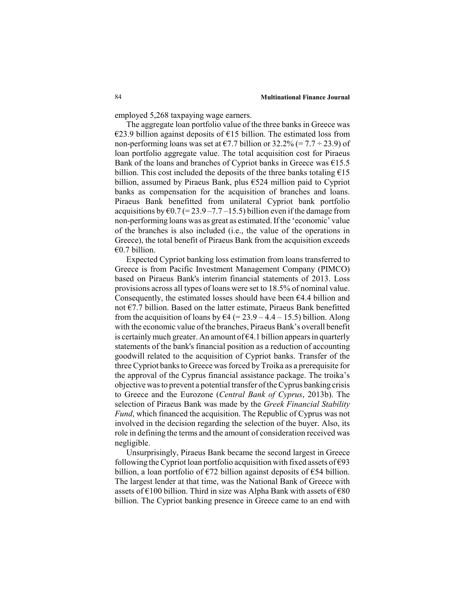employed 5,268 taxpaying wage earners.

The aggregate loan portfolio value of the three banks in Greece was €23.9 billion against deposits of €15 billion. The estimated loss from non-performing loans was set at  $\epsilon$ 7.7 billion or 32.2% (= 7.7 ÷ 23.9) of loan portfolio aggregate value. The total acquisition cost for Piraeus Bank of the loans and branches of Cypriot banks in Greece was  $£15.5$ billion. This cost included the deposits of the three banks totaling  $E15$ billion, assumed by Piraeus Bank, plus €524 million paid to Cypriot banks as compensation for the acquisition of branches and loans. Piraeus Bank benefitted from unilateral Cypriot bank portfolio acquisitions by  $\epsilon$ 0.7 (= 23.9 – 7.7 – 15.5) billion even if the damage from non-performing loans was as great as estimated. If the 'economic' value of the branches is also included (i.e., the value of the operations in Greece), the total benefit of Piraeus Bank from the acquisition exceeds €0.7 billion.

Expected Cypriot banking loss estimation from loans transferred to Greece is from Pacific Investment Management Company (PIMCO) based on Piraeus Bank's interim financial statements of 2013. Loss provisions across all types of loans were set to 18.5% of nominal value. Consequently, the estimated losses should have been  $64.4$  billion and not €7.7 billion. Based on the latter estimate, Piraeus Bank benefitted from the acquisition of loans by  $64 (= 23.9 - 4.4 - 15.5)$  billion. Along with the economic value of the branches, Piraeus Bank's overall benefit is certainly much greater. An amount of  $\epsilon$ 4.1 billion appears in quarterly statements of the bank's financial position as a reduction of accounting goodwill related to the acquisition of Cypriot banks. Transfer of the three Cypriot banks to Greece was forced by Troika as a prerequisite for the approval of the Cyprus financial assistance package. The troika's objective was to prevent a potential transfer of the Cyprus banking crisis to Greece and the Eurozone (*Central Bank of Cyprus*, 2013b). The selection of Piraeus Bank was made by the *Greek Financial Stability Fund*, which financed the acquisition. The Republic of Cyprus was not involved in the decision regarding the selection of the buyer. Also, its role in defining the terms and the amount of consideration received was negligible.

Unsurprisingly, Piraeus Bank became the second largest in Greece following the Cypriot loan portfolio acquisition with fixed assets of  $\epsilon$ 93 billion, a loan portfolio of  $\epsilon$ 72 billion against deposits of  $\epsilon$ 54 billion. The largest lender at that time, was the National Bank of Greece with assets of  $\epsilon$ 100 billion. Third in size was Alpha Bank with assets of  $\epsilon$ 80 billion. The Cypriot banking presence in Greece came to an end with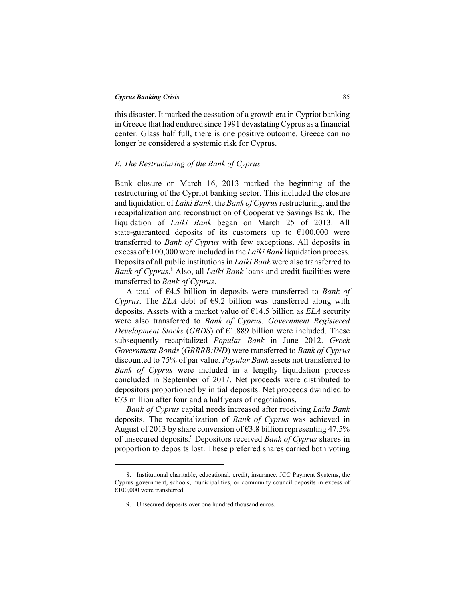this disaster. It marked the cessation of a growth era in Cypriot banking in Greece that had endured since 1991 devastating Cyprus as a financial center. Glass half full, there is one positive outcome. Greece can no longer be considered a systemic risk for Cyprus.

# *E. The Restructuring of the Bank of Cyprus*

Bank closure on March 16, 2013 marked the beginning of the restructuring of the Cypriot banking sector. This included the closure and liquidation of *Laiki Bank*, the *Bank of Cyprus* restructuring, and the recapitalization and reconstruction of Cooperative Savings Bank. The liquidation of *Laiki Bank* began on March 25 of 2013. All state-guaranteed deposits of its customers up to  $\epsilon$ 100,000 were transferred to *Bank of Cyprus* with few exceptions. All deposits in excess of €100,000 were included in the *Laiki Bank* liquidation process. Deposits of all public institutions in *Laiki Bank* were also transferred to Bank of Cyprus.<sup>8</sup> Also, all *Laiki Bank* loans and credit facilities were transferred to *Bank of Cyprus*.

A total of €4.5 billion in deposits were transferred to *Bank of Cyprus*. The *ELA* debt of  $\epsilon$ 9.2 billion was transferred along with deposits. Assets with a market value of €14.5 billion as *ELA* security were also transferred to *Bank of Cyprus*. *Government Registered Development Stocks* (*GRDS*) of  $E1.889$  billion were included. These subsequently recapitalized *Popular Bank* in June 2012. *Greek Government Bonds* (*GRRRB:IND*) were transferred to *Bank of Cyprus* discounted to 75% of par value. *Popular Bank* assets not transferred to *Bank of Cyprus* were included in a lengthy liquidation process concluded in September of 2017. Net proceeds were distributed to depositors proportioned by initial deposits. Net proceeds dwindled to  $E$ 73 million after four and a half years of negotiations.

*Bank of Cyprus* capital needs increased after receiving *Laiki Bank* deposits. The recapitalization of *Bank of Cyprus* was achieved in August of 2013 by share conversion of  $63.8$  billion representing 47.5% of unsecured deposits.9 Depositors received *Bank of Cyprus* shares in proportion to deposits lost. These preferred shares carried both voting

<sup>8.</sup> Institutional charitable, educational, credit, insurance, JCC Payment Systems, the Cyprus government, schools, municipalities, or community council deposits in excess of  $€100,000$  were transferred.

<sup>9.</sup> Unsecured deposits over one hundred thousand euros.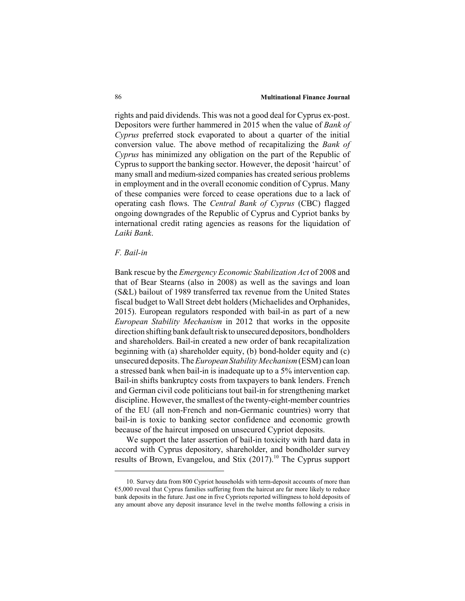#### 86 **Multinational Finance Journal**

rights and paid dividends. This was not a good deal for Cyprus ex-post. Depositors were further hammered in 2015 when the value of *Bank of Cyprus* preferred stock evaporated to about a quarter of the initial conversion value. The above method of recapitalizing the *Bank of Cyprus* has minimized any obligation on the part of the Republic of Cyprus to support the banking sector. However, the deposit 'haircut' of many small and medium-sized companies has created serious problems in employment and in the overall economic condition of Cyprus. Many of these companies were forced to cease operations due to a lack of operating cash flows. The *Central Bank of Cyprus* (CBC) flagged ongoing downgrades of the Republic of Cyprus and Cypriot banks by international credit rating agencies as reasons for the liquidation of *Laiki Bank*.

#### *F. Bail-in*

Bank rescue by the *Emergency Economic Stabilization Act* of 2008 and that of Bear Stearns (also in 2008) as well as the savings and loan (S&L) bailout of 1989 transferred tax revenue from the United States fiscal budget to Wall Street debt holders (Michaelides and Orphanides, 2015). European regulators responded with bail-in as part of a new *European Stability Mechanism* in 2012 that works in the opposite direction shifting bank default risk to unsecured depositors, bondholders and shareholders. Bail-in created a new order of bank recapitalization beginning with (a) shareholder equity, (b) bond-holder equity and (c) unsecured deposits. The *European Stability Mechanism* (ESM) can loan a stressed bank when bail-in is inadequate up to a 5% intervention cap. Bail-in shifts bankruptcy costs from taxpayers to bank lenders. French and German civil code politicians tout bail-in for strengthening market discipline. However, the smallest of the twenty-eight-member countries of the EU (all non-French and non-Germanic countries) worry that bail-in is toxic to banking sector confidence and economic growth because of the haircut imposed on unsecured Cypriot deposits.

We support the later assertion of bail-in toxicity with hard data in accord with Cyprus depository, shareholder, and bondholder survey results of Brown, Evangelou, and Stix (2017).<sup>10</sup> The Cyprus support

<sup>10.</sup> Survey data from 800 Cypriot households with term-deposit accounts of more than €5,000 reveal that Cyprus families suffering from the haircut are far more likely to reduce bank deposits in the future. Just one in five Cypriots reported willingness to hold deposits of any amount above any deposit insurance level in the twelve months following a crisis in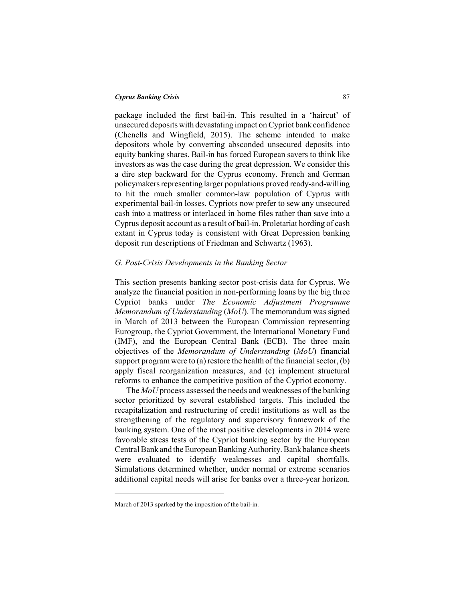package included the first bail-in. This resulted in a 'haircut' of unsecured deposits with devastating impact on Cypriot bank confidence (Chenells and Wingfield, 2015). The scheme intended to make depositors whole by converting absconded unsecured deposits into equity banking shares. Bail-in has forced European savers to think like investors as was the case during the great depression. We consider this a dire step backward for the Cyprus economy. French and German policymakers representing larger populations proved ready-and-willing to hit the much smaller common-law population of Cyprus with experimental bail-in losses. Cypriots now prefer to sew any unsecured cash into a mattress or interlaced in home files rather than save into a Cyprus deposit account as a result of bail-in. Proletariat hording of cash extant in Cyprus today is consistent with Great Depression banking deposit run descriptions of Friedman and Schwartz (1963).

# *G. Post-Crisis Developments in the Banking Sector*

This section presents banking sector post-crisis data for Cyprus. We analyze the financial position in non-performing loans by the big three Cypriot banks under *The Economic Adjustment Programme Memorandum of Understanding* (*MoU*). The memorandum was signed in March of 2013 between the European Commission representing Eurogroup, the Cypriot Government, the International Monetary Fund (IMF), and the European Central Bank (ECB). The three main objectives of the *Memorandum of Understanding* (*MoU*) financial support program were to (a) restore the health of the financial sector,  $(b)$ apply fiscal reorganization measures, and (c) implement structural reforms to enhance the competitive position of the Cypriot economy.

The *MoU* process assessed the needs and weaknesses of the banking sector prioritized by several established targets. This included the recapitalization and restructuring of credit institutions as well as the strengthening of the regulatory and supervisory framework of the banking system. One of the most positive developments in 2014 were favorable stress tests of the Cypriot banking sector by the European Central Bank and the European Banking Authority. Bank balance sheets were evaluated to identify weaknesses and capital shortfalls. Simulations determined whether, under normal or extreme scenarios additional capital needs will arise for banks over a three-year horizon.

March of 2013 sparked by the imposition of the bail-in.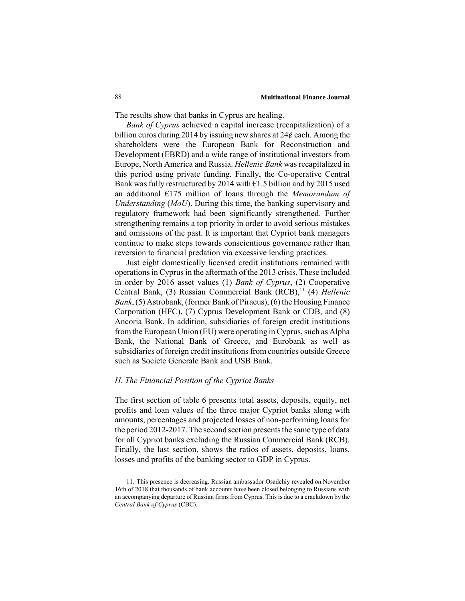The results show that banks in Cyprus are healing.

*Bank of Cyprus* achieved a capital increase (recapitalization) of a billion euros during 2014 by issuing new shares at  $24¢$  each. Among the shareholders were the European Bank for Reconstruction and Development (EBRD) and a wide range of institutional investors from Europe, North America and Russia. *Hellenic Bank* was recapitalized in this period using private funding. Finally, the Co-operative Central Bank was fully restructured by 2014 with  $\epsilon$ 1.5 billion and by 2015 used an additional €175 million of loans through the *Memorandum of Understanding* (*MoU*). During this time, the banking supervisory and regulatory framework had been significantly strengthened. Further strengthening remains a top priority in order to avoid serious mistakes and omissions of the past. It is important that Cypriot bank managers continue to make steps towards conscientious governance rather than reversion to financial predation via excessive lending practices.

Just eight domestically licensed credit institutions remained with operations in Cyprus in the aftermath of the 2013 crisis. These included in order by 2016 asset values (1) *Bank of Cyprus*, (2) Cooperative Central Bank, (3) Russian Commercial Bank (RCB),<sup>11</sup> (4) *Hellenic Bank*, (5) Astrobank, (former Bank of Piraeus), (6) the Housing Finance Corporation (HFC), (7) Cyprus Development Bank or CDB, and (8) Ancoria Bank. In addition, subsidiaries of foreign credit institutions from the European Union (EU) were operating in Cyprus, such as Alpha Bank, the National Bank of Greece, and Eurobank as well as subsidiaries of foreign credit institutions from countries outside Greece such as Societe Generale Bank and USB Bank.

# *H. The Financial Position of the Cypriot Banks*

The first section of table 6 presents total assets, deposits, equity, net profits and loan values of the three major Cypriot banks along with amounts, percentages and projected losses of non-performing loans for the period 2012-2017. The second section presents the same type of data for all Cypriot banks excluding the Russian Commercial Bank (RCB). Finally, the last section, shows the ratios of assets, deposits, loans, losses and profits of the banking sector to GDP in Cyprus.

<sup>11.</sup> This presence is decreasing. Russian ambassador Osadchiy revealed on November 16th of 2018 that thousands of bank accounts have been closed belonging to Russians with an accompanying departure of Russian firms from Cyprus. This is due to a crackdown by the *Central Bank of Cyprus* (CBC).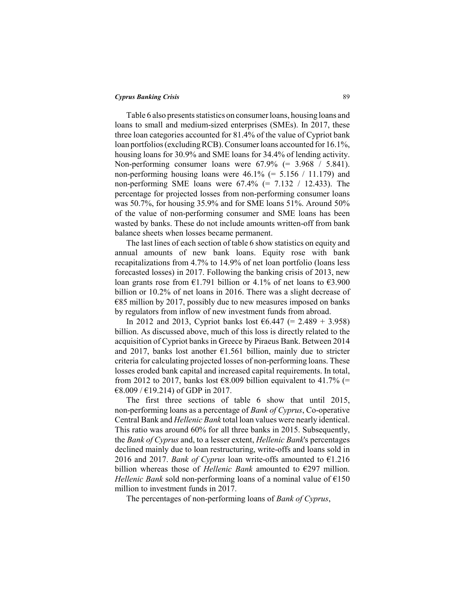Table 6 also presents statistics on consumer loans, housing loans and loans to small and medium-sized enterprises (SMEs). In 2017, these three loan categories accounted for 81.4% of the value of Cypriot bank loan portfolios (excluding RCB). Consumer loans accounted for 16.1%, housing loans for 30.9% and SME loans for 34.4% of lending activity. Non-performing consumer loans were  $67.9\%$  (= 3.968 / 5.841). non-performing housing loans were  $46.1\%$  (= 5.156 / 11.179) and non-performing SME loans were  $67.4\%$  (=  $7.132 / 12.433$ ). The percentage for projected losses from non-performing consumer loans was 50.7%, for housing 35.9% and for SME loans 51%. Around 50% of the value of non-performing consumer and SME loans has been wasted by banks. These do not include amounts written-off from bank balance sheets when losses became permanent.

The last lines of each section of table 6 show statistics on equity and annual amounts of new bank loans. Equity rose with bank recapitalizations from 4.7% to 14.9% of net loan portfolio (loans less forecasted losses) in 2017. Following the banking crisis of 2013, new loan grants rose from  $\epsilon$ 1.791 billion or 4.1% of net loans to  $\epsilon$ 3.900 billion or 10.2% of net loans in 2016. There was a slight decrease of  $E85$  million by 2017, possibly due to new measures imposed on banks by regulators from inflow of new investment funds from abroad.

In 2012 and 2013, Cypriot banks lost  $6.447$  (= 2.489 + 3.958) billion. As discussed above, much of this loss is directly related to the acquisition of Cypriot banks in Greece by Piraeus Bank. Between 2014 and 2017, banks lost another  $\epsilon$ 1.561 billion, mainly due to stricter criteria for calculating projected losses of non-performing loans. These losses eroded bank capital and increased capital requirements. In total, from 2012 to 2017, banks lost  $\epsilon$ 8.009 billion equivalent to 41.7% (=  $€8.009 / €19.214$ ) of GDP in 2017.

The first three sections of table 6 show that until 2015, non-performing loans as a percentage of *Bank of Cyprus*, Co-operative Central Bank and *Hellenic Bank* total loan values were nearly identical. This ratio was around 60% for all three banks in 2015. Subsequently, the *Bank of Cyprus* and, to a lesser extent, *Hellenic Bank*'s percentages declined mainly due to loan restructuring, write-offs and loans sold in 2016 and 2017. *Bank of Cyprus* loan write-offs amounted to €1.216 billion whereas those of *Hellenic Bank* amounted to €297 million. *Hellenic Bank* sold non-performing loans of a nominal value of  $E$ 150 million to investment funds in 2017.

The percentages of non-performing loans of *Bank of Cyprus*,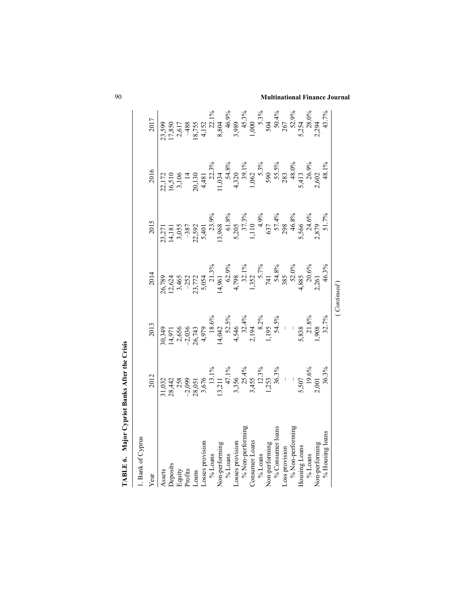| <b>TABLE 6. Major Cypriot Banks After the Crisis</b> |                                                                                                                                              |                                                                                       |                                                                                                               |                                                                                                                                                                                                                                                                     |                                                                                                                                                                                                                                                                                                   |                                                                                   |
|------------------------------------------------------|----------------------------------------------------------------------------------------------------------------------------------------------|---------------------------------------------------------------------------------------|---------------------------------------------------------------------------------------------------------------|---------------------------------------------------------------------------------------------------------------------------------------------------------------------------------------------------------------------------------------------------------------------|---------------------------------------------------------------------------------------------------------------------------------------------------------------------------------------------------------------------------------------------------------------------------------------------------|-----------------------------------------------------------------------------------|
| 1. Bank of Cyprus                                    |                                                                                                                                              |                                                                                       |                                                                                                               |                                                                                                                                                                                                                                                                     |                                                                                                                                                                                                                                                                                                   |                                                                                   |
| Year                                                 | 2012                                                                                                                                         | 2013                                                                                  | 2014                                                                                                          | 2015                                                                                                                                                                                                                                                                | 2016                                                                                                                                                                                                                                                                                              | 2017                                                                              |
| Assets                                               | 31,032                                                                                                                                       | 30,349                                                                                |                                                                                                               |                                                                                                                                                                                                                                                                     |                                                                                                                                                                                                                                                                                                   | 23,599                                                                            |
|                                                      |                                                                                                                                              |                                                                                       | 26,789<br>12,624<br>3,465<br>3,455<br>5,054<br>5,172<br>5,19%<br>4,352<br>741<br>5,285<br>385<br>385<br>3,885 | $\begin{array}{l} 23,271\\ 14,181\\ 3,055\\ 22,592\\ 5,401\\ 5,401\\ 5,206\\ 5,206\\ 11,10\\ 637\\ 4,9\%\\ 637\\ 49\%\\ 638\%\\ 7,3\%\\ 638\%\\ 7,4\%\\ 7,4\%\\ 8\%\\ 7,4\%\\ 2,879\%\\ 2,46\%\\ 2,46\%\\ 2,879\%\\ 2,879\%\\ 2,879\%\\ 2,879\%\\ 2,879\%\\ 2,879\$ | $\begin{array}{r} 22.172 \\ 16,510 \\ 3,106 \\ 20,130 \\ 4,481 \\ 1,034 \\ 4,320 \\ 5,33\% \\ 5,33\% \\ 5,33\% \\ 5,413 \\ 6,62 \\ 7,413 \\ 6,62 \\ 7,602 \\ 2,602 \\ 2,602 \\ 2,602 \\ 2,602 \\ 2,602 \\ 2,602 \\ 2,602 \\ 2,602 \\ 2,602 \\ 2,602 \\ 2,602 \\ 2,602 \\ 2,602 \\ 2,602 \\ 2,602$ |                                                                                   |
| Deposits<br>Equity<br>Profits                        | 28, 442<br>258<br>25, 099<br>28, 051<br>3, 5676<br>13, 211<br>3, 354%<br>3, 362%<br>3, 507<br>5, 507<br>5, 507<br>5, 507<br>5, 507<br>5, 906 | 14,971<br>2,656<br>2,656<br>2,6743<br>4,979<br>4,974<br>4,5%<br>4,5%<br>4,5%<br>54.5% |                                                                                                               |                                                                                                                                                                                                                                                                     |                                                                                                                                                                                                                                                                                                   | $17,850$<br>$2,617$<br>$488$<br>$4,152$<br>$4,152$<br>$2,1\%$<br>$8,804$<br>8.804 |
|                                                      |                                                                                                                                              |                                                                                       |                                                                                                               |                                                                                                                                                                                                                                                                     |                                                                                                                                                                                                                                                                                                   |                                                                                   |
| L <sub>o</sub> ans                                   |                                                                                                                                              |                                                                                       |                                                                                                               |                                                                                                                                                                                                                                                                     |                                                                                                                                                                                                                                                                                                   |                                                                                   |
| Losses provision                                     |                                                                                                                                              |                                                                                       |                                                                                                               |                                                                                                                                                                                                                                                                     |                                                                                                                                                                                                                                                                                                   |                                                                                   |
| $\%$ Loans                                           |                                                                                                                                              |                                                                                       |                                                                                                               |                                                                                                                                                                                                                                                                     |                                                                                                                                                                                                                                                                                                   |                                                                                   |
| Non-performing                                       |                                                                                                                                              |                                                                                       |                                                                                                               |                                                                                                                                                                                                                                                                     |                                                                                                                                                                                                                                                                                                   |                                                                                   |
| $\%$ Loans                                           |                                                                                                                                              |                                                                                       |                                                                                                               |                                                                                                                                                                                                                                                                     |                                                                                                                                                                                                                                                                                                   |                                                                                   |
| Losses provision                                     |                                                                                                                                              |                                                                                       |                                                                                                               |                                                                                                                                                                                                                                                                     |                                                                                                                                                                                                                                                                                                   |                                                                                   |
| % Non-performing                                     |                                                                                                                                              |                                                                                       |                                                                                                               |                                                                                                                                                                                                                                                                     |                                                                                                                                                                                                                                                                                                   | 46.9%<br>3,989<br>45.3%<br>45.3%<br>50.4%<br>50.34<br>5,254<br>5,254              |
| Consumer Loans                                       |                                                                                                                                              |                                                                                       |                                                                                                               |                                                                                                                                                                                                                                                                     |                                                                                                                                                                                                                                                                                                   |                                                                                   |
| $\%$ Loans                                           |                                                                                                                                              |                                                                                       |                                                                                                               |                                                                                                                                                                                                                                                                     |                                                                                                                                                                                                                                                                                                   |                                                                                   |
| Non-performing                                       |                                                                                                                                              |                                                                                       |                                                                                                               |                                                                                                                                                                                                                                                                     |                                                                                                                                                                                                                                                                                                   |                                                                                   |
| % Consumer loans                                     |                                                                                                                                              |                                                                                       |                                                                                                               |                                                                                                                                                                                                                                                                     |                                                                                                                                                                                                                                                                                                   |                                                                                   |
| Loss provision                                       |                                                                                                                                              |                                                                                       |                                                                                                               |                                                                                                                                                                                                                                                                     |                                                                                                                                                                                                                                                                                                   |                                                                                   |
| % Non-performing                                     |                                                                                                                                              |                                                                                       |                                                                                                               |                                                                                                                                                                                                                                                                     |                                                                                                                                                                                                                                                                                                   |                                                                                   |
| Housing Loans                                        |                                                                                                                                              |                                                                                       |                                                                                                               |                                                                                                                                                                                                                                                                     |                                                                                                                                                                                                                                                                                                   |                                                                                   |
| % Loans                                              |                                                                                                                                              |                                                                                       | 20.6%                                                                                                         |                                                                                                                                                                                                                                                                     |                                                                                                                                                                                                                                                                                                   |                                                                                   |
| Non-performing                                       | 2,001                                                                                                                                        | $5,838$<br>21.8%<br>1,908                                                             | 2,261                                                                                                         |                                                                                                                                                                                                                                                                     |                                                                                                                                                                                                                                                                                                   | 2,294                                                                             |
| % Housing loans                                      | 36.3%                                                                                                                                        | 32.7%                                                                                 | 46.3%                                                                                                         | 51.7%                                                                                                                                                                                                                                                               | 48.1%                                                                                                                                                                                                                                                                                             | 43.7%                                                                             |
|                                                      |                                                                                                                                              |                                                                                       | (Continued)                                                                                                   |                                                                                                                                                                                                                                                                     |                                                                                                                                                                                                                                                                                                   |                                                                                   |

90 **Multinational Finance Journal**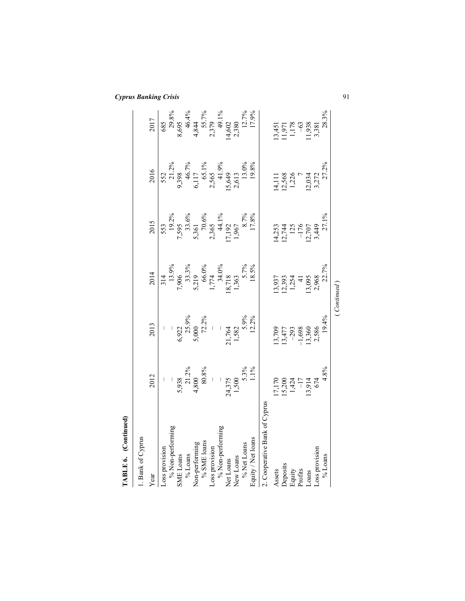| TABLE 6. (Continued)          |                                                                                                |                                                                                                   |                                                                                                                                                                                   |                                                                                   |                                                                                       |                                                                                                             |
|-------------------------------|------------------------------------------------------------------------------------------------|---------------------------------------------------------------------------------------------------|-----------------------------------------------------------------------------------------------------------------------------------------------------------------------------------|-----------------------------------------------------------------------------------|---------------------------------------------------------------------------------------|-------------------------------------------------------------------------------------------------------------|
| 1. Bank of Cyprus             |                                                                                                |                                                                                                   |                                                                                                                                                                                   |                                                                                   |                                                                                       |                                                                                                             |
| Year                          | 2012                                                                                           | 2013                                                                                              | 2014                                                                                                                                                                              | 2015                                                                              | 2016                                                                                  | 2017                                                                                                        |
| Loss provision                | $\mid$                                                                                         |                                                                                                   |                                                                                                                                                                                   |                                                                                   |                                                                                       |                                                                                                             |
| % Non-performing              |                                                                                                |                                                                                                   |                                                                                                                                                                                   |                                                                                   |                                                                                       |                                                                                                             |
| SME Loans                     | $5,938$<br>21.2%<br>4,800<br>4,80.8%                                                           |                                                                                                   |                                                                                                                                                                                   |                                                                                   |                                                                                       |                                                                                                             |
| $\%$ Loans                    |                                                                                                |                                                                                                   |                                                                                                                                                                                   |                                                                                   |                                                                                       |                                                                                                             |
| Non-performing                |                                                                                                |                                                                                                   |                                                                                                                                                                                   |                                                                                   |                                                                                       |                                                                                                             |
| $\%$ SME loans                |                                                                                                |                                                                                                   |                                                                                                                                                                                   |                                                                                   |                                                                                       |                                                                                                             |
| Loss provision                |                                                                                                |                                                                                                   |                                                                                                                                                                                   |                                                                                   |                                                                                       |                                                                                                             |
| % Non-performing              |                                                                                                |                                                                                                   |                                                                                                                                                                                   |                                                                                   |                                                                                       |                                                                                                             |
| Net Loans                     |                                                                                                |                                                                                                   |                                                                                                                                                                                   |                                                                                   |                                                                                       |                                                                                                             |
| New Loans                     |                                                                                                |                                                                                                   |                                                                                                                                                                                   |                                                                                   |                                                                                       |                                                                                                             |
| % Net Loans                   |                                                                                                |                                                                                                   |                                                                                                                                                                                   |                                                                                   |                                                                                       |                                                                                                             |
| Equity / Net loans            | $24,375$<br>1,500<br>5.3%<br>5.3%                                                              | $6,922$<br>$5,000$<br>$5,000$<br>$72.2\%$<br>$-2,764$<br>$1,582$<br>$5,9\%$<br>$1,582$<br>$5,9\%$ | $\begin{array}{r} 314 \\ 13.996 \\ 7,906 \\ 5,219 \\ 5,714 \\ 1,774 \\ 18,718 \\ 18,718 \\ 5,796 \\ 18,718 \\ 5,796 \\ 5,796 \\ 13.56 \\ 7,796 \\ 8,718 \\ 18.596 \\ \end{array}$ | 553<br>19.2%<br>7,595<br>5,361<br>5,361<br>7,192<br>1,967<br>8,7%<br>8,7%<br>8,7% | 552<br>21.2%<br>9.398<br>6.117<br>6.117<br>5.565<br>4.9%<br>13.043<br>13.05<br>13.08% | 685<br>29.8%<br>8,695<br>4,644<br>4,644<br>4,55.7%<br>14,602<br>12.7%<br>12.7%<br>17.9%                     |
| 2. Cooperative Bank of Cyprus |                                                                                                |                                                                                                   |                                                                                                                                                                                   |                                                                                   |                                                                                       |                                                                                                             |
| Assets                        |                                                                                                | 13,709                                                                                            |                                                                                                                                                                                   |                                                                                   |                                                                                       |                                                                                                             |
|                               | $17,170$<br>$15,200$<br>$14,24$<br>$-17$<br>$-17$<br>$-17$<br>$-17$<br>$-17$<br>$-17$<br>$-17$ |                                                                                                   |                                                                                                                                                                                   | $14,253$<br>12,744<br>125<br>176<br>17,707<br>13,449                              | 14,111<br>12,568<br>1,226<br>1,226                                                    |                                                                                                             |
| Deposits<br>Equity<br>Profits |                                                                                                | $13,477$<br>$-293$<br>$-1,698$<br>$13,360$<br>$2,586$                                             |                                                                                                                                                                                   |                                                                                   |                                                                                       |                                                                                                             |
|                               |                                                                                                |                                                                                                   |                                                                                                                                                                                   |                                                                                   |                                                                                       |                                                                                                             |
| Loans                         |                                                                                                |                                                                                                   |                                                                                                                                                                                   |                                                                                   |                                                                                       |                                                                                                             |
| Loss provision                |                                                                                                |                                                                                                   |                                                                                                                                                                                   |                                                                                   |                                                                                       |                                                                                                             |
| $\%$ Loans                    | 4.8%                                                                                           | 19.4%                                                                                             | 13,937<br>12,393<br>1,254<br>13,095<br>13,095<br>2,968<br>2,2,7%                                                                                                                  | 27.1%                                                                             | $12,034$<br>3,272<br>27.2%                                                            | $\begin{array}{l} 13,451\\ 11,971\\ 11,78\\ 11,78\\ 13,938\\ 11,938\\ 3,381\\ 3,381\\ 28,3\%\\ \end{array}$ |
|                               |                                                                                                |                                                                                                   | (Continued)                                                                                                                                                                       |                                                                                   |                                                                                       |                                                                                                             |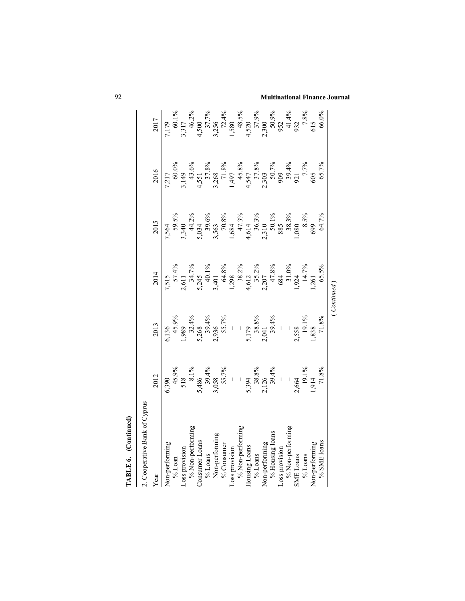| TABLE 6. (Continued)          |                                                                                       |                                                                   |                                                                                                                             |                                                                                                          |                                                                                                                                                           |                                                                                                                                            |
|-------------------------------|---------------------------------------------------------------------------------------|-------------------------------------------------------------------|-----------------------------------------------------------------------------------------------------------------------------|----------------------------------------------------------------------------------------------------------|-----------------------------------------------------------------------------------------------------------------------------------------------------------|--------------------------------------------------------------------------------------------------------------------------------------------|
| 2. Cooperative Bank of Cyprus |                                                                                       |                                                                   |                                                                                                                             |                                                                                                          |                                                                                                                                                           |                                                                                                                                            |
| Year                          | 2012                                                                                  | 2013                                                              | 2014                                                                                                                        | 2015                                                                                                     | 2016                                                                                                                                                      | 2017                                                                                                                                       |
| Non-performing                |                                                                                       |                                                                   |                                                                                                                             |                                                                                                          | $7,217$ $4,500$ $4,551$ $3,149$ $3,268$ $1,497$ $1,497$ $4,531$ $1,497$ $4,58\%$ $4,547$ $37.8\%$ $37.8\%$ $37.8\%$ $37.8\%$ $30.7\%$ $909$ $921$ $7.7\%$ | 7, 179<br>60.1%<br>3, 317<br>4, 500<br>3, 256<br>1, 37, 9%<br>1, 48, 50<br>952<br>952<br>952<br>952<br>952<br>952<br>7, 8%<br>952<br>7, 8% |
| $\%$ Loan                     |                                                                                       |                                                                   |                                                                                                                             |                                                                                                          |                                                                                                                                                           |                                                                                                                                            |
| Loss provision                | 6,390<br>45.9%<br>518<br>518<br>5,394%<br>5,394%<br>5,394%<br>71.8%<br>71.8%<br>71.8% | $6,136$<br>$45.9\%$<br>$1,989$<br>$32.4\%$<br>$5,268$<br>$39.4\%$ | 7,515<br>57.4%<br>5.47%<br>34.7%<br>4,612<br>4,612<br>4,612<br>4,510%<br>4,622<br>47.8%<br>31.0%<br>31.0%<br>14.7%<br>14.7% | 7,564<br>59.5%<br>3,340<br>5,034<br>5,034<br>3,563<br>1,085<br>4,614<br>36.3%<br>50.1%<br>38.3%<br>38.3% |                                                                                                                                                           |                                                                                                                                            |
| % Non-performing              |                                                                                       |                                                                   |                                                                                                                             |                                                                                                          |                                                                                                                                                           |                                                                                                                                            |
| Consumer Loans                |                                                                                       |                                                                   |                                                                                                                             |                                                                                                          |                                                                                                                                                           |                                                                                                                                            |
| $\%$ Loans                    |                                                                                       |                                                                   |                                                                                                                             |                                                                                                          |                                                                                                                                                           |                                                                                                                                            |
| Non-performing                |                                                                                       |                                                                   |                                                                                                                             |                                                                                                          |                                                                                                                                                           |                                                                                                                                            |
| % Consumer                    |                                                                                       |                                                                   |                                                                                                                             |                                                                                                          |                                                                                                                                                           |                                                                                                                                            |
| Loss provision                |                                                                                       |                                                                   |                                                                                                                             |                                                                                                          |                                                                                                                                                           |                                                                                                                                            |
| % Non-performing              |                                                                                       |                                                                   |                                                                                                                             |                                                                                                          |                                                                                                                                                           |                                                                                                                                            |
| Housing Loans                 |                                                                                       |                                                                   |                                                                                                                             |                                                                                                          |                                                                                                                                                           |                                                                                                                                            |
| $\%$ Loans                    |                                                                                       |                                                                   |                                                                                                                             |                                                                                                          |                                                                                                                                                           |                                                                                                                                            |
| Non-performing                |                                                                                       | 2,936<br>55.7%<br>5,179<br>5,179<br>2,041<br>2,9.4%               |                                                                                                                             |                                                                                                          |                                                                                                                                                           |                                                                                                                                            |
| % Housing loans               |                                                                                       |                                                                   |                                                                                                                             |                                                                                                          |                                                                                                                                                           |                                                                                                                                            |
| Loss provision                |                                                                                       |                                                                   |                                                                                                                             |                                                                                                          |                                                                                                                                                           |                                                                                                                                            |
| % Non-performing              |                                                                                       |                                                                   |                                                                                                                             |                                                                                                          |                                                                                                                                                           |                                                                                                                                            |
| <b>SME</b> Loans              |                                                                                       |                                                                   |                                                                                                                             |                                                                                                          |                                                                                                                                                           |                                                                                                                                            |
| $\%$ Loans                    |                                                                                       | $2,558$<br>19.1%<br>1,838                                         |                                                                                                                             | $699$<br>699                                                                                             |                                                                                                                                                           |                                                                                                                                            |
| Non-performing                |                                                                                       |                                                                   |                                                                                                                             |                                                                                                          | 605                                                                                                                                                       |                                                                                                                                            |
| % SME loans                   |                                                                                       | $71.8\%$                                                          | 65.5%                                                                                                                       | 64.7%                                                                                                    | 65.7%                                                                                                                                                     | 66.0%                                                                                                                                      |
|                               |                                                                                       |                                                                   | (Continued)                                                                                                                 |                                                                                                          |                                                                                                                                                           |                                                                                                                                            |

92 **Multinational Finance Journal**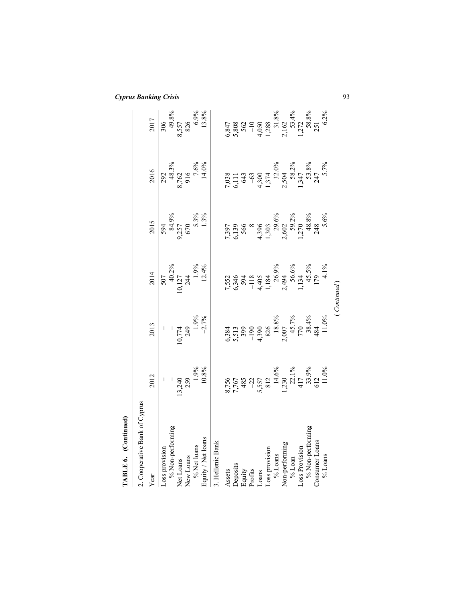| TABLE 6. (Continued)          |                                                                          |                                                                                                             |                                                                                                                                   |                                                                                                                                            |                                                                                                                                                                                            |                                                                                                                                            |
|-------------------------------|--------------------------------------------------------------------------|-------------------------------------------------------------------------------------------------------------|-----------------------------------------------------------------------------------------------------------------------------------|--------------------------------------------------------------------------------------------------------------------------------------------|--------------------------------------------------------------------------------------------------------------------------------------------------------------------------------------------|--------------------------------------------------------------------------------------------------------------------------------------------|
| 2. Cooperative Bank of Cyprus |                                                                          |                                                                                                             |                                                                                                                                   |                                                                                                                                            |                                                                                                                                                                                            |                                                                                                                                            |
| Year                          | 2012                                                                     | 2013                                                                                                        | 2014                                                                                                                              | 2015                                                                                                                                       | 2016                                                                                                                                                                                       | 2017                                                                                                                                       |
| Loss provision                | $\mid$                                                                   |                                                                                                             |                                                                                                                                   |                                                                                                                                            |                                                                                                                                                                                            |                                                                                                                                            |
| % Non-performing              |                                                                          |                                                                                                             |                                                                                                                                   |                                                                                                                                            |                                                                                                                                                                                            |                                                                                                                                            |
| Net Loans                     |                                                                          |                                                                                                             |                                                                                                                                   |                                                                                                                                            |                                                                                                                                                                                            |                                                                                                                                            |
|                               |                                                                          |                                                                                                             |                                                                                                                                   |                                                                                                                                            |                                                                                                                                                                                            |                                                                                                                                            |
| New Loans<br>% Net loans      |                                                                          |                                                                                                             |                                                                                                                                   |                                                                                                                                            |                                                                                                                                                                                            |                                                                                                                                            |
| Equity / Net loans            | $13,240$<br>259<br>1.9%<br>10.8%                                         | $10,774$<br>249<br>1.9%<br>-2.7%                                                                            | $\begin{array}{r} 507 \\ 40.2\% \\ 10,127 \\ 244 \\ 1.9\% \\ 1.2\% \end{array}$                                                   | $594$<br>84.9%<br>9,257<br>670<br>670<br>5.3%                                                                                              | $\begin{array}{c}\n 292 \\  48.3\% \\  8,762 \\  \hline\n 916 \\  7.6\% \\  14.0\% \n\end{array}$                                                                                          | 306<br>49.8%<br>8,557<br>826<br>6.9%<br>13.8%                                                                                              |
| 3. Hellenic Bank              |                                                                          |                                                                                                             |                                                                                                                                   |                                                                                                                                            |                                                                                                                                                                                            |                                                                                                                                            |
| Assets                        |                                                                          |                                                                                                             |                                                                                                                                   |                                                                                                                                            |                                                                                                                                                                                            |                                                                                                                                            |
|                               |                                                                          | 6,384<br>5,513<br>5,513<br>9900<br>13,8%<br>826<br>7,7%<br>7,7%<br>7,844<br>7,7%<br>7,844<br>7,000<br>7,844 | $7,552$<br>$6,346$<br>$-118$<br>$-118$<br>$-118$<br>$-1184$<br>$-26.9%$<br>$-36.8%$<br>$-36.8%$<br>$-36.8%$<br>$-134$<br>$-45.5%$ |                                                                                                                                            |                                                                                                                                                                                            | $6,847$<br>$5,808$<br>$5,603$<br>$-105$<br>$1,288$<br>$1,288$<br>$1,218$<br>$1,272$<br>$1,272$<br>$58,8\%$<br>$1,272$<br>$58,8\%$<br>$251$ |
|                               |                                                                          |                                                                                                             |                                                                                                                                   |                                                                                                                                            |                                                                                                                                                                                            |                                                                                                                                            |
| Deposits<br>Equity<br>Profits |                                                                          |                                                                                                             |                                                                                                                                   |                                                                                                                                            |                                                                                                                                                                                            |                                                                                                                                            |
| Loans                         |                                                                          |                                                                                                             |                                                                                                                                   |                                                                                                                                            |                                                                                                                                                                                            |                                                                                                                                            |
| Loss provision                |                                                                          |                                                                                                             |                                                                                                                                   |                                                                                                                                            |                                                                                                                                                                                            |                                                                                                                                            |
| $\%$ Loans                    |                                                                          |                                                                                                             |                                                                                                                                   |                                                                                                                                            |                                                                                                                                                                                            |                                                                                                                                            |
| Non-performing                |                                                                          |                                                                                                             |                                                                                                                                   |                                                                                                                                            |                                                                                                                                                                                            |                                                                                                                                            |
| $\%$ Loan                     |                                                                          |                                                                                                             |                                                                                                                                   |                                                                                                                                            |                                                                                                                                                                                            |                                                                                                                                            |
| Loss Provision                |                                                                          |                                                                                                             |                                                                                                                                   |                                                                                                                                            |                                                                                                                                                                                            |                                                                                                                                            |
| % Non-performing              |                                                                          |                                                                                                             |                                                                                                                                   |                                                                                                                                            |                                                                                                                                                                                            |                                                                                                                                            |
| Consumer Loans                |                                                                          |                                                                                                             |                                                                                                                                   |                                                                                                                                            |                                                                                                                                                                                            |                                                                                                                                            |
| $\%$ Loans                    | 8,756<br>7,767<br>485<br>417<br>417<br>5,39%<br>5,110%<br>33,9%<br>33,9% | 11.0%                                                                                                       | $4.1\%$                                                                                                                           | $7,397$<br>$6,139$<br>$566$<br>$88$<br>$4,396$<br>$1,303$<br>$2,606$<br>$59,2\%$<br>$1,270$<br>$48,8\%$<br>$1,48,8\%$<br>$2,48$<br>$5,6\%$ | $7,038\n6,111\n643\n-63\n-63\n-63\n-63\n-63\n-63\n-63\n-63\n-63\n-63\n-63\n-63\n-63\n-63\n-65\n-65\n-66\n-66\n-66\n-67\n-68\n-69\n-69\n-60\n-60\n-60\n-60\n-60\n-60\n-60\n-60\n-60\n-60\n$ |                                                                                                                                            |
|                               |                                                                          |                                                                                                             | (Continued)                                                                                                                       |                                                                                                                                            |                                                                                                                                                                                            |                                                                                                                                            |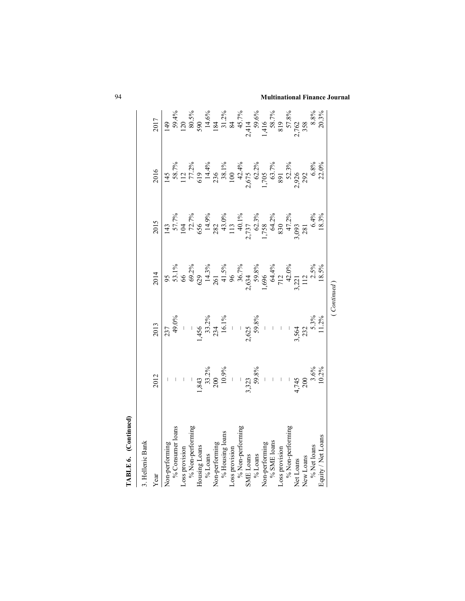| TABLE 6. (Continued) |                                                     |                                                                          |                                                                                                                   |                                                                                                                                                                                                                  |                                                                                                                                                                                                                       |                                                                                                             |
|----------------------|-----------------------------------------------------|--------------------------------------------------------------------------|-------------------------------------------------------------------------------------------------------------------|------------------------------------------------------------------------------------------------------------------------------------------------------------------------------------------------------------------|-----------------------------------------------------------------------------------------------------------------------------------------------------------------------------------------------------------------------|-------------------------------------------------------------------------------------------------------------|
| 3. Hellenic Bank     |                                                     |                                                                          |                                                                                                                   |                                                                                                                                                                                                                  |                                                                                                                                                                                                                       |                                                                                                             |
| Year                 | 2012                                                | 2013                                                                     | 2014                                                                                                              | 2015                                                                                                                                                                                                             | 2016                                                                                                                                                                                                                  | 2017                                                                                                        |
| Non-performing       |                                                     |                                                                          |                                                                                                                   | 143<br>$104$<br>$104$<br>$72.7\%$<br>$149.9\%$<br>$149.0\%$<br>$149.1\%$<br>$1.758$<br>$1.758$<br>$1.758$<br>$1.758$<br>$1.758$<br>$1.758$<br>$1.758$<br>$1.758$<br>$1.75\%$<br>$1.75\%$<br>$1.75\%$<br>$1.75\%$ |                                                                                                                                                                                                                       | 149<br>59.4%<br>59.5%<br>120<br>80.5%<br>14.6%<br>14.6%<br>29.762<br>2762<br>2762<br>2762<br>28.8%<br>20.3% |
| $\%$ Consumer loans  |                                                     |                                                                          |                                                                                                                   |                                                                                                                                                                                                                  |                                                                                                                                                                                                                       |                                                                                                             |
| Loss provision       | $\perp$                                             |                                                                          |                                                                                                                   |                                                                                                                                                                                                                  |                                                                                                                                                                                                                       |                                                                                                             |
| % Non-performing     |                                                     |                                                                          |                                                                                                                   |                                                                                                                                                                                                                  |                                                                                                                                                                                                                       |                                                                                                             |
| Housing Loans        |                                                     |                                                                          |                                                                                                                   |                                                                                                                                                                                                                  |                                                                                                                                                                                                                       |                                                                                                             |
| $\%$ Loans           |                                                     |                                                                          |                                                                                                                   |                                                                                                                                                                                                                  |                                                                                                                                                                                                                       |                                                                                                             |
| Non-performing       |                                                     |                                                                          |                                                                                                                   |                                                                                                                                                                                                                  |                                                                                                                                                                                                                       |                                                                                                             |
| $\%$ Housing loans   |                                                     |                                                                          |                                                                                                                   |                                                                                                                                                                                                                  |                                                                                                                                                                                                                       |                                                                                                             |
| Loss provision       |                                                     |                                                                          |                                                                                                                   |                                                                                                                                                                                                                  |                                                                                                                                                                                                                       |                                                                                                             |
| % Non-performing     |                                                     |                                                                          |                                                                                                                   |                                                                                                                                                                                                                  |                                                                                                                                                                                                                       |                                                                                                             |
| SME Loans            |                                                     |                                                                          |                                                                                                                   |                                                                                                                                                                                                                  |                                                                                                                                                                                                                       |                                                                                                             |
| $\%$ Loans           | $1,843$<br>33.2%<br>200<br>200,9%<br>10.9%<br>59.8% | 237<br>49.0%<br>$+$<br>1,456<br>233.2%<br>16.1%<br>$-$<br>2,625<br>59.8% | 95<br>$\frac{53.1\%}{66}$<br>66<br>66<br>66<br>64.2%<br>14.3%<br>14.3%<br>15.3%<br>16.5%<br>112<br>12.3%<br>18.5% |                                                                                                                                                                                                                  | 145<br>$58.7\%$<br>$112.77.2\%$<br>$112.73\%$<br>$14.4\%$<br>$14.4\%$<br>$14.4\%$<br>$14.4\%$<br>$14.4\%$<br>$14.4\%$<br>$15.705$<br>$15.7\%$<br>$15.705$<br>$52.3\%$<br>$53.7\%$<br>$53.7\%$<br>$53.7\%$<br>$53.2\%$ |                                                                                                             |
| Non-performing       |                                                     |                                                                          |                                                                                                                   |                                                                                                                                                                                                                  |                                                                                                                                                                                                                       |                                                                                                             |
| % SME loans          | $\bar{\phantom{a}}$                                 | $\mathcal{A}$                                                            |                                                                                                                   |                                                                                                                                                                                                                  |                                                                                                                                                                                                                       |                                                                                                             |
| Loss provision       |                                                     |                                                                          |                                                                                                                   |                                                                                                                                                                                                                  |                                                                                                                                                                                                                       |                                                                                                             |
| % Non-performing     |                                                     |                                                                          |                                                                                                                   |                                                                                                                                                                                                                  |                                                                                                                                                                                                                       |                                                                                                             |
| Net Loans            | $4,745$<br>$4,745$<br>$200$<br>$3.6\%$              | $-1$<br>3,564<br>3,52                                                    |                                                                                                                   |                                                                                                                                                                                                                  |                                                                                                                                                                                                                       |                                                                                                             |
| New Loans            |                                                     |                                                                          |                                                                                                                   |                                                                                                                                                                                                                  |                                                                                                                                                                                                                       |                                                                                                             |
| % Net loans          |                                                     |                                                                          |                                                                                                                   |                                                                                                                                                                                                                  |                                                                                                                                                                                                                       |                                                                                                             |
| Equity / Net Loans   | 10.2%                                               | 5.3%<br>11.2%                                                            |                                                                                                                   |                                                                                                                                                                                                                  |                                                                                                                                                                                                                       |                                                                                                             |
|                      |                                                     |                                                                          | (Continued)                                                                                                       |                                                                                                                                                                                                                  |                                                                                                                                                                                                                       |                                                                                                             |

94 **Multinational Finance Journal**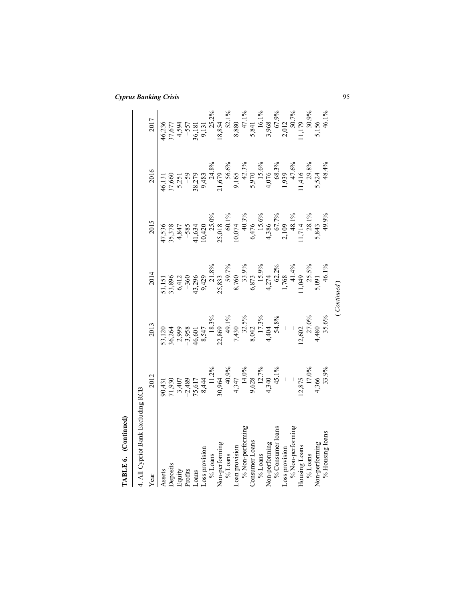| <b>Cyprus Banking Crisis</b> |  |
|------------------------------|--|
|------------------------------|--|

| TABLE 6. (Continued)              |                                                                                                                                                                                                                                                                                                    |                                                                                         |                                                                                                   |                                                                                                                                                         |                                                                                                                                                                                                                                                                                                   |                                                                                                                                        |
|-----------------------------------|----------------------------------------------------------------------------------------------------------------------------------------------------------------------------------------------------------------------------------------------------------------------------------------------------|-----------------------------------------------------------------------------------------|---------------------------------------------------------------------------------------------------|---------------------------------------------------------------------------------------------------------------------------------------------------------|---------------------------------------------------------------------------------------------------------------------------------------------------------------------------------------------------------------------------------------------------------------------------------------------------|----------------------------------------------------------------------------------------------------------------------------------------|
| 4. All Cypriot Bank Excluding RCB |                                                                                                                                                                                                                                                                                                    |                                                                                         |                                                                                                   |                                                                                                                                                         |                                                                                                                                                                                                                                                                                                   |                                                                                                                                        |
| Year                              | 2012                                                                                                                                                                                                                                                                                               | 2013                                                                                    | 2014                                                                                              | 2015                                                                                                                                                    | 2016                                                                                                                                                                                                                                                                                              | 2017                                                                                                                                   |
| Assets                            |                                                                                                                                                                                                                                                                                                    |                                                                                         |                                                                                                   | 47,536                                                                                                                                                  | 46,131                                                                                                                                                                                                                                                                                            |                                                                                                                                        |
| Deposits                          |                                                                                                                                                                                                                                                                                                    |                                                                                         |                                                                                                   |                                                                                                                                                         |                                                                                                                                                                                                                                                                                                   |                                                                                                                                        |
|                                   | 90,431<br>71,930<br>74,07<br>3,407<br>5,501<br>8,507<br>8,12%<br>4,31<br>4,31<br>4,31<br>4,31<br>4,31<br>4,30<br>4,31<br>4,30<br>8,407<br>8,444<br>3,90<br>3,444<br>4,990<br>4,407<br>4,07<br>4,07<br>4,07<br>4,07<br>4,09<br>4,07<br>4,09<br>4,09<br>4,09<br>4,09<br>4,09<br>4,09<br>4,09<br>4,09 | 53,120<br>36,264<br>2,999<br>2,958<br>53,5%<br>4,430<br>3,3%<br>7,404<br>7,404<br>54,8% | 51,151<br>33,896<br>6,412<br>6,412<br>53,896<br>4,212<br>8,873<br>8,74<br>6,873<br>6,873<br>6,873 | $35,378$ $-585$ $-585$ $-585$ $10,420$ $25.0\%$ $25.08$ $25.018$ $10,074$ $0.074$ $6,476$ $+3.86$ $+3.6\%$ $+3.6\%$ $+3.6\%$ $-15.6\%$ $-3.19$ $-1.714$ | $\begin{array}{r} 37,660 \\ 5,251 \\ 38,279 \\ 9,483 \\ 21,679 \\ 9,165 \\ 9,165 \\ 5,970 \\ 15,6\% \\ 16,8\% \\ 15,6\% \\ 16,3\% \\ 17,6\% \\ 1416 \\ 1416 \\ 29,8\% \\ 15,724 \\ 1,416 \\ 29,8\% \\ 5,524 \\ 5,524 \\ 5,524 \\ 5,524 \\ 5,524 \\ 5,524 \\ 5,524 \\ 5,524 \\ 5,524 \\ 5,524 \\ $ | 46,236<br>37,677<br>4,594<br>4,594<br>4,581<br>55.2%<br>8,880<br>8,880<br>8,996<br>8,012<br>50,02<br>7,179<br>7,179<br>7,179<br>11,179 |
| Equity<br>Profits                 |                                                                                                                                                                                                                                                                                                    |                                                                                         |                                                                                                   |                                                                                                                                                         |                                                                                                                                                                                                                                                                                                   |                                                                                                                                        |
| L <sub>o</sub> ans                |                                                                                                                                                                                                                                                                                                    |                                                                                         |                                                                                                   |                                                                                                                                                         |                                                                                                                                                                                                                                                                                                   |                                                                                                                                        |
| Loss provision                    |                                                                                                                                                                                                                                                                                                    |                                                                                         |                                                                                                   |                                                                                                                                                         |                                                                                                                                                                                                                                                                                                   |                                                                                                                                        |
| % Loans                           |                                                                                                                                                                                                                                                                                                    |                                                                                         |                                                                                                   |                                                                                                                                                         |                                                                                                                                                                                                                                                                                                   |                                                                                                                                        |
| Non-performing                    |                                                                                                                                                                                                                                                                                                    |                                                                                         |                                                                                                   |                                                                                                                                                         |                                                                                                                                                                                                                                                                                                   |                                                                                                                                        |
| $\%$ Loans                        |                                                                                                                                                                                                                                                                                                    |                                                                                         |                                                                                                   |                                                                                                                                                         |                                                                                                                                                                                                                                                                                                   |                                                                                                                                        |
| Loan provision                    |                                                                                                                                                                                                                                                                                                    |                                                                                         |                                                                                                   |                                                                                                                                                         |                                                                                                                                                                                                                                                                                                   |                                                                                                                                        |
| % Non-performing                  |                                                                                                                                                                                                                                                                                                    |                                                                                         |                                                                                                   |                                                                                                                                                         |                                                                                                                                                                                                                                                                                                   |                                                                                                                                        |
| Consumer Loans                    |                                                                                                                                                                                                                                                                                                    |                                                                                         |                                                                                                   |                                                                                                                                                         |                                                                                                                                                                                                                                                                                                   |                                                                                                                                        |
| $\%$ Loans                        |                                                                                                                                                                                                                                                                                                    |                                                                                         |                                                                                                   |                                                                                                                                                         |                                                                                                                                                                                                                                                                                                   |                                                                                                                                        |
| Non-performing                    |                                                                                                                                                                                                                                                                                                    |                                                                                         |                                                                                                   |                                                                                                                                                         |                                                                                                                                                                                                                                                                                                   |                                                                                                                                        |
| % Consumer loans                  |                                                                                                                                                                                                                                                                                                    |                                                                                         |                                                                                                   |                                                                                                                                                         |                                                                                                                                                                                                                                                                                                   |                                                                                                                                        |
| Loss provision                    | $\bar{1}$                                                                                                                                                                                                                                                                                          |                                                                                         |                                                                                                   |                                                                                                                                                         |                                                                                                                                                                                                                                                                                                   |                                                                                                                                        |
| % Non-performing                  |                                                                                                                                                                                                                                                                                                    |                                                                                         | $1,768$<br>41.4%<br>1,049<br>25.5%                                                                |                                                                                                                                                         |                                                                                                                                                                                                                                                                                                   |                                                                                                                                        |
| Housing Loans                     | $\frac{12,875}{17.0\%}$                                                                                                                                                                                                                                                                            | $12,602$<br>27.0%                                                                       |                                                                                                   |                                                                                                                                                         |                                                                                                                                                                                                                                                                                                   |                                                                                                                                        |
| % Loans                           |                                                                                                                                                                                                                                                                                                    |                                                                                         |                                                                                                   |                                                                                                                                                         |                                                                                                                                                                                                                                                                                                   |                                                                                                                                        |
| Non-performing                    | 4,366                                                                                                                                                                                                                                                                                              | 4,480                                                                                   | 5,091                                                                                             | 5,843                                                                                                                                                   |                                                                                                                                                                                                                                                                                                   | ,156                                                                                                                                   |
| % Housing loans                   | 33.9%                                                                                                                                                                                                                                                                                              | 35.6%                                                                                   | 46.1%                                                                                             | 49.9%                                                                                                                                                   | 48.4%                                                                                                                                                                                                                                                                                             | 46.1%                                                                                                                                  |
|                                   |                                                                                                                                                                                                                                                                                                    |                                                                                         | (Continued)                                                                                       |                                                                                                                                                         |                                                                                                                                                                                                                                                                                                   |                                                                                                                                        |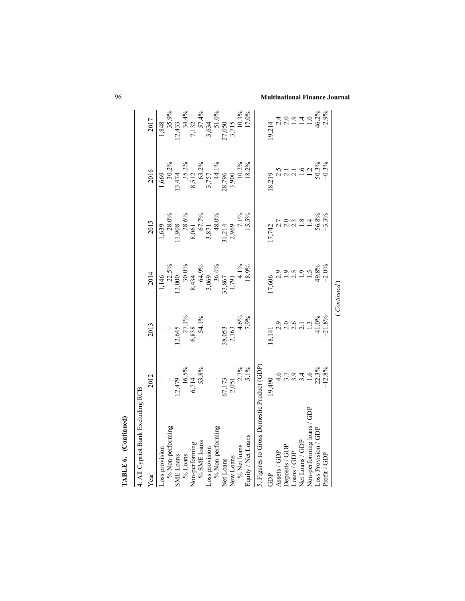| TABLE 6. (Continued)                       |                                             |                                                                                                        |                                                                        |                                                                                                            |                                                                |                                                                                                                                                                                 |
|--------------------------------------------|---------------------------------------------|--------------------------------------------------------------------------------------------------------|------------------------------------------------------------------------|------------------------------------------------------------------------------------------------------------|----------------------------------------------------------------|---------------------------------------------------------------------------------------------------------------------------------------------------------------------------------|
| 4. All Cypriot Bank Excluding RCB          |                                             |                                                                                                        |                                                                        |                                                                                                            |                                                                |                                                                                                                                                                                 |
| Year                                       | 2012                                        | 2013                                                                                                   | 2014                                                                   | 2015                                                                                                       | 2016                                                           | 2017                                                                                                                                                                            |
| Loss provision                             |                                             |                                                                                                        |                                                                        |                                                                                                            |                                                                |                                                                                                                                                                                 |
| % Non-performing                           |                                             |                                                                                                        |                                                                        |                                                                                                            |                                                                |                                                                                                                                                                                 |
| SME Loans                                  |                                             |                                                                                                        |                                                                        |                                                                                                            |                                                                |                                                                                                                                                                                 |
| % Loans                                    | $12,479$<br>$16.5\%$<br>$6,714$<br>$53.8\%$ | $12,645$<br>$27.1\%$<br>$6,838$<br>$54.1\%$                                                            | 1,146<br>22.5%<br>13,000<br>13,000<br>8,434<br>64.9%<br>36.4%<br>36.4% | $\begin{array}{c} 1,639\\ -28.0\%\\ 11,908\\ 28.6\%\\ 8,061\\ 67.7\%\\ 3,871\\ 3,871\\ 48.0\% \end{array}$ | 1,669<br>30.2%<br>13,474<br>13,5.2%<br>8,512<br>8,757<br>3,757 |                                                                                                                                                                                 |
| Non-performing                             |                                             |                                                                                                        |                                                                        |                                                                                                            |                                                                |                                                                                                                                                                                 |
| % SME loans                                |                                             |                                                                                                        |                                                                        |                                                                                                            |                                                                |                                                                                                                                                                                 |
| Loss provision                             | $\begin{array}{c} \hline \end{array}$       | $\frac{1}{\sqrt{2}}$                                                                                   |                                                                        |                                                                                                            |                                                                |                                                                                                                                                                                 |
| % Non-performing                           |                                             |                                                                                                        |                                                                        |                                                                                                            |                                                                |                                                                                                                                                                                 |
| Net Loans                                  |                                             |                                                                                                        |                                                                        |                                                                                                            |                                                                |                                                                                                                                                                                 |
| New Loans                                  |                                             |                                                                                                        |                                                                        |                                                                                                            |                                                                |                                                                                                                                                                                 |
| % Net loans                                |                                             |                                                                                                        |                                                                        |                                                                                                            |                                                                |                                                                                                                                                                                 |
| Equity / Net Loans                         | $67,173$<br>2,051<br>2.7%<br>5.1%           | $38,053$<br>2,163<br>4.6%<br>7.9%                                                                      | 33,867<br>1,791<br>4.1%<br>4.1%                                        | $31,214$<br>2,969<br>7,1%<br>7,1%                                                                          | $28,796$<br>3,900<br>10.2%<br>18.2%                            | $\begin{array}{c} 1,848 \\ 35.9\% \\ 12,433 \\ 7,132 \\ 7,132 \\ 8,634 \\ 12,49\% \\ 57,49\% \\ 7,132 \\ 57,49\% \\ 10.3\% \\ 10.3\% \\ 10.3\% \\ 10.3\% \\ 11.0\% \end{array}$ |
| 5. Figures to Gross Domestic Product (GDP) |                                             |                                                                                                        |                                                                        |                                                                                                            |                                                                |                                                                                                                                                                                 |
| GDP                                        | 19,490                                      | 18,141                                                                                                 | 17,606                                                                 | 17,742                                                                                                     | 18,219                                                         | 19,214                                                                                                                                                                          |
| Assets / GDP                               |                                             |                                                                                                        |                                                                        |                                                                                                            |                                                                |                                                                                                                                                                                 |
| Deposits / GDP                             |                                             | $\begin{array}{c}\n 2.9 \\  2.0 \\  3.1 \\  4.0 \\  5.0 \\  6.0 \\  7.1 \\  8.8 \\  7.2\n \end{array}$ | 29.9979798880719797                                                    |                                                                                                            | $2.5$<br>$2.1$<br>$2.1$<br>$1.6$<br>$-1.3\%$<br>$-0.3\%$       |                                                                                                                                                                                 |
| Loans / GDP                                | 5.9.4<br>5.9.4                              |                                                                                                        |                                                                        |                                                                                                            |                                                                |                                                                                                                                                                                 |
| Net Loans / GDP                            |                                             |                                                                                                        |                                                                        |                                                                                                            |                                                                |                                                                                                                                                                                 |
| Non-performing loans / GDP                 |                                             |                                                                                                        |                                                                        |                                                                                                            |                                                                |                                                                                                                                                                                 |
| Loss Provision / GDP                       | $\frac{1.6}{22.3\%}$                        |                                                                                                        |                                                                        |                                                                                                            |                                                                |                                                                                                                                                                                 |
| Profit / GDP                               |                                             |                                                                                                        | $-2.0\%$                                                               |                                                                                                            |                                                                |                                                                                                                                                                                 |
|                                            |                                             |                                                                                                        | Continued                                                              |                                                                                                            |                                                                |                                                                                                                                                                                 |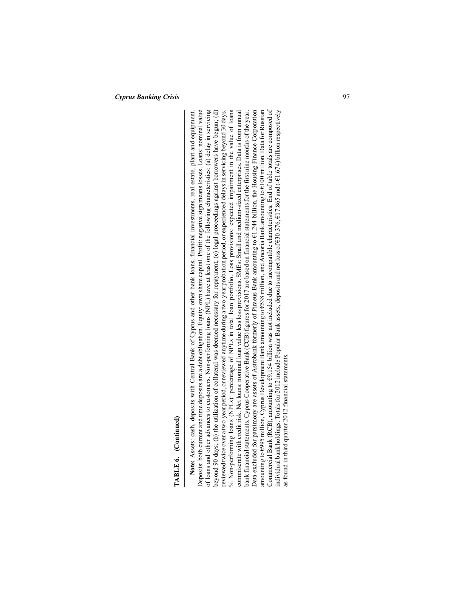**TABLE 6.** (Continued)<br>
Note: Asses: cash, deposits with Central Bank of Cyprus and other bank loans, financial investments, real estate, plant and equipment.<br>
Note: Asses: cash, deposits with Central Bank of Cyprus and o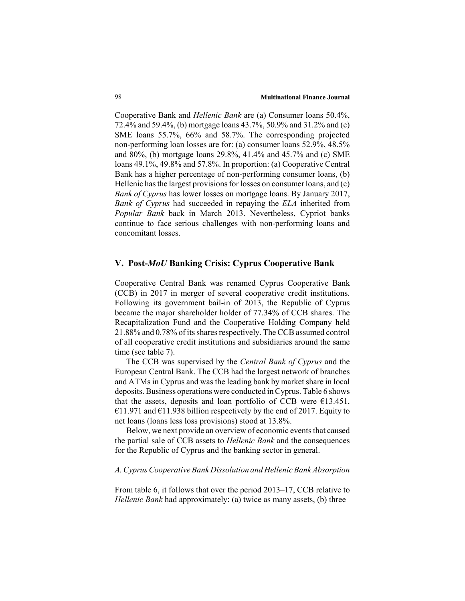Cooperative Bank and *Hellenic Bank* are (a) Consumer loans 50.4%, 72.4% and 59.4%, (b) mortgage loans 43.7%, 50.9% and 31.2% and (c) SME loans 55.7%, 66% and 58.7%. The corresponding projected non-performing loan losses are for: (a) consumer loans 52.9%, 48.5% and 80%, (b) mortgage loans 29.8%, 41.4% and 45.7% and (c) SME loans 49.1%, 49.8% and 57.8%. In proportion: (a) Cooperative Central Bank has a higher percentage of non-performing consumer loans, (b) Hellenic has the largest provisions for losses on consumer loans, and (c) *Bank of Cyprus* has lower losses on mortgage loans. By January 2017, *Bank of Cyprus* had succeeded in repaying the *ELA* inherited from *Popular Bank* back in March 2013. Nevertheless, Cypriot banks continue to face serious challenges with non-performing loans and concomitant losses.

# **V. Post-***MoU* **Banking Crisis: Cyprus Cooperative Bank**

Cooperative Central Bank was renamed Cyprus Cooperative Bank (CCB) in 2017 in merger of several cooperative credit institutions. Following its government bail-in of 2013, the Republic of Cyprus became the major shareholder holder of 77.34% of CCB shares. The Recapitalization Fund and the Cooperative Holding Company held 21.88% and 0.78% of its shares respectively. The CCB assumed control of all cooperative credit institutions and subsidiaries around the same time (see table 7).

The CCB was supervised by the *Central Bank of Cyprus* and the European Central Bank. The CCB had the largest network of branches and ATMs in Cyprus and was the leading bank by market share in local deposits. Business operations were conducted in Cyprus. Table 6 shows that the assets, deposits and loan portfolio of CCB were  $E$ 13.451, €11.971 and €11.938 billion respectively by the end of 2017. Equity to net loans (loans less loss provisions) stood at 13.8%.

Below, we next provide an overview of economic events that caused the partial sale of CCB assets to *Hellenic Bank* and the consequences for the Republic of Cyprus and the banking sector in general.

#### *A. Cyprus Cooperative Bank Dissolution and Hellenic Bank Absorption*

From table 6, it follows that over the period 2013–17, CCB relative to *Hellenic Bank* had approximately: (a) twice as many assets, (b) three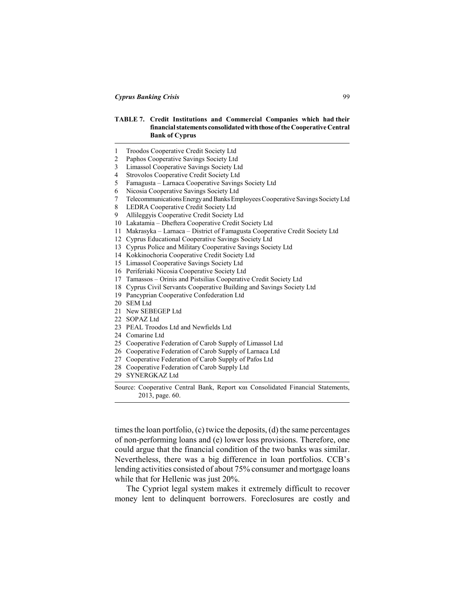#### **TABLE 7. Credit Institutions and Commercial Companies which had their financial statements consolidated with those of the Cooperative Central Bank of Cyprus**

|  |  | Troodos Cooperative Credit Society Ltd |  |  |  |
|--|--|----------------------------------------|--|--|--|
|--|--|----------------------------------------|--|--|--|

- 2 Paphos Cooperative Savings Society Ltd
- 3 Limassol Cooperative Savings Society Ltd
- 4 Strovolos Cooperative Credit Society Ltd
- 5 Famagusta Larnaca Cooperative Savings Society Ltd
- 6 Nicosia Cooperative Savings Society Ltd
- 7 Telecommunications Energy and Banks Employees Cooperative Savings Society Ltd
- 8 LEDRA Cooperative Credit Society Ltd
- 9 Allileggyis Cooperative Credit Society Ltd
- 10 Lakatamia Dheftera Cooperative Credit Society Ltd
- 11 Makrasyka Larnaca District of Famagusta Cooperative Credit Society Ltd
- 12 Cyprus Educational Cooperative Savings Society Ltd
- 13 Cyprus Police and Military Cooperative Savings Society Ltd
- 14 Kokkinochoria Cooperative Credit Society Ltd
- 15 Limassol Cooperative Savings Society Ltd
- 16 Periferiaki Nicosia Cooperative Society Ltd
- 17 Tamassos Orinis and Pistsilias Cooperative Credit Society Ltd
- 18 Cyprus Civil Servants Cooperative Building and Savings Society Ltd
- 19 Pancyprian Cooperative Confederation Ltd
- 20 SEM Ltd
- 21 New SEBEGEP Ltd
- 22 SOPAZ Ltd
- 23 PEAL Troodos Ltd and Newfields Ltd
- 24 Comarine Ltd
- 25 Cooperative Federation of Carob Supply of Limassol Ltd
- 26 Cooperative Federation of Carob Supply of Larnaca Ltd
- 27 Cooperative Federation of Carob Supply of Pafos Ltd
- 28 Cooperative Federation of Carob Supply Ltd
- 29 SYNERGKAZ Ltd

Source: Cooperative Central Bank, Report και Consolidated Financial Statements, 2013, page. 60.

times the loan portfolio, (c) twice the deposits, (d) the same percentages of non-performing loans and (e) lower loss provisions. Therefore, one could argue that the financial condition of the two banks was similar. Nevertheless, there was a big difference in loan portfolios. CCB's lending activities consisted of about 75% consumer and mortgage loans while that for Hellenic was just 20%.

The Cypriot legal system makes it extremely difficult to recover money lent to delinquent borrowers. Foreclosures are costly and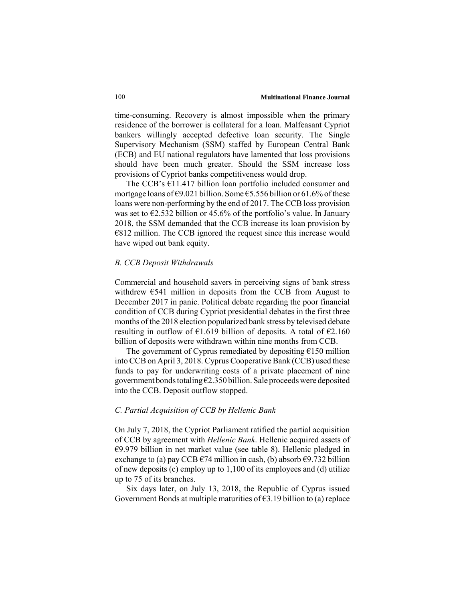time-consuming. Recovery is almost impossible when the primary residence of the borrower is collateral for a loan. Malfeasant Cypriot bankers willingly accepted defective loan security. The Single Supervisory Mechanism (SSM) staffed by European Central Bank (ECB) and EU national regulators have lamented that loss provisions should have been much greater. Should the SSM increase loss provisions of Cypriot banks competitiveness would drop.

The CCB's €11.417 billion loan portfolio included consumer and mortgage loans of  $\epsilon$ 9.021 billion. Some  $\epsilon$ 5.556 billion or 61.6% of these loans were non-performing by the end of 2017. The CCB loss provision was set to  $\epsilon$ 2.532 billion or 45.6% of the portfolio's value. In January 2018, the SSM demanded that the CCB increase its loan provision by  $€812$  million. The CCB ignored the request since this increase would have wiped out bank equity.

#### *B. CCB Deposit Withdrawals*

Commercial and household savers in perceiving signs of bank stress withdrew €541 million in deposits from the CCB from August to December 2017 in panic. Political debate regarding the poor financial condition of CCB during Cypriot presidential debates in the first three months of the 2018 election popularized bank stress by televised debate resulting in outflow of  $\epsilon$ 1.619 billion of deposits. A total of  $\epsilon$ 2.160 billion of deposits were withdrawn within nine months from CCB.

The government of Cyprus remediated by depositing  $\epsilon$ 150 million into CCB on April 3, 2018. Cyprus Cooperative Bank (CCB) used these funds to pay for underwriting costs of a private placement of nine government bonds totaling €2.350 billion. Sale proceeds were deposited into the CCB. Deposit outflow stopped.

#### *C. Partial Acquisition of CCB by Hellenic Bank*

On July 7, 2018, the Cypriot Parliament ratified the partial acquisition of CCB by agreement with *Hellenic Bank*. Hellenic acquired assets of €9.979 billion in net market value (see table 8). Hellenic pledged in exchange to (a) pay CCB  $\epsilon$ 74 million in cash, (b) absorb  $\epsilon$ 9.732 billion of new deposits (c) employ up to 1,100 of its employees and (d) utilize up to 75 of its branches.

Six days later, on July 13, 2018, the Republic of Cyprus issued Government Bonds at multiple maturities of  $63.19$  billion to (a) replace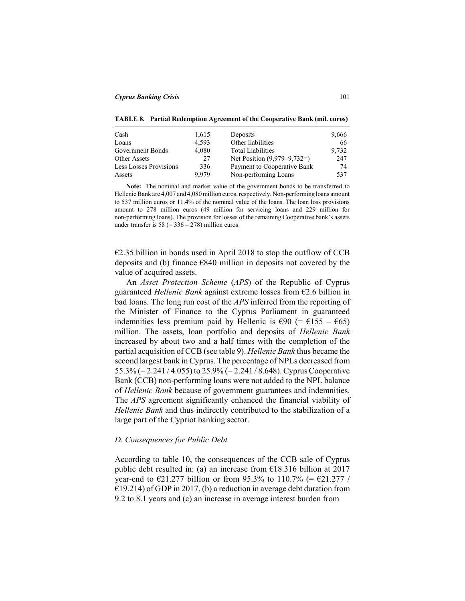**TABLE 8. Partial Redemption Agreement of the Cooperative Bank (mil. euros)**

| Cash                   | 1,615 | Deposits                      | 9,666 |
|------------------------|-------|-------------------------------|-------|
| Loans                  | 4.593 | Other liabilities             | 66    |
| Government Bonds       | 4.080 | <b>Total Liabilities</b>      | 9,732 |
| Other Assets           | 27    | Net Position $(9.979-9.732=)$ | 247   |
| Less Losses Provisions | 336   | Payment to Cooperative Bank   | 74    |
| Assets                 | 9.979 | Non-performing Loans          | 537   |

**Note:** The nominal and market value of the government bonds to be transferred to Hellenic Bank are 4,007 and 4,080 million euros, respectively. Non-performing loans amount to 537 million euros or 11.4% of the nominal value of the loans. The loan loss provisions amount to 278 million euros (49 million for servicing loans and 229 million for non-performing loans). The provision for losses of the remaining Cooperative bank's assets under transfer is  $58 (= 336 - 278)$  million euros.

€2.35 billion in bonds used in April 2018 to stop the outflow of CCB deposits and (b) finance €840 million in deposits not covered by the value of acquired assets.

An *Asset Protection Scheme* (*APS*) of the Republic of Cyprus guaranteed *Hellenic Bank* against extreme losses from €2.6 billion in bad loans. The long run cost of the *APS* inferred from the reporting of the Minister of Finance to the Cyprus Parliament in guaranteed indemnities less premium paid by Hellenic is  $\epsilon$ 90 (=  $\epsilon$ 155 –  $\epsilon$ 65) million. The assets, loan portfolio and deposits of *Hellenic Bank* increased by about two and a half times with the completion of the partial acquisition of CCB (see table 9). *Hellenic Bank* thus became the second largest bank in Cyprus. The percentage of NPLs decreased from 55.3% (= 2.241 / 4.055) to 25.9% (= 2.241 / 8.648). Cyprus Cooperative Bank (CCB) non-performing loans were not added to the NPL balance of *Hellenic Bank* because of government guarantees and indemnities. The *APS* agreement significantly enhanced the financial viability of *Hellenic Bank* and thus indirectly contributed to the stabilization of a large part of the Cypriot banking sector.

# *D. Consequences for Public Debt*

According to table 10, the consequences of the CCB sale of Cyprus public debt resulted in: (a) an increase from  $\epsilon$ 18.316 billion at 2017 year-end to  $\text{\textsterling}21.277$  billion or from 95.3% to 110.7% (=  $\text{\textsterling}21.277$  /  $E$ 19.214) of GDP in 2017, (b) a reduction in average debt duration from 9.2 to 8.1 years and (c) an increase in average interest burden from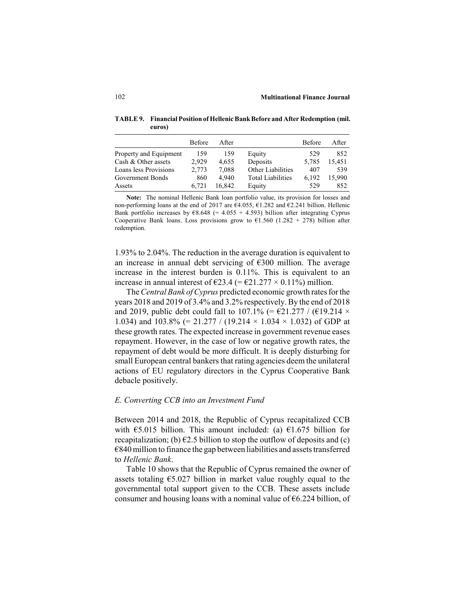**TABLE 9. Financial Position of Hellenic Bank Before and After Redemption (mil. euros)**

|                        | <b>Before</b> | After  |                          | <b>Before</b> | After  |
|------------------------|---------------|--------|--------------------------|---------------|--------|
| Property and Equipment | 159           | 159    | Equity                   | 529           | 852    |
| Cash & Other assets    | 2.929         | 4,655  | Deposits                 | 5.785         | 15.451 |
| Loans less Provisions  | 2.773         | 7,088  | Other Liabilities        | 407           | 539    |
| Government Bonds       | 860           | 4.940  | <b>Total Liabilities</b> | 6.192         | 15.990 |
| Assets                 | 6.721         | 16.842 | Equity                   | 529           | 852    |

**Note:** The nominal Hellenic Bank loan portfolio value, its provision for losses and non-performing loans at the end of 2017 are €4.055, €1.282 and €2.241 billion. Hellenic Bank portfolio increases by  $68.648$  (= 4.055 + 4.593) billion after integrating Cyprus Cooperative Bank loans. Loss provisions grow to  $61.560$  (1.282 + 278) billion after redemption.

1.93% to 2.04%. The reduction in the average duration is equivalent to an increase in annual debt servicing of €300 million. The average increase in the interest burden is 0.11%. This is equivalent to an increase in annual interest of  $\epsilon$ 23.4 (=  $\epsilon$ 21.277 × 0.11%) million.

The *Central Bank of Cyprus* predicted economic growth rates for the years 2018 and 2019 of 3.4% and 3.2% respectively. By the end of 2018 and 2019, public debt could fall to 107.1% (=  $\epsilon$ 21.277 / ( $\epsilon$ 19.214  $\times$ 1.034) and 103.8% (= 21.277 / (19.214 × 1.034 × 1.032) of GDP at these growth rates. The expected increase in government revenue eases repayment. However, in the case of low or negative growth rates, the repayment of debt would be more difficult. It is deeply disturbing for small European central bankers that rating agencies deem the unilateral actions of EU regulatory directors in the Cyprus Cooperative Bank debacle positively.

#### *E. Converting CCB into an Investment Fund*

Between 2014 and 2018, the Republic of Cyprus recapitalized CCB with  $\text{\large(}5.015\text{ billion}$ . This amount included: (a)  $\text{\large(}1.675\text{ billion}$  for recapitalization; (b)  $\epsilon$ 2.5 billion to stop the outflow of deposits and (c)  $€840$  million to finance the gap between liabilities and assets transferred to *Hellenic Bank*.

Table 10 shows that the Republic of Cyprus remained the owner of assets totaling  $\epsilon$ 5.027 billion in market value roughly equal to the governmental total support given to the CCB. These assets include consumer and housing loans with a nominal value of  $\epsilon$ 6.224 billion, of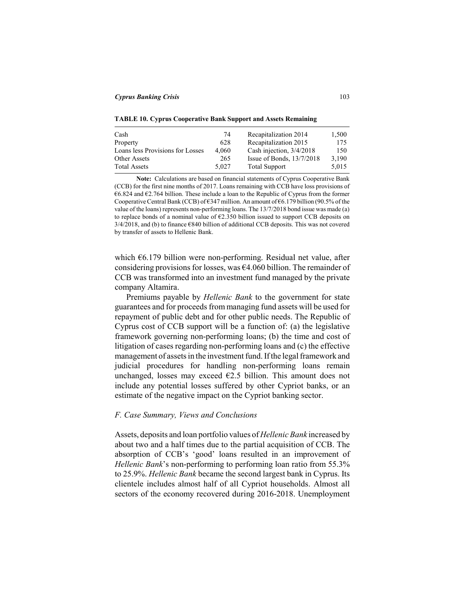**TABLE 10. Cyprus Cooperative Bank Support and Assets Remaining**

| Cash                             | 74    | Recapitalization 2014       | 1,500 |
|----------------------------------|-------|-----------------------------|-------|
| Property                         | 628   | Recapitalization 2015       | 175   |
| Loans less Provisions for Losses | 4.060 | Cash injection, 3/4/2018    | 150   |
| Other Assets                     | 265   | Issue of Bonds, $13/7/2018$ | 3.190 |
| <b>Total Assets</b>              | 5.027 | <b>Total Support</b>        | 5.015 |

**Note:** Calculations are based on financial statements of Cyprus Cooperative Bank (CCB) for the first nine months of 2017. Loans remaining with CCB have loss provisions of €6.824 and €2.764 billion. These include a loan to the Republic of Cyprus from the former Cooperative Central Bank (CCB) of  $6347$  million. An amount of  $66.179$  billion (90.5% of the value of the loans) represents non-performing loans. The 13/7/2018 bond issue was made (a) to replace bonds of a nominal value of  $E2.350$  billion issued to support CCB deposits on 3/4/2018, and (b) to finance €840 billion of additional CCB deposits. This was not covered by transfer of assets to Hellenic Bank.

which  $\epsilon$ 6.179 billion were non-performing. Residual net value, after considering provisions for losses, was  $64.060$  billion. The remainder of CCB was transformed into an investment fund managed by the private company Altamira.

Premiums payable by *Hellenic Bank* to the government for state guarantees and for proceeds from managing fund assets will be used for repayment of public debt and for other public needs. The Republic of Cyprus cost of CCB support will be a function of: (a) the legislative framework governing non-performing loans; (b) the time and cost of litigation of cases regarding non-performing loans and (c) the effective management of assets in the investment fund. If the legal framework and judicial procedures for handling non-performing loans remain unchanged, losses may exceed  $E2.5$  billion. This amount does not include any potential losses suffered by other Cypriot banks, or an estimate of the negative impact on the Cypriot banking sector.

#### *F. Case Summary, Views and Conclusions*

Assets, deposits and loan portfolio values of *Hellenic Bank* increased by about two and a half times due to the partial acquisition of CCB. The absorption of CCB's 'good' loans resulted in an improvement of *Hellenic Bank*'s non-performing to performing loan ratio from 55.3% to 25.9%. *Hellenic Bank* became the second largest bank in Cyprus. Its clientele includes almost half of all Cypriot households. Almost all sectors of the economy recovered during 2016-2018. Unemployment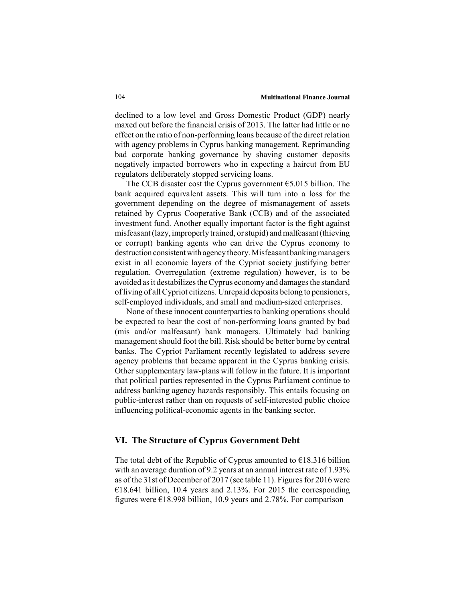#### 104 **Multinational Finance Journal**

declined to a low level and Gross Domestic Product (GDP) nearly maxed out before the financial crisis of 2013. The latter had little or no effect on the ratio of non-performing loans because of the direct relation with agency problems in Cyprus banking management. Reprimanding bad corporate banking governance by shaving customer deposits negatively impacted borrowers who in expecting a haircut from EU regulators deliberately stopped servicing loans.

The CCB disaster cost the Cyprus government €5.015 billion. The bank acquired equivalent assets. This will turn into a loss for the government depending on the degree of mismanagement of assets retained by Cyprus Cooperative Bank (CCB) and of the associated investment fund. Another equally important factor is the fight against misfeasant (lazy, improperly trained, or stupid) and malfeasant (thieving or corrupt) banking agents who can drive the Cyprus economy to destruction consistent with agency theory. Misfeasant banking managers exist in all economic layers of the Cypriot society justifying better regulation. Overregulation (extreme regulation) however, is to be avoided as it destabilizes the Cyprus economy and damages the standard of living of all Cypriot citizens. Unrepaid deposits belong to pensioners, self-employed individuals, and small and medium-sized enterprises.

None of these innocent counterparties to banking operations should be expected to bear the cost of non-performing loans granted by bad (mis and/or malfeasant) bank managers. Ultimately bad banking management should foot the bill. Risk should be better borne by central banks. The Cypriot Parliament recently legislated to address severe agency problems that became apparent in the Cyprus banking crisis. Other supplementary law-plans will follow in the future. It is important that political parties represented in the Cyprus Parliament continue to address banking agency hazards responsibly. This entails focusing on public-interest rather than on requests of self-interested public choice influencing political-economic agents in the banking sector.

# **VI. The Structure of Cyprus Government Debt**

The total debt of the Republic of Cyprus amounted to  $\epsilon$ 18.316 billion with an average duration of 9.2 years at an annual interest rate of 1.93% as of the 31st of December of 2017 (see table 11). Figures for 2016 were  $£18.641$  billion, 10.4 years and 2.13%. For 2015 the corresponding figures were  $\epsilon$ 18.998 billion, 10.9 years and 2.78%. For comparison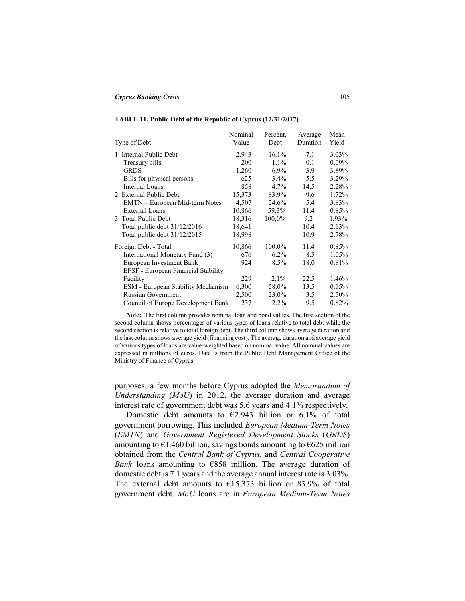| Type of Debt                        | Nominal<br>Value | Percent.<br>Debt | Average<br>Duration | Mean<br>Yield |
|-------------------------------------|------------------|------------------|---------------------|---------------|
| 1. Internal Public Debt             | 2,943            | 16.1%            | 7.1                 | $3.03\%$      |
| Treasury bills                      | 200              | $1.1\%$          | 0.1                 | $-0.09%$      |
| <b>GRDS</b>                         | 1,260            | $6.9\%$          | 3.9                 | 3.89%         |
| Bills for physical persons          | 625              | 3.4%             | 5.5                 | 3.29%         |
| Internal Loans                      | 858              | $4.7\%$          | 14.5                | 2.28%         |
| 2. External Public Debt             | 15,373           | 83.9%            | 9.6                 | 1.72%         |
| EMTN - European Mid-term Notes      | 4,507            | 24.6%            | 5.4                 | 3.83%         |
| <b>External Loans</b>               | 10,866           | 59,3%            | 11.4                | 0.85%         |
| 3. Total Public Debt                | 18,316           | 100,0%           | 9,2                 | 1,93%         |
| Total public debt 31/12/2016        | 18,641           |                  | 10.4                | 2.13%         |
| Total public debt 31/12/2015        | 18,998           |                  | 10.9                | 2.78%         |
| Foreign Debt - Total                | 10,866           | 100.0%           | 11.4                | 0.85%         |
| International Monetary Fund (3)     | 676              | $6.2\%$          | 8.5                 | 1.05%         |
| European Investment Bank            | 924              | 8.5%             | 18.0                | 0.81%         |
| EFSF - European Financial Stability |                  |                  |                     |               |
| Facility                            | 229              | 2,1%             | 22.5                | 1.46%         |
| ESM - European Stability Mechanism  | 6,300            | 58.0%            | 13.5                | 0.15%         |
| <b>Russian Government</b>           | 2,500            | 23.0%            | 3.5                 | 2.50%         |
| Council of Europe Development Bank  | 237              | $2.2\%$          | 9.5                 | 0.82%         |

**Note:** The first column provides nominal loan and bond values. The first section of the second column shows percentages of various types of loans relative to total debt while the second section is relative to total foreign debt. The third column shows average duration and the last column shows average yield (financing cost). The average duration and average yield of various types of loans are value-weighted based on nominal value. All nominal values are expressed in millions of euros. Data is from the Public Debt Management Office of the Ministry of Finance of Cyprus.

purposes, a few months before Cyprus adopted the *Memorandum of Understanding* (*MoU*) in 2012, the average duration and average interest rate of government debt was 5.6 years and 4.1% respectively.

Domestic debt amounts to  $\epsilon$ 2.943 billion or 6.1% of total government borrowing. This included *European Medium-Term Notes* (*EMTN*) and *Government Registered Development Stocks* (*GRDS*) amounting to  $\epsilon$ 1.460 billion, savings bonds amounting to  $\epsilon$ 625 million obtained from the *Central Bank of Cyprus*, and *Central Cooperative Bank* loans amounting to €858 million. The average duration of domestic debt is 7.1 years and the average annual interest rate is 3.03%. The external debt amounts to  $£15.373$  billion or 83.9% of total government debt. *MoU* loans are in *European Medium-Term Notes*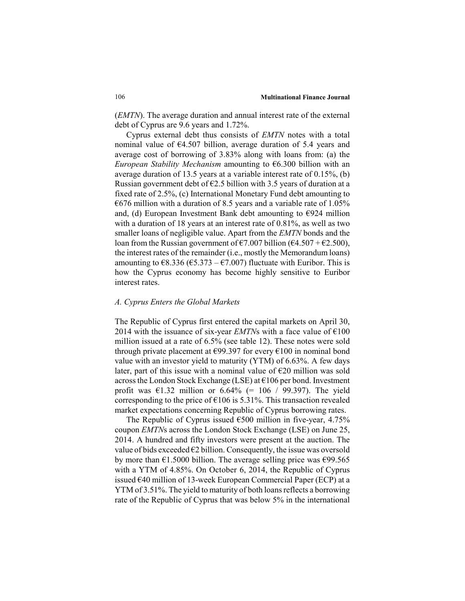(*EMTN*). The average duration and annual interest rate of the external debt of Cyprus are 9.6 years and 1.72%.

Cyprus external debt thus consists of *EMTN* notes with a total nominal value of €4.507 billion, average duration of 5.4 years and average cost of borrowing of 3.83% along with loans from: (a) the *European Stability Mechanism* amounting to €6.300 billion with an average duration of 13.5 years at a variable interest rate of 0.15%, (b) Russian government debt of  $E2.5$  billion with 3.5 years of duration at a fixed rate of 2.5%, (c) International Monetary Fund debt amounting to  $E676$  million with a duration of 8.5 years and a variable rate of 1.05% and, (d) European Investment Bank debt amounting to  $\epsilon$ 924 million with a duration of 18 years at an interest rate of 0.81%, as well as two smaller loans of negligible value. Apart from the *EMTN* bonds and the loan from the Russian government of  $\epsilon$ 7.007 billion ( $\epsilon$ 4.507 +  $\epsilon$ 2.500), the interest rates of the remainder (i.e., mostly the Memorandum loans) amounting to  $\epsilon$ 8.336 ( $\epsilon$ 5.373 –  $\epsilon$ 7.007) fluctuate with Euribor. This is how the Cyprus economy has become highly sensitive to Euribor interest rates.

#### *A. Cyprus Enters the Global Markets*

The Republic of Cyprus first entered the capital markets on April 30, 2014 with the issuance of six-year *EMTN*s with a face value of  $\epsilon$ 100 million issued at a rate of 6.5% (see table 12). These notes were sold through private placement at  $\epsilon$ 99.397 for every  $\epsilon$ 100 in nominal bond value with an investor yield to maturity (YTM) of 6.63%. A few days later, part of this issue with a nominal value of  $E20$  million was sold across the London Stock Exchange (LSE) at €106 per bond. Investment profit was  $\text{\textsterling}1.32$  million or  $6.64\%$  (= 106 / 99.397). The yield corresponding to the price of  $\epsilon$ 106 is 5.31%. This transaction revealed market expectations concerning Republic of Cyprus borrowing rates.

The Republic of Cyprus issued  $6500$  million in five-year, 4.75% coupon *EMTN*s across the London Stock Exchange (LSE) on June 25, 2014. A hundred and fifty investors were present at the auction. The value of bids exceeded  $\epsilon$ 2 billion. Consequently, the issue was oversold by more than  $\epsilon$ 1.5000 billion. The average selling price was  $\epsilon$ 99.565 with a YTM of 4.85%. On October 6, 2014, the Republic of Cyprus issued €40 million of 13-week European Commercial Paper (ECP) at a YTM of 3.51%. The yield to maturity of both loans reflects a borrowing rate of the Republic of Cyprus that was below 5% in the international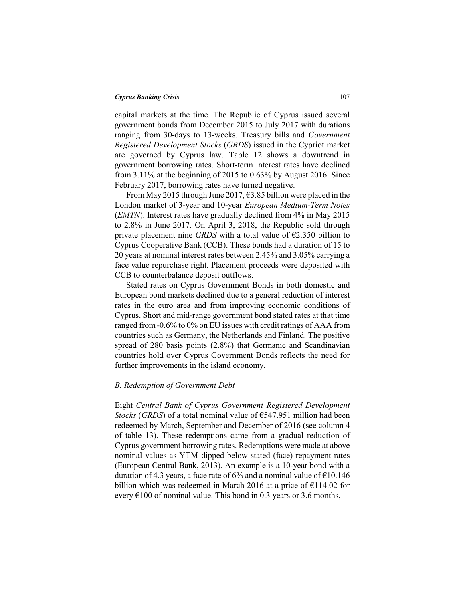capital markets at the time. The Republic of Cyprus issued several government bonds from December 2015 to July 2017 with durations ranging from 30-days to 13-weeks. Treasury bills and *Government Registered Development Stocks* (*GRDS*) issued in the Cypriot market are governed by Cyprus law. Table 12 shows a downtrend in government borrowing rates. Short-term interest rates have declined from 3.11% at the beginning of 2015 to 0.63% by August 2016. Since February 2017, borrowing rates have turned negative.

From May 2015 through June 2017,  $\epsilon$ 3.85 billion were placed in the London market of 3-year and 10-year *European Medium-Term Notes* (*EMTN*). Interest rates have gradually declined from 4% in May 2015 to 2.8% in June 2017. On April 3, 2018, the Republic sold through private placement nine *GRDS* with a total value of  $\epsilon$ 2.350 billion to Cyprus Cooperative Bank (CCB). These bonds had a duration of 15 to 20 years at nominal interest rates between 2.45% and 3.05% carrying a face value repurchase right. Placement proceeds were deposited with CCB to counterbalance deposit outflows.

Stated rates on Cyprus Government Bonds in both domestic and European bond markets declined due to a general reduction of interest rates in the euro area and from improving economic conditions of Cyprus. Short and mid-range government bond stated rates at that time ranged from -0.6% to 0% on EU issues with credit ratings of AAA from countries such as Germany, the Netherlands and Finland. The positive spread of 280 basis points (2.8%) that Germanic and Scandinavian countries hold over Cyprus Government Bonds reflects the need for further improvements in the island economy.

#### *B. Redemption of Government Debt*

Eight *Central Bank of Cyprus Government Registered Development Stocks* (*GRDS*) of a total nominal value of €547.951 million had been redeemed by March, September and December of 2016 (see column 4 of table 13). These redemptions came from a gradual reduction of Cyprus government borrowing rates. Redemptions were made at above nominal values as YTM dipped below stated (face) repayment rates (European Central Bank, 2013). An example is a 10-year bond with a duration of 4.3 years, a face rate of 6% and a nominal value of  $\text{\textsterling}10.146$ billion which was redeemed in March 2016 at a price of  $\epsilon$ 114.02 for every  $\epsilon$ 100 of nominal value. This bond in 0.3 years or 3.6 months,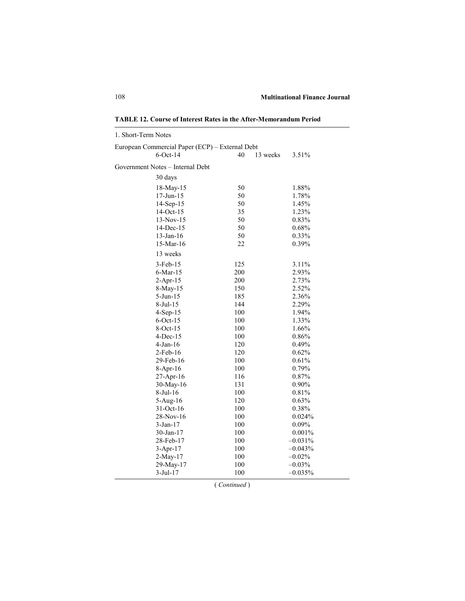| 1. Short-Term Notes                             |                |           |
|-------------------------------------------------|----------------|-----------|
| European Commercial Paper (ECP) - External Debt |                |           |
| $6$ -Oct-14                                     | 40<br>13 weeks | 3.51%     |
| Government Notes – Internal Debt                |                |           |
| 30 days                                         |                |           |
| 18-May-15                                       | 50             | 1.88%     |
| 17-Jun-15                                       | 50             | 1.78%     |
| 14-Sep-15                                       | 50             | 1.45%     |
| $14-Oct-15$                                     | 35             | 1.23%     |
| $13-Nov-15$                                     | 50             | 0.83%     |
| 14-Dec-15                                       | 50             | 0.68%     |
| 13-Jan-16                                       | 50             | 0.33%     |
| 15-Mar-16                                       | 22             | 0.39%     |
| 13 weeks                                        |                |           |
| $3-Feb-15$                                      | 125            | 3.11%     |
| $6$ -Mar-15                                     | 200            | 2.93%     |
| $2$ -Apr-15                                     | 200            | 2.73%     |
| 8-May-15                                        | 150            | 2.52%     |
| 5-Jun-15                                        | 185            | 2.36%     |
| 8-Jul-15                                        | 144            | 2.29%     |
| $4-Sep-15$                                      | 100            | 1.94%     |
| $6$ -Oct-15                                     | 100            | 1.33%     |
| $8-Oct-15$                                      | 100            | 1.66%     |
| $4$ -Dec-15                                     | 100            | 0.86%     |
| $4-Jan-16$                                      | 120            | 0.49%     |
| $2$ -Feb-16                                     | 120            | 0.62%     |
| 29-Feb-16                                       | 100            | 0.61%     |
| $8-Apr-16$                                      | 100            | 0.79%     |
| 27-Apr-16                                       | 116            | 0.87%     |
| $30$ -May-16                                    | 131            | 0.90%     |
| 8-Jul-16                                        | 100            | 0.81%     |
| $5-Aug-16$                                      | 120            | 0.63%     |
| 31-Oct-16                                       | 100            | 0.38%     |
| 28-Nov-16                                       | 100            | 0.024%    |
| 3-Jan-17                                        | 100            | $0.09\%$  |
| $30$ -Jan-17                                    | 100            | 0.001%    |
| 28-Feb-17                                       | 100            | $-0.031%$ |
| $3-Apr-17$                                      | 100            | $-0.043%$ |
| 2-May-17                                        | 100            | $-0.02%$  |
| 29-May-17                                       | 100            | $-0.03%$  |
| 3-Jul-17                                        | 100            | $-0.035%$ |

**TABLE 12. Course of Interest Rates in the After-Memorandum Period**

( *Continued* )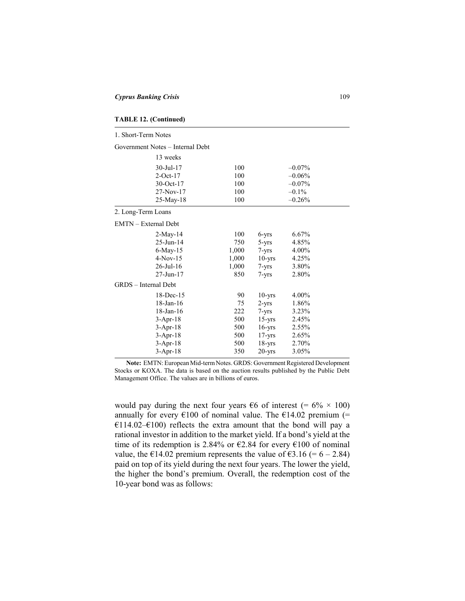| <b>TABLE 12. (Continued)</b> |  |
|------------------------------|--|
|------------------------------|--|

| 1. Short-Term Notes         |                                  |       |            |           |
|-----------------------------|----------------------------------|-------|------------|-----------|
|                             | Government Notes - Internal Debt |       |            |           |
|                             | 13 weeks                         |       |            |           |
|                             | 30-Jul-17                        | 100   |            | $-0.07\%$ |
|                             | $2$ -Oct-17                      | 100   |            | $-0.06%$  |
|                             | 30-Oct-17                        | 100   |            | $-0.07%$  |
|                             | 27-Nov-17                        | 100   |            | $-0.1\%$  |
|                             | 25-May-18                        | 100   |            | $-0.26%$  |
| 2. Long-Term Loans          |                                  |       |            |           |
| <b>EMTN</b> – External Debt |                                  |       |            |           |
|                             | 2-May-14                         | 100   | 6-yrs      | 6.67%     |
|                             | 25-Jun-14                        | 750   | 5-yrs      | 4.85%     |
|                             | 6-May-15                         | 1,000 | $7 - yrs$  | 4.00%     |
|                             | $4-Nov-15$                       | 1,000 | $10 - yrs$ | 4.25%     |
|                             | 26-Jul-16                        | 1,000 | $7 - yrs$  | 3.80%     |
|                             | 27-Jun-17                        | 850   | $7 - yrs$  | 2.80%     |
| GRDS - Internal Debt        |                                  |       |            |           |
|                             | 18-Dec-15                        | 90    | $10 - vrs$ | 4.00%     |
|                             | $18$ -Jan- $16$                  | 75    | $2 - yrs$  | 1.86%     |
|                             | 18-Jan-16                        | 222   | 7-yrs      | 3.23%     |
|                             | $3-Apr-18$                       | 500   | $15 - yrs$ | 2.45%     |
|                             | $3-Apr-18$                       | 500   | $16 - yrs$ | 2.55%     |
|                             | $3-Apr-18$                       | 500   | $17 - yrs$ | 2.65%     |
|                             | $3-Apr-18$                       | 500   | $18 - yrs$ | 2.70%     |
|                             | $3-Apr-18$                       | 350   | $20 - vrs$ | 3.05%     |

**Note:** ΕΜΤΝ: European Mid-term Notes. GRDS: Government Registered Development Stocks or KOXA. The data is based on the auction results published by the Public Debt Management Office. The values are in billions of euros.

would pay during the next four years  $\epsilon$ 6 of interest (= 6% × 100) annually for every  $\epsilon$ 100 of nominal value. The  $\epsilon$ 14.02 premium (= €114.02–€100) reflects the extra amount that the bond will pay a rational investor in addition to the market yield. If a bond's yield at the time of its redemption is 2.84% or  $\epsilon$ 2.84 for every  $\epsilon$ 100 of nominal value, the  $\text{\textsterling}14.02$  premium represents the value of  $\text{\textsterling}3.16 (= 6 - 2.84)$ paid on top of its yield during the next four years. The lower the yield, the higher the bond's premium. Overall, the redemption cost of the 10-year bond was as follows: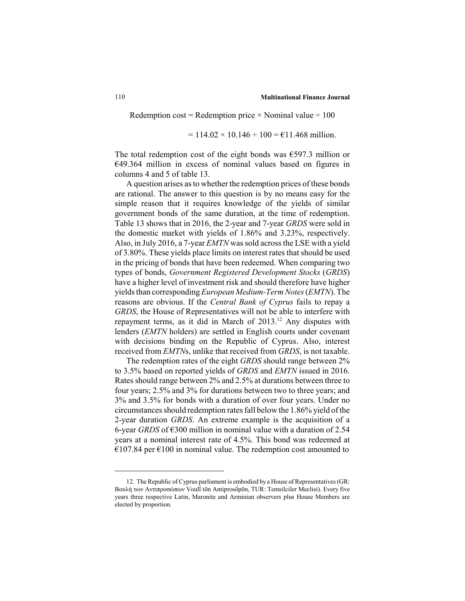Redemption cost = Redemption price  $\times$  Nominal value  $\div$  100

 $= 114.02 \times 10.146 \div 100 = \text{\textsterling}11.468$  million.

The total redemption cost of the eight bonds was  $\epsilon$ 597.3 million or €49.364 million in excess of nominal values based on figures in columns 4 and 5 of table 13.

A question arises as to whether the redemption prices of these bonds are rational. The answer to this question is by no means easy for the simple reason that it requires knowledge of the yields of similar government bonds of the same duration, at the time of redemption. Table 13 shows that in 2016, the 2-year and 7-year *GRDS* were sold in the domestic market with yields of 1.86% and 3.23%, respectively. Also, in July 2016, a 7-year *EMTN* was sold across the LSE with a yield of 3.80%. These yields place limits on interest rates that should be used in the pricing of bonds that have been redeemed. When comparing two types of bonds, *Government Registered Development Stocks* (*GRDS*) have a higher level of investment risk and should therefore have higher yields than corresponding *European Medium-Term Notes* (*EMTN*). The reasons are obvious. If the *Central Bank of Cyprus* fails to repay a *GRDS*, the House of Representatives will not be able to interfere with repayment terms, as it did in March of 2013.<sup>12</sup> Any disputes with lenders (*EMTN* holders) are settled in English courts under covenant with decisions binding on the Republic of Cyprus. Also, interest received from *EMTN*s, unlike that received from *GRDS*, is not taxable.

The redemption rates of the eight *GRDS* should range between 2% to 3.5% based on reported yields of *GRDS* and *EMTN* issued in 2016. Rates should range between 2% and 2.5% at durations between three to four years; 2.5% and 3% for durations between two to three years; and 3% and 3.5% for bonds with a duration of over four years. Under no circumstances should redemption rates fall below the 1.86% yield of the 2-year duration *GRDS*. An extreme example is the acquisition of a 6-year *GRDS* of  $\epsilon$ 300 million in nominal value with a duration of 2.54 years at a nominal interest rate of 4.5%. This bond was redeemed at  $€107.84$  per  $€100$  in nominal value. The redemption cost amounted to

<sup>12.</sup> The Republic of Cyprus parliament is embodied by a House of Representatives (GR: Βουλή των Αντιπροσώπων Voulī́ tōn Antiprosṓpōn, TUR: Temsilciler Meclisi). Every five years three respective Latin, Maronite and Arminian observers plus House Members are elected by proportion.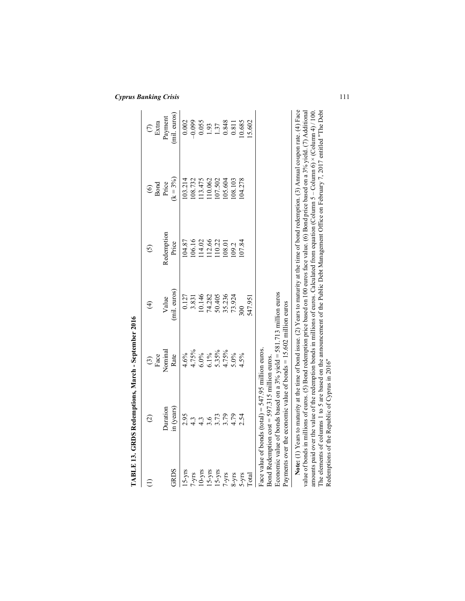|                                | TABLE 13. GRDS Redemptions, March - September 2016                                                                                                                                                                                                         |                                            |               |                                                                                                                                                                                                                                                                                                                                                                                                                                                                                                                                                                                            |               |                      |
|--------------------------------|------------------------------------------------------------------------------------------------------------------------------------------------------------------------------------------------------------------------------------------------------------|--------------------------------------------|---------------|--------------------------------------------------------------------------------------------------------------------------------------------------------------------------------------------------------------------------------------------------------------------------------------------------------------------------------------------------------------------------------------------------------------------------------------------------------------------------------------------------------------------------------------------------------------------------------------------|---------------|----------------------|
|                                | $\widehat{\omega}$                                                                                                                                                                                                                                         | Face<br>$\widehat{c}$                      | $\widehat{t}$ | $\widehat{c}$                                                                                                                                                                                                                                                                                                                                                                                                                                                                                                                                                                              | $\frac{6}{5}$ | $\sum_{\text{Etra}}$ |
|                                | Juration                                                                                                                                                                                                                                                   | Nominal                                    | Value         | Redemption                                                                                                                                                                                                                                                                                                                                                                                                                                                                                                                                                                                 | Price         | Payment              |
| <b>GRDS</b>                    | in (years)                                                                                                                                                                                                                                                 | Rate                                       | (mil. euros)  | Price                                                                                                                                                                                                                                                                                                                                                                                                                                                                                                                                                                                      | $(k = 3\%)$   | (mil. euros)         |
| $15 - yrs$                     | 2.95                                                                                                                                                                                                                                                       | 4.6%                                       | 0.127         | 104.87                                                                                                                                                                                                                                                                                                                                                                                                                                                                                                                                                                                     | 103.214       | 0.002                |
| $7 - yrs$                      | $4.\overline{3}$                                                                                                                                                                                                                                           | 4.75%                                      | 3.831         | 106.16                                                                                                                                                                                                                                                                                                                                                                                                                                                                                                                                                                                     | 108.732       | $-0.099$             |
|                                | $4.\overline{3}$                                                                                                                                                                                                                                           | $6.0\%$<br>$6.1\%$<br>$5.35\%$<br>$4.75\%$ | 10.146        | 114.02                                                                                                                                                                                                                                                                                                                                                                                                                                                                                                                                                                                     | 13.475        | 0.055                |
| $10 - yrs$<br>15-yrs<br>15-yrs | 3.6                                                                                                                                                                                                                                                        |                                            | 74.282        | 112.66                                                                                                                                                                                                                                                                                                                                                                                                                                                                                                                                                                                     | 10.062        |                      |
|                                | 3.73                                                                                                                                                                                                                                                       |                                            | 50.405        | 110.22                                                                                                                                                                                                                                                                                                                                                                                                                                                                                                                                                                                     | 107.502       | 1.93<br>1.37         |
| $7 - yrs$                      | 3.79                                                                                                                                                                                                                                                       |                                            | 35.236        | 108.01                                                                                                                                                                                                                                                                                                                                                                                                                                                                                                                                                                                     | 105.604       | 0.848                |
| $8 - yrs$                      | 4.79                                                                                                                                                                                                                                                       | $5.0\%$                                    | 73.924        | 109.2                                                                                                                                                                                                                                                                                                                                                                                                                                                                                                                                                                                      | 108.103       | 0.811                |
| $5-yrs$                        | 2.54                                                                                                                                                                                                                                                       | 4.5%                                       | 500           | 107.84                                                                                                                                                                                                                                                                                                                                                                                                                                                                                                                                                                                     | 04.278        | 10.685               |
| Total                          |                                                                                                                                                                                                                                                            |                                            | 547.951       |                                                                                                                                                                                                                                                                                                                                                                                                                                                                                                                                                                                            |               | 15.602               |
|                                | Economic value of bonds based on a $3\%$ yield = $581.713$ million euros<br>Payments over the economic value of bonds $= 15.602$ million euros<br>Face value of bonds (total) = $547.95$ million euros.<br>Bond Redemption $cost = 597.315$ million euros. |                                            |               |                                                                                                                                                                                                                                                                                                                                                                                                                                                                                                                                                                                            |               |                      |
|                                | Redemptions of the Republic of Cyprus in 2016"                                                                                                                                                                                                             |                                            |               | The elements of columns 1 to 5 are based on the announcement of the Public Debt Management Office on February 7, 2017 entitled "The Debt<br>Note: (1) Years to maturity at the time of bond issue. (2) Years to maturity at the time of bond redemption. (3) Annual coupon rate. (4) Face<br>value of bonds in millions of euros. (5) Bond redemption price based on 100 euros face value. (6) Bond price based on a 3% yield. (7) Additional<br>amounts paid over the value of the redemption bonds in millions of euros. Calculated from equation (Column 5 – Column 6) × (Column 4)/100 |               |                      |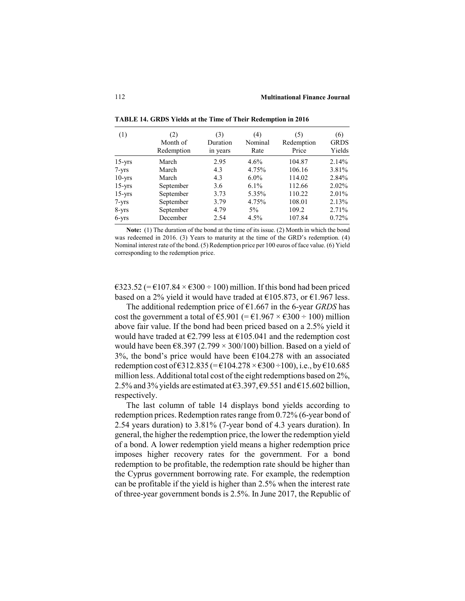| (1)        | (2)<br>Month of<br>Redemption | (3)<br>Duration<br>in years | (4)<br>Nominal<br>Rate | (5)<br>Redemption<br>Price | (6)<br><b>GRDS</b><br>Yields |
|------------|-------------------------------|-----------------------------|------------------------|----------------------------|------------------------------|
| $15 - yrs$ | March                         | 2.95                        | $4.6\%$                | 104.87                     | 2.14%                        |
| $7 - yrs$  | March                         | 4.3                         | 4.75%                  | 106.16                     | 3.81%                        |
| $10 - yrs$ | March                         | 4.3                         | $6.0\%$                | 114.02                     | 2.84%                        |
| $15 - yrs$ | September                     | 3.6                         | $6.1\%$                | 112.66                     | 2.02%                        |
| $15 - yrs$ | September                     | 3.73                        | 5.35%                  | 110.22                     | 2.01%                        |
| $7 - yrs$  | September                     | 3.79                        | 4.75%                  | 108.01                     | 2.13%                        |
| $8 - yrs$  | September                     | 4.79                        | $5\%$                  | 109.2                      | 2.71%                        |
| $6 - yrs$  | December                      | 2.54                        | 4.5%                   | 107.84                     | 0.72%                        |

**TABLE 14. GRDS Yields at the Time of Their Redemption in 2016**

**Note:** (1) The duration of the bond at the time of its issue. (2) Month in which the bond was redeemed in 2016. (3) Years to maturity at the time of the GRD's redemption. (4) Nominal interest rate of the bond. (5) Redemption price per 100 euros of face value. (6) Yield corresponding to the redemption price.

 $\epsilon$ 323.52 (=  $\epsilon$ 107.84 ×  $\epsilon$ 300 ÷ 100) million. If this bond had been priced based on a 2% yield it would have traded at  $£105.873$ , or  $£1.967$  less.

The additional redemption price of €1.667 in the 6-year *GRDS* has cost the government a total of  $\text{\textsterling}5.901$  (=  $\text{\textsterling}1.967 \times \text{\textsterling}300 \div 100$ ) million above fair value. If the bond had been priced based on a 2.5% yield it would have traded at  $\epsilon$ 2.799 less at  $\epsilon$ 105.041 and the redemption cost would have been  $\epsilon$ 8.397 (2.799 × 300/100) billion. Based on a yield of 3%, the bond's price would have been  $\epsilon$ 104.278 with an associated redemption cost of  $\text{\textsterling}312.835 (\text{\textsterling}104.278 \times \text{\textsterling}300 \text{\textsterling}100), i.e., by \text{\textsterling}10.685$ million less. Additional total cost of the eight redemptions based on 2%, 2.5% and 3% yields are estimated at  $63.397, 69.551$  and  $615.602$  billion, respectively.

The last column of table 14 displays bond yields according to redemption prices. Redemption rates range from 0.72% (6-year bond of 2.54 years duration) to 3.81% (7-year bond of 4.3 years duration). In general, the higher the redemption price, the lower the redemption yield of a bond. A lower redemption yield means a higher redemption price imposes higher recovery rates for the government. For a bond redemption to be profitable, the redemption rate should be higher than the Cyprus government borrowing rate. For example, the redemption can be profitable if the yield is higher than 2.5% when the interest rate of three-year government bonds is 2.5%. In June 2017, the Republic of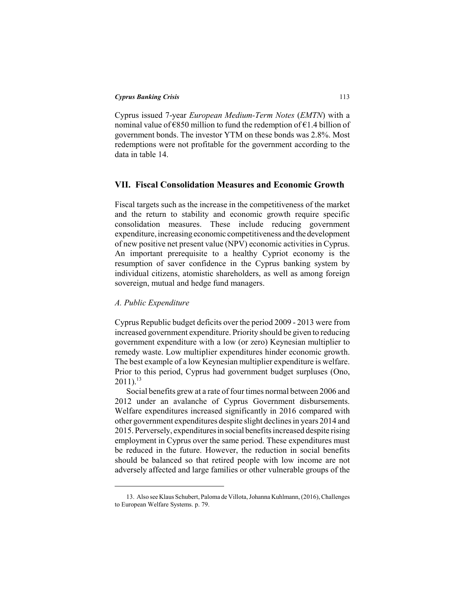Cyprus issued 7-year *European Medium-Term Notes* (*EMTN*) with a nominal value of  $\epsilon$ 850 million to fund the redemption of  $\epsilon$ 1.4 billion of government bonds. The investor YTM on these bonds was 2.8%. Most redemptions were not profitable for the government according to the data in table 14.

# **VII. Fiscal Consolidation Measures and Economic Growth**

Fiscal targets such as the increase in the competitiveness of the market and the return to stability and economic growth require specific consolidation measures. These include reducing government expenditure, increasing economic competitiveness and the development of new positive net present value (NPV) economic activities in Cyprus. An important prerequisite to a healthy Cypriot economy is the resumption of saver confidence in the Cyprus banking system by individual citizens, atomistic shareholders, as well as among foreign sovereign, mutual and hedge fund managers.

## *A. Public Expenditure*

Cyprus Republic budget deficits over the period 2009 - 2013 were from increased government expenditure. Priority should be given to reducing government expenditure with a low (or zero) Keynesian multiplier to remedy waste. Low multiplier expenditures hinder economic growth. The best example of a low Keynesian multiplier expenditure is welfare. Prior to this period, Cyprus had government budget surpluses (Ono,  $2011$ ).<sup>13</sup>

Social benefits grew at a rate of four times normal between 2006 and 2012 under an avalanche of Cyprus Government disbursements. Welfare expenditures increased significantly in 2016 compared with other government expenditures despite slight declines in years 2014 and 2015. Perversely, expenditures in social benefits increased despite rising employment in Cyprus over the same period. These expenditures must be reduced in the future. However, the reduction in social benefits should be balanced so that retired people with low income are not adversely affected and large families or other vulnerable groups of the

<sup>13.</sup> Also see Klaus Schubert, Paloma de Villota, Johanna Kuhlmann, (2016), Challenges to European Welfare Systems. p. 79.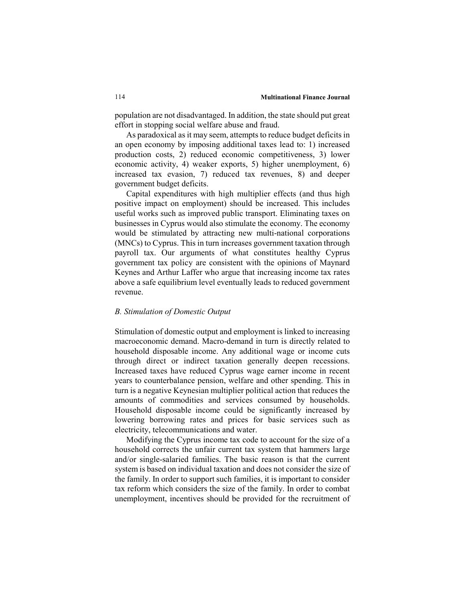population are not disadvantaged. In addition, the state should put great effort in stopping social welfare abuse and fraud.

As paradoxical as it may seem, attempts to reduce budget deficits in an open economy by imposing additional taxes lead to: 1) increased production costs, 2) reduced economic competitiveness, 3) lower economic activity, 4) weaker exports, 5) higher unemployment, 6) increased tax evasion, 7) reduced tax revenues, 8) and deeper government budget deficits.

Capital expenditures with high multiplier effects (and thus high positive impact on employment) should be increased. This includes useful works such as improved public transport. Eliminating taxes on businesses in Cyprus would also stimulate the economy. The economy would be stimulated by attracting new multi-national corporations (MNCs) to Cyprus. This in turn increases government taxation through payroll tax. Our arguments of what constitutes healthy Cyprus government tax policy are consistent with the opinions of Maynard Keynes and Arthur Laffer who argue that increasing income tax rates above a safe equilibrium level eventually leads to reduced government revenue.

# *B. Stimulation of Domestic Output*

Stimulation of domestic output and employment is linked to increasing macroeconomic demand. Macro-demand in turn is directly related to household disposable income. Any additional wage or income cuts through direct or indirect taxation generally deepen recessions. Increased taxes have reduced Cyprus wage earner income in recent years to counterbalance pension, welfare and other spending. This in turn is a negative Keynesian multiplier political action that reduces the amounts of commodities and services consumed by households. Household disposable income could be significantly increased by lowering borrowing rates and prices for basic services such as electricity, telecommunications and water.

Modifying the Cyprus income tax code to account for the size of a household corrects the unfair current tax system that hammers large and/or single-salaried families. The basic reason is that the current system is based on individual taxation and does not consider the size of the family. In order to support such families, it is important to consider tax reform which considers the size of the family. In order to combat unemployment, incentives should be provided for the recruitment of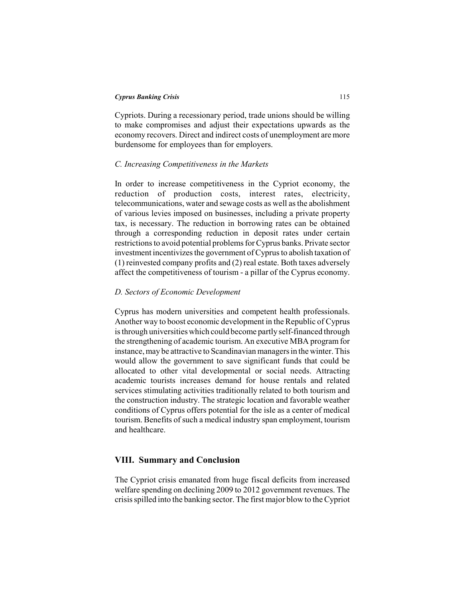Cypriots. During a recessionary period, trade unions should be willing to make compromises and adjust their expectations upwards as the economy recovers. Direct and indirect costs of unemployment are more burdensome for employees than for employers.

# *C. Increasing Competitiveness in the Markets*

In order to increase competitiveness in the Cypriot economy, the reduction of production costs, interest rates, electricity, telecommunications, water and sewage costs as well as the abolishment of various levies imposed on businesses, including a private property tax, is necessary. The reduction in borrowing rates can be obtained through a corresponding reduction in deposit rates under certain restrictions to avoid potential problems for Cyprus banks. Private sector investment incentivizes the government of Cyprus to abolish taxation of (1) reinvested company profits and (2) real estate. Both taxes adversely affect the competitiveness of tourism - a pillar of the Cyprus economy.

#### *D. Sectors of Economic Development*

Cyprus has modern universities and competent health professionals. Another way to boost economic development in the Republic of Cyprus is through universities which could become partly self-financed through the strengthening of academic tourism. An executive MBA program for instance, may be attractive to Scandinavian managers in the winter. This would allow the government to save significant funds that could be allocated to other vital developmental or social needs. Attracting academic tourists increases demand for house rentals and related services stimulating activities traditionally related to both tourism and the construction industry. The strategic location and favorable weather conditions of Cyprus offers potential for the isle as a center of medical tourism. Benefits of such a medical industry span employment, tourism and healthcare.

# **VIII. Summary and Conclusion**

The Cypriot crisis emanated from huge fiscal deficits from increased welfare spending on declining 2009 to 2012 government revenues. The crisis spilled into the banking sector. The first major blow to the Cypriot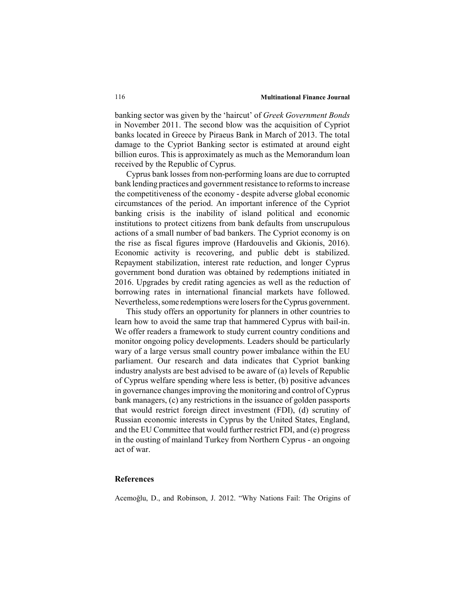#### 116 **Multinational Finance Journal**

banking sector was given by the 'haircut' of *Greek Government Bonds* in November 2011. The second blow was the acquisition of Cypriot banks located in Greece by Piraeus Bank in March of 2013. The total damage to the Cypriot Banking sector is estimated at around eight billion euros. This is approximately as much as the Memorandum loan received by the Republic of Cyprus.

Cyprus bank losses from non-performing loans are due to corrupted bank lending practices and government resistance to reforms to increase the competitiveness of the economy - despite adverse global economic circumstances of the period. An important inference of the Cypriot banking crisis is the inability of island political and economic institutions to protect citizens from bank defaults from unscrupulous actions of a small number of bad bankers. The Cypriot economy is on the rise as fiscal figures improve (Hardouvelis and Gkionis, 2016). Economic activity is recovering, and public debt is stabilized. Repayment stabilization, interest rate reduction, and longer Cyprus government bond duration was obtained by redemptions initiated in 2016. Upgrades by credit rating agencies as well as the reduction of borrowing rates in international financial markets have followed. Nevertheless, some redemptions were losers for the Cyprus government.

This study offers an opportunity for planners in other countries to learn how to avoid the same trap that hammered Cyprus with bail-in. We offer readers a framework to study current country conditions and monitor ongoing policy developments. Leaders should be particularly wary of a large versus small country power imbalance within the EU parliament. Our research and data indicates that Cypriot banking industry analysts are best advised to be aware of (a) levels of Republic of Cyprus welfare spending where less is better, (b) positive advances in governance changes improving the monitoring and control of Cyprus bank managers, (c) any restrictions in the issuance of golden passports that would restrict foreign direct investment (FDI), (d) scrutiny of Russian economic interests in Cyprus by the United States, England, and the EU Committee that would further restrict FDI, and (e) progress in the ousting of mainland Turkey from Northern Cyprus - an ongoing act of war.

# **References**

Acemoğlu, D., and Robinson, J. 2012. "Why Nations Fail: The Origins of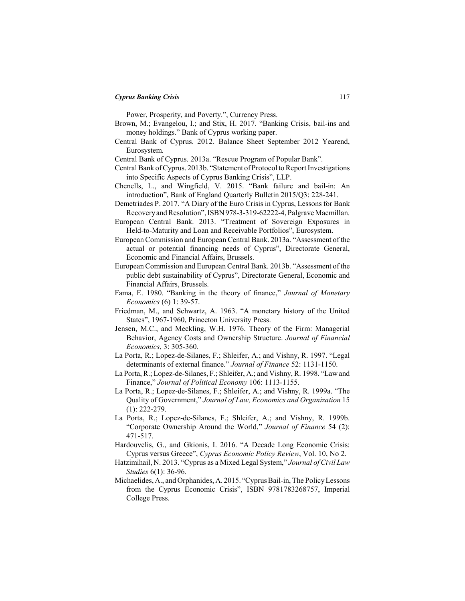Power, Prosperity, and Poverty.", Currency Press.

- Brown, M.; Evangelou, I.; and Stix, H. 2017. "Banking Crisis, bail-ins and money holdings." Bank of Cyprus working paper.
- Central Bank of Cyprus. 2012. Balance Sheet September 2012 Yearend, Eurosystem.
- Central Bank of Cyprus. 2013a. "Rescue Program of Popular Bank".
- Central Bank of Cyprus. 2013b. "Statement of Protocol to Report Investigations into Specific Aspects of Cyprus Banking Crisis", LLP.
- Chenells, L., and Wingfield, V. 2015. "Bank failure and bail-in: An introduction", Bank of England Quarterly Bulletin 2015/Q3: 228-241.
- Demetriades P. 2017. "A Diary of the Euro Crisis in Cyprus, Lessons for Bank Recovery and Resolution", ISBN 978-3-319-62222-4, Palgrave Macmillan.
- European Central Bank. 2013. "Treatment of Sovereign Exposures in Held-to-Maturity and Loan and Receivable Portfolios", Eurosystem.
- European Commission and European Central Bank. 2013a. "Assessment of the actual or potential financing needs of Cyprus", Directorate General, Economic and Financial Affairs, Brussels.
- European Commission and European Central Bank. 2013b. "Assessment of the public debt sustainability of Cyprus", Directorate General, Economic and Financial Affairs, Brussels.
- Fama, E. 1980. "Banking in the theory of finance," *Journal of Monetary Economics* (6) 1: 39-57.
- Friedman, M., and Schwartz, A. 1963. "A monetary history of the United States", 1967-1960, Princeton University Press.
- Jensen, M.C., and Meckling, W.H. 1976. Theory of the Firm: Managerial Behavior, Agency Costs and Ownership Structure. *Journal of Financial Economics*, 3: 305-360.
- La Porta, R.; Lopez-de-Silanes, F.; Shleifer, A.; and Vishny, R. 1997. "Legal determinants of external finance." *Journal of Finance* 52: 1131-1150.
- La Porta, R.; Lopez-de-Silanes, F.; Shleifer, A.; and Vishny, R. 1998. "Law and Finance," *Journal of Political Economy* 106: 1113-1155.
- La Porta, R.; Lopez-de-Silanes, F.; Shleifer, A.; and Vishny, R. 1999a. "The Quality of Government," *Journal of Law, Economics and Organization* 15 (1): 222-279.
- La Porta, R.; Lopez-de-Silanes, F.; Shleifer, A.; and Vishny, R. 1999b. "Corporate Ownership Around the World," *Journal of Finance* 54 (2): 471-517.
- Hardouvelis, G., and Gkionis, I. 2016. "A Decade Long Economic Crisis: Cyprus versus Greece", *Cyprus Economic Policy Review*, Vol. 10, No 2.
- Hatzimihail, N. 2013. "Cyprus as a Mixed Legal System," *Journal of Civil Law Studies* 6(1): 36-96.
- Michaelides, A., and Orphanides, A. 2015. "Cyprus Bail-in, The Policy Lessons from the Cyprus Economic Crisis", ISBN 9781783268757, Imperial College Press.